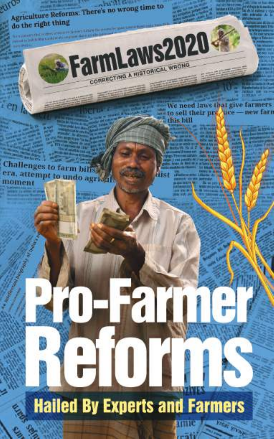**All On Agriculture Reforms: There's no wrong time to** do the right thing FarmLaws2020 CORRECTING A NISTORICAL WRONG We need laws that give farmers to sell their previce - new farn othis bill **Challenges to farm bills** era, attempt to undo agrical liist moment **Farn** 

**Hailed By Experts and Farmers** 

**THE FIRE** 

ание rail.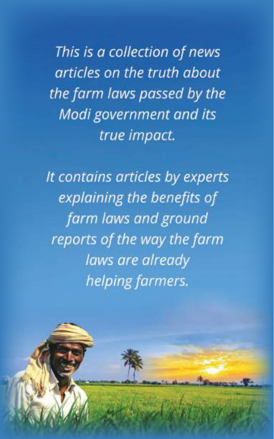This is a collection of news articles on the truth about the farm laws passed by the Modi government and its true impact.

It contains articles by experts explaining the benefits of farm laws and ground reports of the way the farm laws are already helping farmers.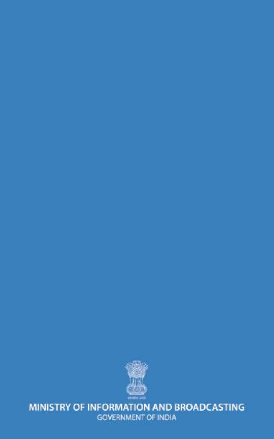

MINISTRY OF INFORMATION AND BROADCASTING **GOVERNMENT OF INDIA**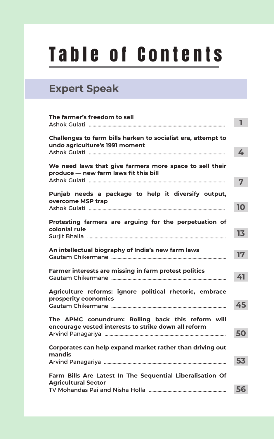## Table of Contents

### **Expert Speak**

| The farmer's freedom to sell                                                                              | 1  |
|-----------------------------------------------------------------------------------------------------------|----|
| Challenges to farm bills harken to socialist era, attempt to<br>undo agriculture's 1991 moment            | 4  |
| We need laws that give farmers more space to sell their                                                   |    |
| produce - new farm laws fit this bill                                                                     | 7  |
| Punjab needs a package to help it diversify output,<br>overcome MSP trap                                  |    |
|                                                                                                           | 10 |
| Protesting farmers are arguing for the perpetuation of<br>colonial rule                                   |    |
|                                                                                                           | 13 |
| An intellectual biography of India's new farm laws                                                        |    |
|                                                                                                           | 17 |
| Farmer interests are missing in farm protest politics                                                     | 41 |
|                                                                                                           |    |
| Agriculture reforms: ignore political rhetoric, embrace<br>prosperity economics                           |    |
|                                                                                                           | 45 |
| The APMC conundrum: Rolling back this reform will<br>encourage vested interests to strike down all reform |    |
|                                                                                                           | 50 |
| Corporates can help expand market rather than driving out                                                 |    |
| mandis                                                                                                    | 53 |
| Farm Bills Are Latest In The Sequential Liberalisation Of<br><b>Agricultural Sector</b>                   |    |
|                                                                                                           | 56 |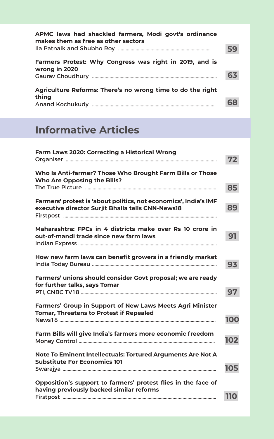| APMC laws had shackled farmers, Modi govt's ordinance<br>makes them as free as other sectors |  |
|----------------------------------------------------------------------------------------------|--|
|                                                                                              |  |
| Farmers Protest: Why Congress was right in 2019, and is<br>wrong in 2020                     |  |
|                                                                                              |  |
| Agriculture Reforms: There's no wrong time to do the right<br>thing                          |  |
|                                                                                              |  |

### **Informative Articles**

| Who Is Anti-farmer? Those Who Brought Farm Bills or Those<br><b>Who Are Opposing the Bills?</b><br>Farmers' protest is 'about politics, not economics', India's IMF<br>executive director Surjit Bhalla tells CNN-News18<br>Maharashtra: FPCs in 4 districts make over Rs 10 crore in<br>out-of-mandi trade since new farm laws<br>How new farm laws can benefit growers in a friendly market<br>Farmers' unions should consider Govt proposal; we are ready<br>for further talks, says Tomar<br>Farmers' Group in Support of New Laws Meets Agri Minister<br><b>Tomar, Threatens to Protest if Repealed</b><br>Farm Bills will give India's farmers more economic freedom<br>102<br>Note To Eminent Intellectuals: Tortured Arguments Are Not A | 72  |
|--------------------------------------------------------------------------------------------------------------------------------------------------------------------------------------------------------------------------------------------------------------------------------------------------------------------------------------------------------------------------------------------------------------------------------------------------------------------------------------------------------------------------------------------------------------------------------------------------------------------------------------------------------------------------------------------------------------------------------------------------|-----|
|                                                                                                                                                                                                                                                                                                                                                                                                                                                                                                                                                                                                                                                                                                                                                  | 85  |
|                                                                                                                                                                                                                                                                                                                                                                                                                                                                                                                                                                                                                                                                                                                                                  | 89  |
|                                                                                                                                                                                                                                                                                                                                                                                                                                                                                                                                                                                                                                                                                                                                                  | 91  |
|                                                                                                                                                                                                                                                                                                                                                                                                                                                                                                                                                                                                                                                                                                                                                  | 93  |
|                                                                                                                                                                                                                                                                                                                                                                                                                                                                                                                                                                                                                                                                                                                                                  | 97  |
|                                                                                                                                                                                                                                                                                                                                                                                                                                                                                                                                                                                                                                                                                                                                                  | 100 |
|                                                                                                                                                                                                                                                                                                                                                                                                                                                                                                                                                                                                                                                                                                                                                  |     |
| <b>Substitute For Economics 101</b><br>105                                                                                                                                                                                                                                                                                                                                                                                                                                                                                                                                                                                                                                                                                                       |     |
| Opposition's support to farmers' protest flies in the face of<br>having previously backed similar reforms<br><b>110</b>                                                                                                                                                                                                                                                                                                                                                                                                                                                                                                                                                                                                                          |     |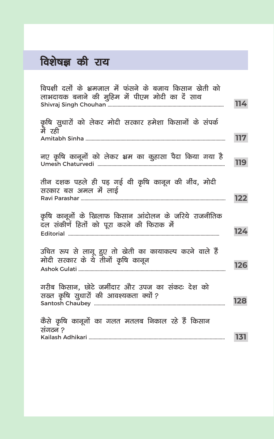### **विशेषज्ञ की राय**

| विपक्षी दलों के भ्रमजाल में फंसने के बजाय किसान खेती को<br>लाभदायक बनाने की मुहिम में पीएम मोदी का दें साथ |     |
|------------------------------------------------------------------------------------------------------------|-----|
|                                                                                                            | 114 |
| कृषि सुधारों को लेकर मोदी सरकार हमेशा किसानों के संपर्क<br>र्में रही                                       | 117 |
| नए कृषि कानूनों को लेकर भ्रम का कुहासा पैदा किया गया है                                                    | 119 |
| तीन दशक पहले ही पड़ गई थी कृषि कानून की नींव, मोदी<br>सरकार बस अमल में लाई                                 | 122 |
| कृषि कानूनों के खिलाफ किसान आंदोलन के जरिये राजनीतिक<br>दल संकीर्ण हितों को पूरा करने की फिराक में         | 124 |
| उचित रूप से लागू हुए तो खेती का कायाकल्प करने वाले हैं<br>मोदी सरकार के ये तीनों कृषि कानून                | 126 |
| गरीब किसान, छोटे जमींदार और उपज का संकटः देश को<br>सख्त कृषि सुधारों की आवश्यकता क्यों ?                   | 128 |
| कैसे कृषि कानूनों का गलत मतलब निकाल रहे हैं किसान<br>संगठन ?                                               |     |
|                                                                                                            | 131 |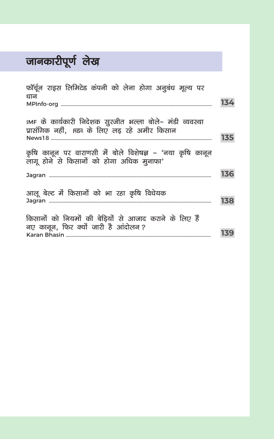### <mark>जानकारीपूर्ण</mark> लेख

| फॉर्चून राइस लिमिटेड कंपनी को लेना होगा अनुबंध मूल्य पर                                                      |     |
|--------------------------------------------------------------------------------------------------------------|-----|
| धान                                                                                                          | 134 |
| IMF के कार्यकारी निदेशक सुरजीत भल्ला बोले– मंडी व्यवस्था<br>प्रासंगिक नहीं, ।च्डब के लिए लड़ रहे अमीर किसान  | 135 |
| कृषि कानून पर वाराणसी में बोले विशेषज्ञ – 'नया कृषि कानून<br>लागू होने से किसानों को होगा अधिक मुनाफा'       | 136 |
| आलू बेल्ट में किसानों को भा रहा कृषि विधेयक                                                                  | 138 |
| किसानों को नियमों की बेडियों से आजाद कराने के लिए हैं<br>नए कानून, फिर क्यों जारी है आंदोलन?<br>Karan Bhasin | 139 |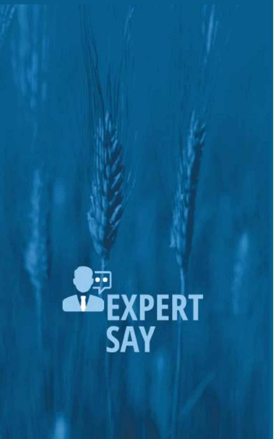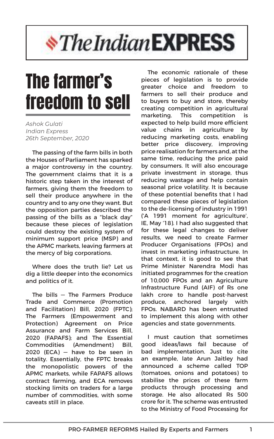# *<i><u><b>\*The Indian EXPRESS</u>*

## The farmer's freedom to sell

*Ashok Gulati Indian Express 26th September, 2020*

The passing of the farm bills in both the Houses of Parliament has sparked a major controversy in the country. The government claims that it is a historic step taken in the interest of farmers, giving them the freedom to sell their produce anywhere in the country and to any one they want. But the opposition parties described the passing of the bills as a "black day" because these pieces of legislation could destroy the existing system of minimum support price (MSP) and the APMC markets, leaving farmers at the mercy of big corporations.

Where does the truth lie? Let us dig a little deeper into the economics and politics of it.

The bills — The Farmers Produce Trade and Commerce (Promotion and Facilitation) Bill, 2020 (FPTC); The Farmers (Empowerment and Protection) Agreement on Price Assurance and Farm Services Bill, 2020 (FAPAFS); and The Essential Commodities (Amendment) Bill,  $2020$  (ECA)  $-$  have to be seen in totality. Essentially, the FPTC breaks the monopolistic powers of the APMC markets, while FAPAFS allows contract farming, and ECA removes stocking limits on traders for a large number of commodities, with some caveats still in place.

The economic rationale of these pieces of legislation is to provide greater choice and freedom to farmers to sell their produce and to buyers to buy and store, thereby creating competition in agricultural marketing. This competition is expected to help build more efficient value chains in agriculture by reducing marketing costs, enabling better price discovery, improving price realisation for farmers and, at the same time, reducing the price paid by consumers. It will also encourage private investment in storage, thus reducing wastage and help contain seasonal price volatility. It is because of these potential benefits that I had compared these pieces of legislation to the de-licensing of industry in 1991 ('A 1991 moment for agriculture', IE, May '18). I had also suggested that for these legal changes to deliver results, we need to create Farmer Producer Organisations (FPOs) and invest in marketing infrastructure. In that context, it is good to see that Prime Minister Narendra Modi has initiated programmes for the creation of 10,000 FPOs and an Agriculture Infrastructure Fund (AIF) of Rs one lakh crore to handle post-harvest produce, anchored largely with FPOs. NABARD has been entrusted to implement this along with other agencies and state governments.

I must caution that sometimes good ideas/laws fail because of bad implementation. Just to cite an example, late Arun Jaitley had announced a scheme called TOP (tomatoes, onions and potatoes) to stabilise the prices of these farm products through processing and storage. He also allocated Rs 500 crore for it. The scheme was entrusted to the Ministry of Food Processing for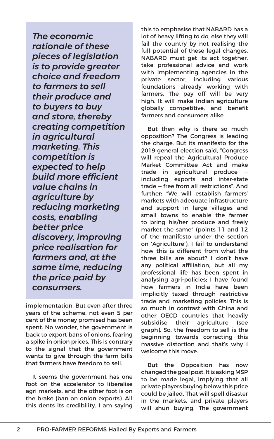*The economic rationale of these pieces of legislation is to provide greater choice and freedom to farmers to sell their produce and to buyers to buy and store, thereby creating competition in agricultural marketing. This competition is expected to help build more efficient value chains in agriculture by reducing marketing costs, enabling better price discovery, improving price realisation for farmers and, at the same time, reducing the price paid by consumers.*

implementation. But even after three years of the scheme, not even 5 per cent of the money promised has been spent. No wonder, the government is back to export bans of onions, fearing a spike in onion prices. This is contrary to the signal that the government wants to give through the farm bills that farmers have freedom to sell.

It seems the government has one foot on the accelerator to liberalise agri markets, and the other foot is on the brake (ban on onion exports). All this dents its credibility. I am saying this to emphasise that NABARD has a lot of heavy lifting to do, else they will fail the country by not realising the full potential of these legal changes. NABARD must get its act together, take professional advice and work with implementing agencies in the private sector, including various foundations already working with farmers. The pay off will be very high. It will make Indian agriculture globally competitive, and benefit farmers and consumers alike.

But then why is there so much opposition? The Congress is leading the charge. But its manifesto for the 2019 general election said, "Congress will repeal the Agricultural Produce Market Committee Act and make trade in agricultural produce including exports and inter-state trade — free from all restrictions". And further: "We will establish farmers' markets with adequate infrastructure and support in large villages and small towns to enable the farmer to bring his/her produce and freely market the same" (points 11 and 12 of the manifesto under the section on 'Agriculture'). I fail to understand how this is different from what the three bills are about? I don't have any political affiliation, but all my professional life has been spent in analysing agri-policies; I have found how farmers in India have been implicitly taxed through restrictive trade and marketing policies. This is so much in contrast with China and other OECD countries that heavily subsidise their agriculture (see graph). So, the freedom to sell is the beginning towards correcting this massive distortion and that's why I welcome this move.

But the Opposition has now changed the goal post. It is asking MSP to be made legal, implying that all private players buying below this price could be jailed. That will spell disaster in the markets, and private players will shun buying. The government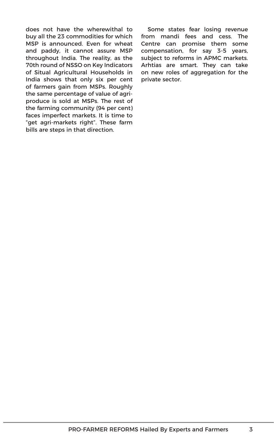does not have the wherewithal to buy all the 23 commodities for which MSP is announced. Even for wheat and paddy, it cannot assure MSP throughout India. The reality, as the 70th round of NSSO on Key Indicators of Situal Agricultural Households in India shows that only six per cent of farmers gain from MSPs. Roughly the same percentage of value of agriproduce is sold at MSPs. The rest of the farming community (94 per cent) faces imperfect markets. It is time to "get agri-markets right". These farm bills are steps in that direction.

Some states fear losing revenue from mandi fees and cess. The Centre can promise them some compensation, for say 3-5 years, subject to reforms in APMC markets. Arhtias are smart. They can take on new roles of aggregation for the private sector.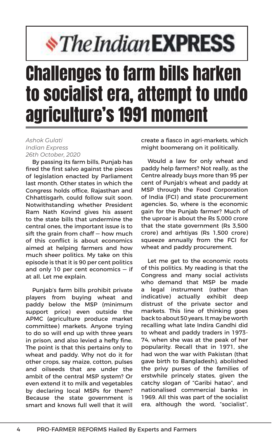# *\*The Indian EXPRESS*

## Challenges to farm bills harken to socialist era, attempt to undo agriculture's 1991 moment

#### *Ashok Gulati Indian Express 26th October, 2020*

By passing its farm bills, Punjab has fired the first salvo against the pieces of legislation enacted by Parliament last month. Other states in which the Congress holds office, Rajasthan and Chhattisgarh, could follow suit soon. Notwithstanding whether President Ram Nath Kovind gives his assent to the state bills that undermine the central ones, the important issue is to sift the grain from chaff – how much of this conflict is about economics aimed at helping farmers and how much sheer politics. My take on this episode is that it is 90 per cent politics and only 10 per cent economics — if at all. Let me explain.

Punjab's farm bills prohibit private players from buying wheat and paddy below the MSP (minimum support price) even outside the APMC (agriculture produce market committee) markets. Anyone trying to do so will end up with three years in prison, and also levied a hefty fine. The point is that this pertains only to wheat and paddy. Why not do it for other crops, say maize, cotton, pulses and oilseeds that are under the ambit of the central MSP system? Or even extend it to milk and vegetables by declaring local MSPs for them? Because the state government is smart and knows full well that it will

create a fiasco in agri-markets, which might boomerang on it politically.

Would a law for only wheat and paddy help farmers? Not really, as the Centre already buys more than 95 per cent of Punjab's wheat and paddy at MSP through the Food Corporation of India (FCI) and state procurement agencies. So, where is the economic gain for the Punjab farmer? Much of the uproar is about the Rs 5,000 crore that the state government (Rs 3,500 crore) and arhtiyas (Rs 1,500 crore) squeeze annually from the FCI for wheat and paddy procurement.

Let me get to the economic roots of this politics. My reading is that the Congress and many social activists who demand that MSP be made a legal instrument (rather than indicative) actually exhibit deep distrust of the private sector and markets. This line of thinking goes back to about 50 years. It may be worth recalling what late Indira Gandhi did to wheat and paddy traders in 1973- 74, when she was at the peak of her popularity. Recall that in 1971, she had won the war with Pakistan (that gave birth to Bangladesh), abolished the privy purses of the families of erstwhile princely states, given the catchy slogan of "Garibi hatao", and nationalised commercial banks in 1969. All this was part of the socialist era, although the word, "socialist",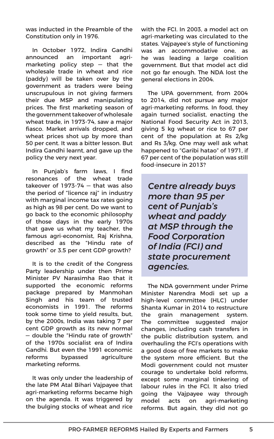was inducted in the Preamble of the Constitution only in 1976.

In October 1972, Indira Gandhi announced an important agrimarketing policy step  $-$  that the wholesale trade in wheat and rice (paddy) will be taken over by the government as traders were being unscrupulous in not giving farmers their due MSP and manipulating prices. The first marketing season of the government takeover of wholesale wheat trade, in 1973-74, saw a major fiasco. Market arrivals dropped, and wheat prices shot up by more than 50 per cent. It was a bitter lesson. But Indira Gandhi learnt, and gave up the policy the very next year.

In Punjab's farm laws, I find resonances of the wheat trade takeover of 1973-74 — that was also the period of "licence raj" in industry with marginal income tax rates going as high as 98 per cent. Do we want to go back to the economic philosophy of those days in the early 1970s that gave us what my teacher, the famous agri-economist, Raj Krishna, described as the "Hindu rate of growth" or 3.5 per cent GDP growth?

It is to the credit of the Congress Party leadership under then Prime Minister PV Narasimha Rao that it supported the economic reforms package prepared by Manmohan Singh and his team of trusted economists in 1991. The reforms took some time to yield results, but, by the 2000s, India was taking 7 per cent GDP growth as its new normal — double the "Hindu rate of growth" of the 1970s socialist era of Indira Gandhi. But even the 1991 economic reforms bypassed agriculture marketing reforms.

It was only under the leadership of the late PM Atal Bihari Vajpayee that agri-marketing reforms became high on the agenda. It was triggered by the bulging stocks of wheat and rice

with the FCI. In 2003, a model act on agri-marketing was circulated to the states. Vaipayee's style of functioning was an accommodative one, as he was leading a large coalition government. But that model act did not go far enough. The NDA lost the general elections in 2004.

The UPA government, from 2004 to 2014, did not pursue any major agri-marketing reforms. In food, they again turned socialist, enacting the National Food Security Act in 2013, giving 5 kg wheat or rice to 67 per cent of the population at Rs 2/kg and Rs 3/kg. One may well ask what happened to "Garibi hatao" of 1971, if 67 per cent of the population was still food-insecure in 2013?

*Centre already buys more than 95 per cent of Punjab's wheat and paddy at MSP through the Food Corporation of India (FCI) and state procurement agencies.*

The NDA government under Prime Minister Narendra Modi set up a high-level committee (HLC) under Shanta Kumar in 2014 to restructure the grain management system. The committee suggested major changes, including cash transfers in the public distribution system, and overhauling the FCI's operations with a good dose of free markets to make the system more efficient. But the Modi government could not muster courage to undertake bold reforms, except some marginal tinkering of labour rules in the FCI. It also tried going the Vajpayee way through model acts on agri-marketing reforms. But again, they did not go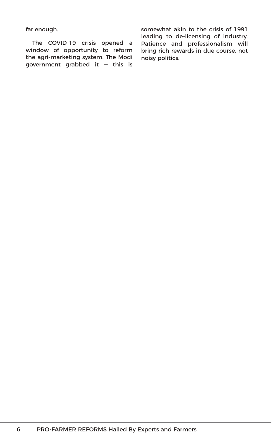far enough.

The COVID-19 crisis opened a window of opportunity to reform the agri-marketing system. The Modi government grabbed it — this is somewhat akin to the crisis of 1991 leading to de-licensing of industry. Patience and professionalism will bring rich rewards in due course, not noisy politics.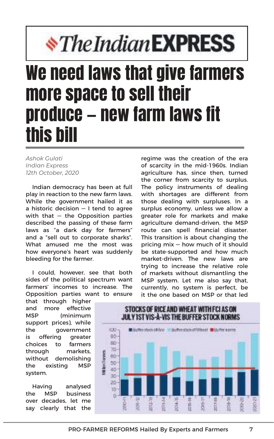# *\*The Indian EXPRESS*

### We need laws that give farmers more space to sell their produce — new farm laws fit this bill

*Ashok Gulati Indian Express 12th October, 2020*

Indian democracy has been at full play in reaction to the new farm laws. While the government hailed it as a historic decision — I tend to agree with that  $-$  the Opposition parties described the passing of these farm laws as "a dark day for farmers" and a "sell out to corporate sharks". What amused me the most was how everyone's heart was suddenly bleeding for the farmer.

I could, however, see that both sides of the political spectrum want farmers' incomes to increase. The Opposition parties want to ensure

that through higher and more effective MSP (minimum support prices), while the government is offering greater choices to farmers through markets, without demolishing the existing MSP system.

Having analysed the MSP business over decades, let me say clearly that the regime was the creation of the era of scarcity in the mid-1960s. Indian agriculture has, since then, turned the corner from scarcity to surplus. The policy instruments of dealing with shortages are different from those dealing with surpluses. In a surplus economy, unless we allow a greater role for markets and make agriculture demand-driven, the MSP route can spell financial disaster. This transition is about changing the pricing mix — how much of it should be state-supported and how much market-driven. The new laws are trying to increase the relative role of markets without dismantling the MSP system. Let me also say that, currently, no system is perfect, be it the one based on MSP or that led

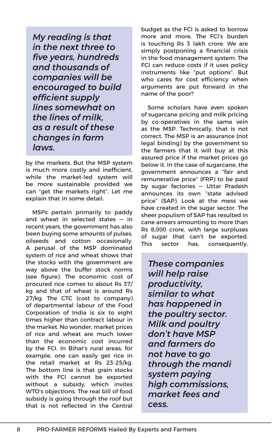*My reading is that in the next three to five years, hundreds and thousands of companies will be encouraged to build efficient supply lines somewhat on the lines of milk, as a result of these changes in farm laws.* 

by the markets. But the MSP system is much more costly and inefficient, while the market-led system will be more sustainable provided we can "get the markets right". Let me explain that in some detail.

MSPs pertain primarily to paddy and wheat in selected states — in recent years, the government has also been buying some amounts of pulses, oilseeds and cotton occasionally. A perusal of the MSP dominated system of rice and wheat shows that the stocks with the government are way above the buffer stock norms (see figure). The economic cost of procured rice comes to about Rs 37/ kg and that of wheat is around Rs 27/kg. The CTC (cost to company) of departmental labour of the Food Corporation of India is six to eight times higher than contract labour in the market. No wonder, market prices of rice and wheat are much lower than the economic cost incurred by the FCI. In Bihar's rural areas, for example, one can easily get rice in the retail market at Rs 23-25/kg. The bottom line is that grain stocks with the FCI cannot be exported without a subsidy, which invites WTO's objections. The real bill of food subsidy is going through the roof but that is not reflected in the Central

budget as the FCI is asked to borrow more and more. The FCI's burden is touching Rs 3 lakh crore. We are simply postponing a financial crisis in the food management system. The FCI can reduce costs if it uses policy instruments like "put options". But who cares for cost efficiency when arguments are put forward in the name of the poor?

Some scholars have even spoken of sugarcane pricing and milk pricing by co-operatives in the same vein as the MSP. Technically, that is not correct. The MSP is an assurance (not legal binding) by the government to the farmers that it will buy at this assured price if the market prices go below it. In the case of sugarcane, the government announces a "fair and remunerative price" (FRP) to be paid by sugar factories — Uttar Pradesh announces its own "state advised price" (SAP). Look at the mess we have created in the sugar sector. The sheer populism of SAP has resulted in cane arrears amounting to more than Rs 8,000 crore, with large surpluses of sugar that can't be exported. This sector has, consequently,

*These companies will help raise productivity, similar to what has happened in the poultry sector. Milk and poultry don't have MSP and farmers do not have to go through the mandi system paying high commissions, market fees and cess.*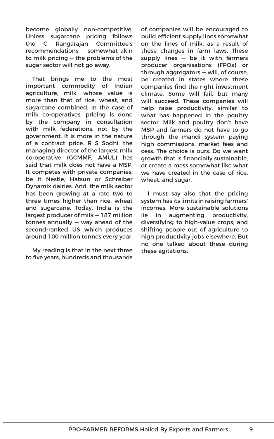become globally non-competitive. Unless sugarcane pricing follows the C Rangarajan Committee's recommendations — somewhat akin to milk pricing — the problems of the sugar sector will not go away.

That brings me to the most important commodity of Indian agriculture, milk, whose value is more than that of rice, wheat, and sugarcane combined. In the case of milk co-operatives, pricing is done by the company in consultation with milk federations, not by the government. It is more in the nature of a contract price. R S Sodhi, the managing director of the largest milk co-operative (GCMMF, AMUL) has said that milk does not have a MSP. It competes with private companies, be it Nestle, Hatsun or Schreiber Dynamix dairies. And, the milk sector has been growing at a rate two to three times higher than rice, wheat and sugarcane. Today, India is the largest producer of milk — 187 million tonnes annually — way ahead of the second-ranked US which produces around 100 million tonnes every year.

My reading is that in the next three to five years, hundreds and thousands of companies will be encouraged to build efficient supply lines somewhat on the lines of milk, as a result of these changes in farm laws. These supply lines  $-$  be it with farmers producer organisations (FPOs) or through aggregators — will, of course, be created in states where these companies find the right investment climate. Some will fail, but many will succeed. These companies will help raise productivity, similar to what has happened in the poultry sector. Milk and poultry don't have MSP and farmers do not have to go through the mandi system paying high commissions, market fees and cess. The choice is ours: Do we want growth that is financially sustainable, or create a mess somewhat like what we have created in the case of rice, wheat, and sugar.

I must say also that the pricing system has its limits in raising farmers' incomes. More sustainable solutions lie in augmenting productivity, diversifying to high-value crops, and shifting people out of agriculture to high productivity jobs elsewhere. But no one talked about these during these agitations.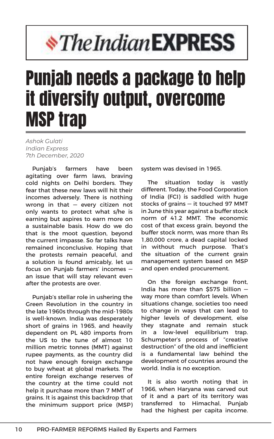# *\*The Indian EXPRESS*

## Punjab needs a package to help it diversify output, overcome MSP trap

*Ashok Gulati Indian Express 7th December, 2020*

Punjab's farmers have been agitating over farm laws, braving cold nights on Delhi borders. They fear that these new laws will hit their incomes adversely. There is nothing wrong in that  $-$  every citizen not only wants to protect what s/he is earning but aspires to earn more on a sustainable basis. How do we do that is the moot question, beyond the current impasse. So far talks have remained inconclusive. Hoping that the protests remain peaceful, and a solution is found amicably, let us focus on Punjab farmers' incomes an issue that will stay relevant even after the protests are over.

Punjab's stellar role in ushering the Green Revolution in the country in the late 1960s through the mid-1980s is well-known. India was desperately short of grains in 1965, and heavily dependent on PL 480 imports from the US to the tune of almost 10 million metric tonnes (MMT) against rupee payments, as the country did not have enough foreign exchange to buy wheat at global markets. The entire foreign exchange reserves of the country at the time could not help it purchase more than 7 MMT of grains. It is against this backdrop that the minimum support price (MSP) system was devised in 1965.

The situation today is vastly different. Today, the Food Corporation of India (FCI) is saddled with huge stocks of grains — it touched 97 MMT in June this year against a buffer stock norm of 41.2 MMT. The economic cost of that excess grain, beyond the buffer stock norm, was more than Rs 1,80,000 crore, a dead capital locked in without much purpose. That's the situation of the current grain management system based on MSP and open ended procurement.

On the foreign exchange front, India has more than \$575 billion way more than comfort levels. When situations change, societies too need to change in ways that can lead to higher levels of development, else they stagnate and remain stuck in a low-level equilibrium trap. Schumpeter's process of "creative destruction" of the old and inefficient is a fundamental law behind the development of countries around the world. India is no exception.

It is also worth noting that in 1966, when Haryana was carved out of it and a part of its territory was transferred to Himachal, Punjab had the highest per capita income.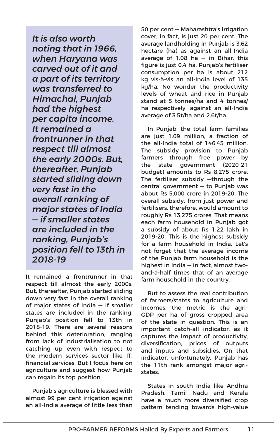*It is also worth noting that in 1966, when Haryana was carved out of it and a part of its territory was transferred to Himachal, Punjab had the highest per capita income. It remained a frontrunner in that respect till almost the early 2000s. But, thereafter, Punjab started sliding down very fast in the overall ranking of major states of India — if smaller states are included in the ranking, Punjab's position fell to 13th in 2018-19*

It remained a frontrunner in that respect till almost the early 2000s. But, thereafter, Punjab started sliding down very fast in the overall ranking of major states of India — if smaller states are included in the ranking, Punjab's position fell to 13th in 2018-19. There are several reasons behind this deterioration, ranging from lack of industrialisation to not catching up even with respect to the modern services sector like IT, financial services. But I focus here on agriculture and suggest how Punjab can regain its top position.

Punjab's agriculture is blessed with almost 99 per cent irrigation against an all-India average of little less than

50 per cent — Maharashtra's irrigation cover, in fact, is just 20 per cent. The average landholding in Punjab is 3.62 hectare (ha) as against an all-India average of 1.08 ha — in Bihar, this figure is just 0.4 ha. Punjab's fertiliser consumption per ha is about 212 kg vis-à-vis an all-India level of 135 kg/ha. No wonder the productivity levels of wheat and rice in Punjab stand at 5 tonnes/ha and 4 tonnes/ ha respectively, against an all-India average of 3.5t/ha and 2.6t/ha.

In Punjab, the total farm families are just 1.09 million, a fraction of the all-India total of 146.45 million. The subsidy provision to Punjab farmers through free power by the state government (2020-21 budget) amounts to Rs 8,275 crore. The fertiliser subsidy —through the central government — to Punjab was about Rs 5,000 crore in 2019-20. The overall subsidy, from just power and fertilisers, therefore, would amount to roughly Rs 13,275 crores. That means each farm household in Punjab got a subsidy of about Rs 1.22 lakh in 2019-20. This is the highest subsidy for a farm household in India. Let's not forget that the average income of the Punjab farm household is the highest in India — in fact, almost twoand-a-half times that of an average farm household in the country.

But to assess the real contribution of farmers/states to agriculture and incomes, the metric is the agri-GDP per ha of gross cropped area of the state in question. This is an important catch-all indicator, as it captures the impact of productivity, diversification, prices of outputs and inputs and subsidies. On that indicator, unfortunately, Punjab has the 11th rank amongst major agristates.

States in south India like Andhra Pradesh, Tamil Nadu and Kerala have a much more diversified crop pattern tending towards high-value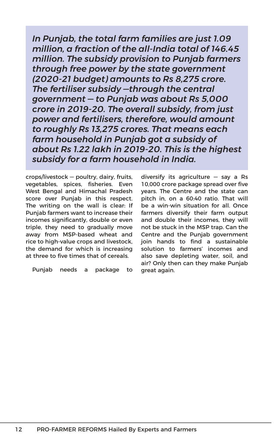*In Punjab, the total farm families are just 1.09 million, a fraction of the all-India total of 146.45 million. The subsidy provision to Punjab farmers through free power by the state government (2020-21 budget) amounts to Rs 8,275 crore. The fertiliser subsidy —through the central government — to Punjab was about Rs 5,000 crore in 2019-20. The overall subsidy, from just power and fertilisers, therefore, would amount to roughly Rs 13,275 crores. That means each farm household in Punjab got a subsidy of about Rs 1.22 lakh in 2019-20. This is the highest subsidy for a farm household in India.* 

crops/livestock — poultry, dairy, fruits, vegetables, spices, fisheries. Even West Bengal and Himachal Pradesh score over Punjab in this respect. The writing on the wall is clear: If Punjab farmers want to increase their incomes significantly, double or even triple, they need to gradually move away from MSP-based wheat and rice to high-value crops and livestock, the demand for which is increasing at three to five times that of cereals.

Punjab needs a package to

diversify its agriculture — say a Rs 10,000 crore package spread over five years. The Centre and the state can pitch in, on a 60:40 ratio. That will be a win-win situation for all. Once farmers diversify their farm output and double their incomes, they will not be stuck in the MSP trap. Can the Centre and the Punjab government join hands to find a sustainable solution to farmers' incomes and also save depleting water, soil, and air? Only then can they make Punjab great again.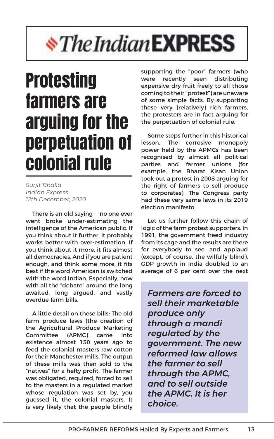# *<i><u><b>\*TheIndianEXPRESS</u>*

### **Protesting** farmers are arguing for the perpetuation of colonial rule

*Surjit Bhalla Indian Express 12th December, 2020*

There is an old saying — no one ever went broke under-estimating the intelligence of the American public. If you think about it further, it probably works better with over-estimation. If you think about it more, it fits almost all democracies. And if you are patient enough, and think some more, it fits best if the word American is switched with the word Indian. Especially, now with all the "debate" around the long awaited, long argued, and vastly overdue farm bills.

A little detail on these bills: The old farm produce laws (the creation of the Agricultural Produce Marketing Committee (APMC) came into existence almost 150 years ago to feed the colonial masters raw cotton for their Manchester mills. The output of these mills was then sold to the "natives" for a hefty profit. The farmer was obligated, required, forced to sell to the masters in a regulated market whose regulation was set by, you guessed it, the colonial masters. It is very likely that the people blindly supporting the "poor" farmers (who were recently seen distributing expensive dry fruit freely to all those coming to their "protest") are unaware of some simple facts. By supporting these very (relatively) rich farmers, the protesters are in fact arguing for the perpetuation of colonial rule.

Some steps further in this historical lesson. The corrosive monopoly power held by the APMCs has been recognised by almost all political parties and farmer unions (for example, the Bharat Kisan Union took out a protest in 2008 arguing for the right of farmers to sell produce to corporates). The Congress party had these very same laws in its 2019 election manifesto.

Let us further follow this chain of logic of the farm protest supporters. In 1991, the government freed industry from its cage and the results are there for everybody to see, and applaud (except, of course, the wilfully blind). GDP growth in India doubled to an average of 6 per cent over the next

*Farmers are forced to sell their marketable produce only through a mandi regulated by the government. The new reformed law allows the farmer to sell through the APMC, and to sell outside the APMC. It is her choice.*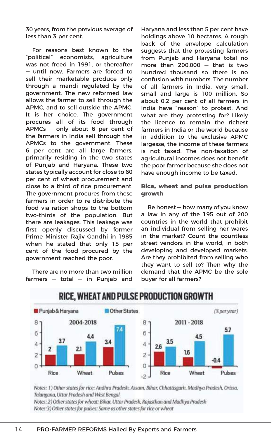30 years, from the previous average of less than 3 per cent.

For reasons best known to the "political" economists, agriculture was not freed in 1991, or thereafter — until now. Farmers are forced to sell their marketable produce only through a mandi regulated by the government. The new reformed law allows the farmer to sell through the APMC, and to sell outside the APMC. It is her choice. The government procures all of its food through APMCs — only about 6 per cent of the farmers in India sell through the APMCs to the government. These 6 per cent are all large farmers, primarily residing in the two states of Punjab and Haryana. These two states typically account for close to 60 per cent of wheat procurement and close to a third of rice procurement. The government procures from these farmers in order to re-distribute the food via ration shops to the bottom two-thirds of the population. But there are leakages. This leakage was first openly discussed by former Prime Minister Rajiv Gandhi in 1985 when he stated that only 15 per cent of the food procured by the government reached the poor.

There are no more than two million farmers — total — in Punjab and

Haryana and less than 5 per cent have holdings above 10 hectares. A rough back of the envelope calculation suggests that the protesting farmers from Punjab and Haryana total no more than 200,000 — that is two hundred thousand so there is no confusion with numbers. The number of all farmers in India, very small, small and large is 100 million. So about 0.2 per cent of all farmers in India have "reason" to protest. And what are they protesting for? Likely the licence to remain the richest farmers in India or the world because in addition to the exclusive APMC largesse, the income of these farmers is not taxed. The non-taxation of agricultural incomes does not benefit the poor farmer because she does not have enough income to be taxed.

#### **Rice, wheat and pulse production growth**

Be honest — how many of you know a law in any of the 195 out of 200 countries in the world that prohibit an individual from selling her wares in the market? Count the countless street vendors in the world, in both developing and developed markets. Are they prohibited from selling who they want to sell to? Then why the demand that the APMC be the sole buyer for all farmers?



### RICE, WHEAT AND PULSE PRODUCTION GROWTH

Notes: 1) Other states for rice: Andhra Pradesh, Assam, Bihar, Chhattisgarh, Madhya Pradesh, Orissa, Telangana, Uttar Pradesh and West Bengal

Notes: 2) Other states for wheat: Bihar, Uttar Pradesh, Rajasthan and Madhya Pradesh Notes:3) Other states for pulses: Same as other states for rice or wheat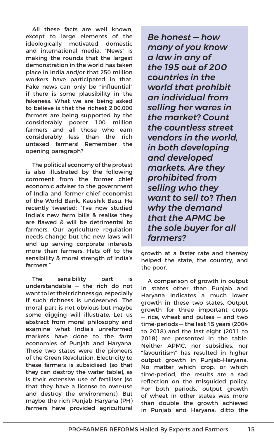All these facts are well known, except to large elements of the ideologically motivated domestic and international media. "News" is making the rounds that the largest demonstration in the world has taken place in India and/or that 250 million workers have participated in that. Fake news can only be "influential" if there is some plausibility in the fakeness. What we are being asked to believe is that the richest 2,00,000 farmers are being supported by the considerably poorer 100 million farmers and all those who earn considerably less than the rich untaxed farmers! Remember the opening paragraph?

The political economy of the protest is also illustrated by the following comment from the former chief economic adviser to the government of India and former chief economist of the World Bank, Kaushik Basu. He recently tweeted: "I've now studied India's new farm bills & realise they are flawed & will be detrimental to farmers. Our agriculture regulation needs change but the new laws will end up serving corporate interests more than farmers. Hats off to the sensibility & moral strength of India's farmers."

The sensibility part is understandable — the rich do not want to let their richness go, especially if such richness is undeserved. The moral part is not obvious but maybe some digging will illustrate. Let us abstract from moral philosophy and examine what India's unreformed markets have done to the farm economies of Punjab and Haryana. These two states were the pioneers of the Green Revolution. Electricity to these farmers is subsidised (so that they can destroy the water table), as is their extensive use of fertiliser (so that they have a license to over-use and destroy the environment). But maybe the rich Punjab-Haryana (PH) farmers have provided agricultural

*Be honest — how many of you know a law in any of the 195 out of 200 countries in the world that prohibit an individual from selling her wares in the market? Count the countless street vendors in the world, in both developing and developed markets. Are they prohibited from selling who they want to sell to? Then why the demand that the APMC be the sole buyer for all farmers?*

growth at a faster rate and thereby helped the state, the country, and the poor.

A comparison of growth in output in states other than Punjab and Haryana indicates a much lower growth in these two states. Output growth for three important crops — rice, wheat and pulses — and two time-periods — the last 15 years (2004 to 2018) and the last eight (2011 to 2018) are presented in the table. Neither APMC, nor subsidies, nor "favouritism" has resulted in higher output growth in Punjab-Haryana. No matter which crop, or which time-period, the results are a sad reflection on the misguided policy. For both periods, output growth of wheat in other states was more than double the growth achieved in Punjab and Haryana; ditto the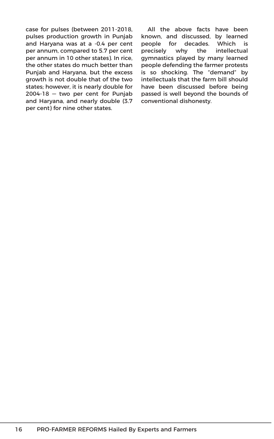case for pulses (between 2011-2018, pulses production growth in Punjab and Haryana was at a -0.4 per cent per annum, compared to 5.7 per cent per annum in 10 other states). In rice, the other states do much better than Punjab and Haryana, but the excess growth is not double that of the two states; however, it is nearly double for 2004-18 — two per cent for Punjab and Haryana, and nearly double (3.7 per cent) for nine other states.

All the above facts have been known, and discussed, by learned people for decades. Which is precisely why the intellectual gymnastics played by many learned people defending the farmer protests is so shocking. The "demand" by intellectuals that the farm bill should have been discussed before being passed is well beyond the bounds of conventional dishonesty.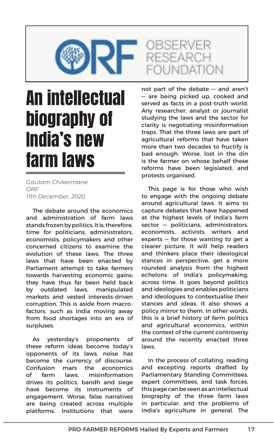

### An intellectual biography of India's new farm laws

*Gautam Chikermane ORF 11th December, 2020*

The debate around the economics and administration of farm laws stands frozen by politics. It is, therefore, time for politicians, administrators, economists, policymakers and other concerned citizens to examine the evolution of these laws. The three laws that have been enacted by Parliament attempt to take farmers towards harvesting economic gains; they have thus far been held back by outdated laws, manipulated markets and vested interests-driven corruption. This is aside from macrofactors, such as India moving away from food shortages into an era of surpluses.

As yesterday's proponents of these reform ideas become today's opponents of its laws, noise has become the currency of discourse. Confusion mars the economics of farm laws, misinformation drives its politics, bandh and siege have become its instruments of engagement. Worse, false narratives are being created across multiple platforms. Institutions that were not part of the debate — and aren't — are being picked up, cooked and served as facts in a post-truth world. Any researcher, analyst or journalist studying the laws and the sector for clarity is negotiating misinformation traps. That the three laws are part of agricultural reforms that have taken more than two decades to fructify is bad enough. Worse, lost in the din is the farmer on whose behalf these reforms have been legislated, and protests organised.

This page is for those who wish to engage with the ongoing debate around agricultural laws. It aims to capture debates that have happened at the highest levels of India's farm sector — politicians, administrators, economists, activists, writers and experts  $-$  for those wanting to get a clearer picture. It will help readers and thinkers place their ideological stances in perspective, get a more rounded analysis from the highest echelons of India's policymaking, across time. It goes beyond politics and ideologies and enables politicians and ideologues to contextualise their stances and ideas. It also shows a policy mirror to them. In other words, this is a brief history of farm politics and agricultural economics, within the context of the current controversy around the recently enacted three laws.

In the process of collating, reading and excepting reports drafted by Parliamentary Standing Committees, expert committees, and task forces, this page can be seen as an intellectual biography of the three farm laws in particular, and the problems of India's agriculture in general. The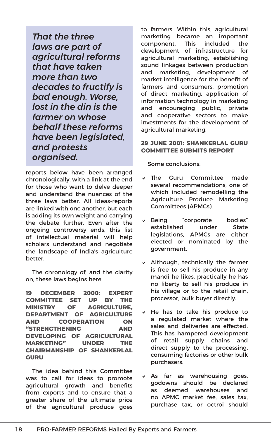*That the three laws are part of agricultural reforms that have taken more than two decades to fructify is bad enough. Worse, lost in the din is the farmer on whose behalf these reforms have been legislated, and protests organised.*

reports below have been arranged chronologically, with a link at the end for those who want to delve deeper and understand the nuances of the three laws better. All ideas-reports are linked with one another, but each is adding its own weight and carrying the debate further. Even after the ongoing controversy ends, this list of intellectual material will help scholars understand and negotiate the landscape of India's agriculture better.

The chronology of, and the clarity on, these laws begins here.

**19 DECEMBER 2000: EXPERT COMMITTEE SET UP BY THE MINISTRY OF AGRICULTURE, DEPARTMENT OF AGRICULTURE AND COOPERATION ON "STRENGTHENING AND DEVELOPING OF AGRICULTURAL MARKETING" UNDER THE CHAIRMANSHIP OF SHANKERLAL GURU**

The idea behind this Committee was to call for ideas to promote agricultural growth and benefits from exports and to ensure that a greater share of the ultimate price of the agricultural produce goes

to farmers. Within this, agricultural marketing became an important component. This included the development of infrastructure for agricultural marketing, establishing sound linkages between production and marketing, development of market intelligence for the benefit of farmers and consumers, promotion of direct marketing, application of information technology in marketing and encouraging public, private and cooperative sectors to make investments for the development of agricultural marketing.

#### **29 JUNE 2001: SHANKERLAL GURU COMMITTEE SUBMITS REPORT**

Some conclusions:

- $\times$  The Guru Committee made several recommendations, one of which included remodelling the Agriculture Produce Marketing Committees (APMCs).
- v Being "corporate bodies" established under State legislations, APMCs are either elected or nominated by the government.
- $\vee$  Although, technically the farmer is free to sell his produce in any mandi he likes, practically he has no liberty to sell his produce in his village or to the retail chain, processor, bulk buyer directly.
- $\vee$  He has to take his produce to a regulated market where the sales and deliveries are effected. This has hampered development of retail supply chains and direct supply to the processing, consuming factories or other bulk purchasers.
- $\times$  As far as warehousing goes, godowns should be declared as deemed warehouses and no APMC market fee, sales tax, purchase tax, or octroi should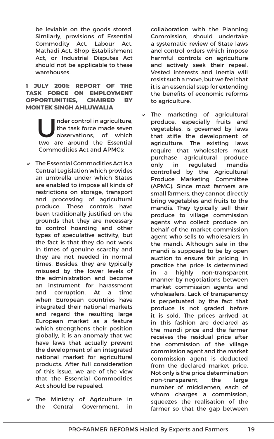be leviable on the goods stored. Similarly, provisions of Essential Commodity Act, Labour Act, Mathadi Act, Shop Establishment Act, or Industrial Disputes Act should not be applicable to these warehouses.

#### **1 JULY 2001: REPORT OF THE TASK FORCE ON EMPLOYMENT OPPORTUNITIES, CHAIRED BY MONTEK SINGH AHLUWALIA**

Inder control in agriculture,<br>the task force made seven<br>observations, of which<br>tue are around the Escential the task force made seven observations, of which two are around the Essential Commodities Act and APMCs:

- $\vee$  The Essential Commodities Act is a Central Legislation which provides an umbrella under which States are enabled to impose all kinds of restrictions on storage, transport and processing of agricultural produce. These controls have been traditionally justified on the grounds that they are necessary to control hoarding and other types of speculative activity, but the fact is that they do not work in times of genuine scarcity and they are not needed in normal times. Besides, they are typically misused by the lower levels of the administration and become an instrument for harassment and corruption. At a time when European countries have integrated their national markets and regard the resulting large European market as a feature which strengthens their position globally, it is an anomaly that we have laws that actually prevent the development of an integrated national market for agricultural products. After full consideration of this issue, we are of the view that the Essential Commodities Act should be repealed.
- $\vee$  The Ministry of Agriculture in the Central Government, in

collaboration with the Planning Commission, should undertake a systematic review of State laws and control orders which impose harmful controls on agriculture and actively seek their repeal. Vested interests and inertia will resist such a move, but we feel that it is an essential step for extending the benefits of economic reforms to agriculture.

 $\vee$  The marketing of agricultural produce, especially fruits and vegetables, is governed by laws that stifle the development of agriculture. The existing laws require that wholesalers must purchase agricultural produce only in regulated mandis controlled by the Agricultural Produce Marketing Committee (APMC). Since most farmers are small farmers, they cannot directly bring vegetables and fruits to the mandis. They typically sell their produce to village commission agents who collect produce on behalf of the market commission agent who sells to wholesalers in the mandi. Although sale in the mandi is supposed to be by open auction to ensure fair pricing, in practice the price is determined in a highly non-transparent manner by negotiations between market commission agents and wholesalers. Lack of transparency is perpetuated by the fact that produce is not graded before it is sold. The prices arrived at in this fashion are declared as the mandi price and the farmer receives the residual price after the commission of the village commission agent and the market commission agent is deducted from the declared market price. Not only is the price determination non-transparent, the large number of middlemen, each of whom charges a commission. squeezes the realisation of the farmer so that the gap between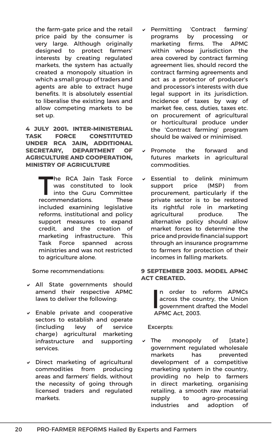the farm-gate price and the retail price paid by the consumer is very large. Although originally designed to protect farmers' interests by creating regulated markets, the system has actually created a monopoly situation in which a small group of traders and agents are able to extract huge benefits. It is absolutely essential to liberalise the existing laws and allow competing markets to be set up.

**4 JULY 2001. INTER-MINISTERIAL TASK FORCE CONSTITUTED UNDER RCA JAIN, ADDITIONAL SECRETARY, DEPARTMENT OF AGRICULTURE AND COOPERATION, MINISTRY OF AGRICULTURE**

> The RCA Jain Task Force<br>
> into the Guru Committee<br> **Exampled** was constituted to look recommendations. These included examining legislative reforms, institutional and policy support measures to expand credit, and the creation of marketing infrastructure. This Task Force spanned across ministries and was not restricted to agriculture alone.

Some recommendations:

- $\vee$  All State governments should amend their respective APMC laws to deliver the following:
- $\triangleright$  Enable private and cooperative sectors to establish and operate (including levy of service charge) agricultural marketing infrastructure and supporting services.
- $\vee$  Direct marketing of agricultural commodities from producing areas and farmers' fields, without the necessity of going through licensed traders and regulated markets.
- Permitting 'Contract farming' programs by processing or marketing firms. The APMC within whose jurisdiction the area covered by contract farming agreement lies, should record the contract farming agreements and act as a protector of producer's and processor's interests with due legal support in its jurisdiction. Incidence of taxes by way of market fee, cess, duties, taxes etc. on procurement of agricultural or horticultural produce under the 'Contract farming' program should be waived or minimised.
- Promote the forward and futures markets in agricultural commodities.
- $\vee$  Essential to delink minimum support price (MSP) from procurement, particularly if the private sector is to be restored its rightful role in marketing agricultural produce. The alternative policy should allow market forces to determine the price and provide financial support through an insurance programme to farmers for protection of their incomes in falling markets.

#### **9 SEPTEMBER 2003. MODEL APMC ACT CREATED.**

I n order to reform APMCs across the country, the Union government drafted the Model APMC Act, 2003.

Excerpts:

The monopoly of [state] government regulated wholesale markets has prevented development of a competitive marketing system in the country, providing no help to farmers in direct marketing, organising retailing, a smooth raw material supply to agro-processing industries and adoption of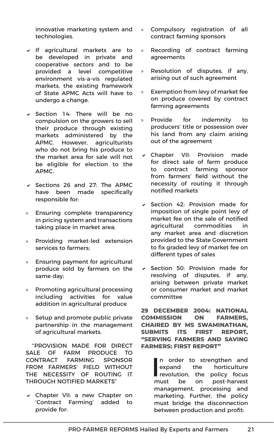innovative marketing system and technologies.

- $\vee$  If agricultural markets are to be developed in private and cooperative sectors and to be provided a level competitive environment vis-a-vis regulated markets, the existing framework of State APMC Acts will have to undergo a change.
- $\checkmark$  Section 14: There will be no compulsion on the growers to sell their produce through existing markets administered by the APMC. However, agriculturists who do not bring his produce to the market area for sale will not be eligible for election to the APMC.
- $\vee$  Sections 26 and 27: The APMC have been made specifically responsible for:
- » Ensuring complete transparency in pricing system and transactions taking place in market area;
- » Providing market-led extension services to farmers;
- » Ensuring payment for agricultural produce sold by farmers on the same day;
- » Promoting agricultural processing including activities for value addition in agricultural produce
- » Setup and promote public private partnership in the management of agricultural markets.

"PROVISION MADE FOR DIRECT SALE OF FARM PRODUCE TO CONTRACT FARMING SPONSOR FROM FARMERS' FIELD WITHOUT THE NECESSITY OF ROUTING IT THROUGH NOTIFIED MARKETS"

v Chapter VII: a new Chapter on 'Contract Farming' added to provide for:

- » Compulsory registration of all contract farming sponsors
- » Recording of contract farming agreements
- » Resolution of disputes, if any, arising out of such agreement
- » Exemption from levy of market fee on produce covered by contract farming agreements
- » Provide for indemnity to producers' title or possession over his land from any claim arising out of the agreement
- v Chapter VII: Provision made for direct sale of farm produce to contract farming sponsor from farmers' field without the necessity of routing it through notified markets
- $\vee$  Section 42: Provision made for imposition of single point levy of market fee on the sale of notified agricultural commodities in any market area and discretion provided to the State Government to fix graded levy of market fee on different types of sales
- $\vee$  Section 50: Provision made for resolving of disputes, if any, arising between private market or consumer market and market committee

**29 DECEMBER 2004: NATIONAL COMMISSION ON FARMERS, CHAIRED BY MS SWAMINATHAN, SUBMITS ITS FIRST REPORT, "SERVING FARMERS AND SAVING FARMERS: FIRST REPORT"**

> I n order to strengthen and expand the horticulture revolution, the policy focus must be on post-harvest management, processing and marketing. Further, the policy must bridge the disconnection between production and profit: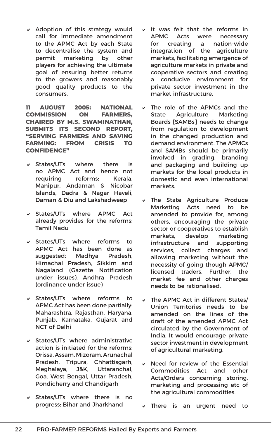$\vee$  Adoption of this strategy would call for immediate amendment to the APMC Act by each State to decentralise the system and permit marketing by other players for achieving the ultimate goal of ensuring better returns to the growers and reasonably good quality products to the consumers.

**11 AUGUST 2005: NATIONAL COMMISSION ON FARMERS, CHAIRED BY M.S. SWAMINATHAN, SUBMITS ITS SECOND REPORT, "SERVING FARMERS AND SAVING FARMING: FROM CRISIS TO CONFIDENCE"**

- $\vee$  States/UTs where there is no APMC Act and hence not requiring reforms: Kerala, Manipur, Andaman & Nicobar Islands, Dadra & Nagar Haveli, Daman & Diu and Lakshadweep
- v States/UTs where APMC Act already provides for the reforms: Tamil Nadu
- $\overline{\phantom{a}}$  States/UTs where reforms to APMC Act has been done as suggested: Madhya Pradesh, Himachal Pradesh, Sikkim and Nagaland (Gazette Notification under issues), Andhra Pradesh (ordinance under issue)
- $\vee$  States/UTs where reforms to APMC Act has been done partially: Maharashtra, Rajasthan, Haryana, Punjab, Karnataka, Gujarat and NCT of Delhi
- $\vee$  States/UTs where administrative action is initiated for the reforms: Orissa, Assam, Mizoram, Arunachal Pradesh, Tripura, Chhattisgarh, Meghalaya, J&K, Uttaranchal, Goa, West Bengal, Uttar Pradesh, Pondicherry and Chandigarh
- $\vee$  States/UTs where there is no progress: Bihar and Jharkhand
- It was felt that the reforms in APMC Acts were necessary for creating a nation-wide integration of the agriculture markets, facilitating emergence of agriculture markets in private and cooperative sectors and creating a conducive environment for private sector investment in the market infrastructure.
- $\vee$  The role of the APMCs and the State Agriculture Marketing Boards [SAMBs] needs to change from regulation to development in the changed production and demand environment. The APMCs and SAMBs should be primarily involved in grading, branding and packaging and building up markets for the local products in domestic and even international markets.
- The State Agriculture Produce Marketing Acts need to be amended to provide for, among others, encouraging the private sector or cooperatives to establish markets, develop marketing infrastructure and supporting services, collect charges and allowing marketing without the necessity of going though APMC/ licensed traders. Further, the market fee and other charges needs to be rationalised.
- The APMC Act in different States/ Union Territories needs to be amended on the lines of the draft of the amended APMC Act circulated by the Government of India. It would encourage private sector investment in development of agricultural marketing.
- $\vee$  Need for review of the Essential Commodities Act and other Acts/Orders concerning storing, marketing and processing etc of the agricultural commodities.
- $\vee$  There is an urgent need to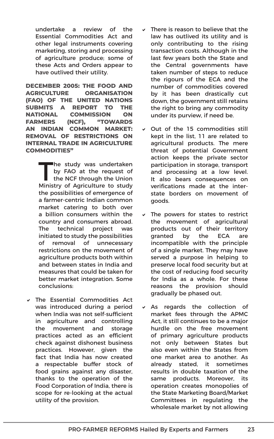undertake a review of the Essential Commodities Act and other legal instruments covering marketing, storing and processing of agriculture produce; some of these Acts and Orders appear to have outlived their utility.

**DECEMBER 2005: THE FOOD AND AGRICULTURE ORGANISATION (FAO) OF THE UNITED NATIONS SUBMITS A REPORT TO THE NATIONAL COMMISSION ON FARMERS (NCF), "TOWARDS AN INDIAN COMMON MARKET: REMOVAL OF RESTRICTIONS ON INTERNAL TRADE IN AGRICULTURE COMMODITIES"**

> The study was undertaken by FAO at the request of the NCF through the Union Ministry of Agriculture to study the possibilities of emergence of a farmer-centric Indian common market catering to both over a billion consumers within the country and consumers abroad. The technical project was initiated to study the possibilities of removal of unnecessary restrictions on the movement of agriculture products both within and between states in India and measures that could be taken for better market integration. Some conclusions:

v The Essential Commodities Act was introduced during a period when India was not self-sufficient in agriculture and controlling the movement and storage practices acted as an efficient check against dishonest business practices. However, given the fact that India has now created a respectable buffer stock of food grains against any disaster, thanks to the operation of the Food Corporation of India, there is scope for re-looking at the actual utility of the provision.

- There is reason to believe that the law has outlived its utility and is only contributing to the rising transaction costs. Although in the last few years both the State and the Central governments have taken number of steps to reduce the rigours of the ECA and the number of commodities covered by it has been drastically cut down, the government still retains the right to bring any commodity under its purview, if need be.
- $\vee$  Out of the 15 commodities still kept in the list, 11 are related to agricultural products. The mere threat of potential Government action keeps the private sector participation in storage, transport and processing at a low level. It also bears consequences on verifications made at the interstate borders on movement of goods.
- $\vee$  The powers for states to restrict the movement of agricultural products out of their territory granted by the ECA are incompatible with the principle of a single market. They may have served a purpose in helping to preserve local food security but at the cost of reducing food security for India as a whole. For these reasons the provision should gradually be phased out.
- $\times$  As regards the collection of market fees through the APMC Act, it still continues to be a major hurdle on the free movement of primary agriculture products not only between States but also even within the States from one market area to another. As already stated, it sometimes results in double taxation of the same products. Moreover, its operation creates monopolies of the State Marketing Board/Market Committees in regulating the wholesale market by not allowing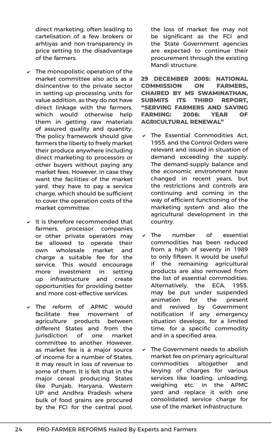direct marketing, often leading to cartelisation of a few brokers or arhtiyas and non-transparency in price setting to the disadvantage of the farmers.

- $\vee$  The monopolistic operation of the market committee also acts as a disincentive to the private sector in setting up processing units for value addition, as they do not have direct linkage with the farmers, which would otherwise help them in getting raw materials of assured quality and quantity. The policy framework should give farmers the liberty to freely market their produce anywhere including direct marketing to processors or other buyers without paying any market fees. However, in case they want the facilities of the market yard, they have to pay a service charge, which should be sufficient to cover the operation costs of the market committee.
- $\vee$  It is therefore recommended that farmers, processor companies or other private operators may be allowed to operate their own wholesale market and charge a suitable fee for the service. This would encourage more investment in setting up infrastructure and create opportunities for providing better and more cost-effective services.
- v The reform of APMC would facilitate free movement of agriculture products between different States and from the jurisdiction of one market committee to another. However, as market fee is a major source of income for a number of States, it may result in loss of revenue to some of them. It is felt that in the major cereal producing States like Punjab, Haryana, Western UP and Andhra Pradesh where bulk of food grains are procured by the FCI for the central pool,

the loss of market fee may not be significant as the FCI and the State Government agencies are expected to continue their procurement through the existing Mandi structure.

**29 DECEMBER 2005: NATIONAL COMMISSION ON FARMERS, CHAIRED BY MS SWAMINATHAN, SUBMITS ITS THIRD REPORT, "SERVING FARMERS AND SAVING FARMING: 2006: YEAR OF AGRICULTURAL RENEWAL"**

- The Essential Commodities Act, 1955, and the Control Orders were relevant and issued in situation of demand exceeding the supply. The demand-supply balance and the economic environment have changed in recent years, but the restrictions and controls are continuing and coming in the way of efficient functioning of the marketing system and also the agricultural development in the country.
- The number of essential commodities has been reduced from a high of seventy in 1989 to only fifteen. It would be useful if the remaining agricultural products are also removed from the list of essential commodities. Alternatively, the ECA, 1955, may be put under suspended animation for the present and revived by Government notification if any emergency situation develops, for a limited time, for a specific commodity and in a specified area.
- The Government needs to abolish market fee on primary agricultural commodities altogether and levying of charges for various services like loading, unloading, weighing etc. in the APMC yard and replace it with one consolidated service charge for use of the market infrastructure.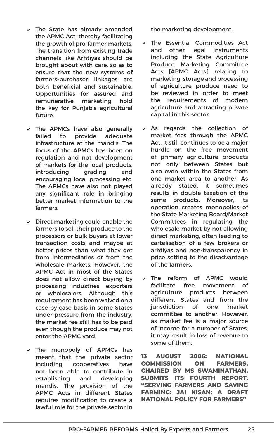- $\vee$  The State has already amended the APMC Act, thereby facilitating the growth of pro-farmer markets. The transition from existing trade channels like Arhtiyas should be brought about with care, so as to ensure that the new systems of farmers-purchaser linkages are both beneficial and sustainable. Opportunities for assured and remunerative marketing hold the key for Punjab's agricultural future.
- $\triangledown$  The APMCs have also generally failed to provide adequate infrastructure at the mandis. The focus of the APMCs has been on regulation and not development of markets for the local products, introducing grading and encouraging local processing etc. The APMCs have also not played any significant role in bringing better market information to the farmers.
- $\vee$  Direct marketing could enable the farmers to sell their produce to the processors or bulk buyers at lower transaction costs and maybe at better prices than what they get from intermediaries or from the wholesale markets. However, the APMC Act in most of the States does not allow direct buying by processing industries, exporters or wholesalers. Although this requirement has been waived on a case-by-case basis in some States under pressure from the industry, the market fee still has to be paid even though the produce may not enter the APMC yard.
- $\vee$  The monopoly of APMCs has meant that the private sector including cooperatives have not been able to contribute in establishing and developing mandis. The provision of the APMC Acts in different States requires modification to create a lawful role for the private sector in

the marketing development.

- $\vee$  The Essential Commodities Act and other legal instruments including the State Agriculture Produce Marketing Committee Acts [APMC Acts] relating to marketing, storage and processing of agriculture produce need to be reviewed in order to meet the requirements of modern agriculture and attracting private capital in this sector.
- As regards the collection of market fees through the APMC Act, it still continues to be a major hurdle on the free movement of primary agriculture products not only between States but also even within the States from one market area to another. As already stated, it sometimes results in double taxation of the same products. Moreover, its operation creates monopolies of the State Marketing Board/Market Committees in regulating the wholesale market by not allowing direct marketing, often leading to cartelisation of a few brokers or arhtiyas and non-transparency in price setting to the disadvantage of the farmers.
- $\vee$  The reform of APMC would facilitate free movement of agriculture products between different States and from the jurisdiction of one market committee to another. However, as market fee is a major source of income for a number of States, it may result in loss of revenue to some of them.

**13 AUGUST 2006: NATIONAL COMMISSION ON FARMERS, CHAIRED BY MS SWAMINATHAN, SUBMITS ITS FOURTH REPORT, "SERVING FARMERS AND SAVING FARMING: JAI KISAN: A DRAFT NATIONAL POLICY FOR FARMERS"**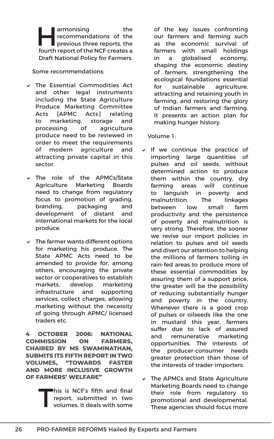armonising the<br>
previous three reports, the<br>
fourth report of the NCE create a recommendations of the fourth report of the NCF creates a Draft National Policy for Farmers.

Some recommendations:

- $\vee$  The Essential Commodities Act and other legal instruments including the State Agriculture Produce Marketing Committee Acts [APMC Acts] relating to marketing, storage and processing of agriculture produce need to be reviewed in order to meet the requirements of modern agriculture and attracting private capital in this sector.
- v The role of the APMCs/State Agriculture Marketing Boards need to change from regulatory focus to promotion of grading, branding, packaging and development of distant and international markets for the local produce.
- $\vee$  The farmer wants different options for marketing his produce. The State APMC Acts need to be amended to provide for, among others, encouraging the private sector or cooperatives to establish markets, develop marketing infrastructure and supporting services, collect charges, allowing marketing without the necessity of going through APMC/ licensed traders etc.

**4 OCTOBER 2006: NATIONAL COMMISSION ON FARMERS, CHAIRED BY MS SWAMINATHAN, SUBMITS ITS FIFTH REPORT IN TWO VOLUMES, "TOWARDS FASTER AND MORE INCLUSIVE GROWTH OF FARMERS' WELFARE"**

> This is NCF's fifth and final<br>report, submitted in two<br>volumes. It deals with some report, submitted in two volumes. It deals with some

of the key issues confronting our farmers and farming such as the economic survival of farmers with small holdings in a globalised economy, shaping the economic destiny of farmers, strengthening the ecological foundations essential for sustainable agriculture, attracting and retaining youth in farming, and restoring the glory of Indian farmers and farming. It presents an action plan for making hunger history.

Volume 1:

- $\vee$  If we continue the practice of importing large quantities of pulses and oil seeds, without determined action to produce them within the country, dry farming areas will continue to languish in poverty and malnutrition. The linkages between low small farm productivity and the persistence of poverty and malnutrition is very strong. Therefore, the sooner we revise our import policies in relation to pulses and oil seeds and divert our attention to helping the millions of farmers toiling in rain-fed areas to produce more of these essential commodities by assuring them of a support price, the greater will be the possibility of reducing substantially hunger and poverty in the country. Whenever there is a good crop of pulses or oilseeds like the one in mustard this year, farmers suffer due to lack of assured and remunerative marketing opportunities. The interests of the producer-consumer needs greater protection than those of the interests of trader-importers.
- $\triangledown$  The APMCs and State Agriculture Marketing Boards need to change their role from regulatory to promotional and developmental. These agencies should focus more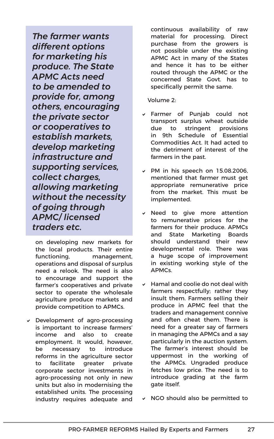*The farmer wants different options for marketing his produce. The State APMC Acts need to be amended to provide for, among others, encouraging the private sector or cooperatives to establish markets, develop marketing infrastructure and supporting services, collect charges, allowing marketing without the necessity of going through APMC/ licensed traders etc.*

on developing new markets for the local products. Their entire functioning, management, operations and disposal of surplus need a relook. The need is also to encourage and support the farmer's cooperatives and private sector to operate the wholesale agriculture produce markets and provide competition to APMCs.

 $\vee$  Development of agro-processing is important to increase farmers' income and also to create employment. It would, however, be necessary to introduce reforms in the agriculture sector to facilitate greater private corporate sector investments in agro-processing not only in new units but also in modernising the established units. The processing industry requires adequate and continuous availability of raw material for processing. Direct purchase from the growers is not possible under the existing APMC Act in many of the States and hence it has to be either routed through the APMC or the concerned State Govt. has to specifically permit the same.

Volume 2:

- v Farmer of Punjab could not transport surplus wheat outside due to stringent provisions in 9th Schedule of Essential Commodities Act. It had acted to the detriment of interest of the farmers in the past.
- $\vee$  PM in his speech on 15.08.2006, mentioned that farmer must get appropriate remunerative price from the market. This must be implemented.
- $\vee$  Need to give more attention to remunerative prices for the farmers for their produce. APMCs and State Marketing Boards should understand their new developmental role. There was a huge scope of improvement in existing working style of the APMCs.
- $\vee$  Hamal and coolie do not deal with farmers respectfully; rather they insult them. Farmers selling their produce in APMC feel that the traders and management connive and often cheat them. There is need for a greater say of farmers in managing the APMCs and a say particularly in the auction system. The farmer's interest should be uppermost in the working of the APMCs. Ungraded produce fetches low price. The need is to introduce grading at the farm gate itself.
- $\vee$  NGO should also be permitted to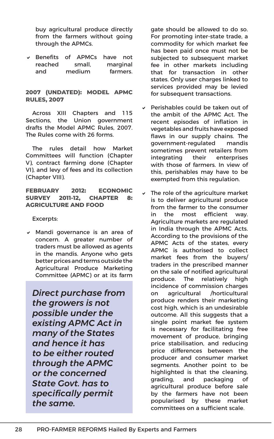buy agricultural produce directly from the farmers without going through the APMCs.

 $\vee$  Benefits of APMCs have not reached small, marginal and medium farmers.

#### **2007 (UNDATED): MODEL APMC RULES, 2007**

Across XIII Chapters and 115 Sections, the Union government drafts the Model APMC Rules, 2007. The Rules come with 26 forms.

The rules detail how Market Committees will function (Chapter V), contract farming done (Chapter VI), and levy of fees and its collection (Chapter VIII).

#### **FEBRUARY 2012: ECONOMIC SURVEY 2011-12, CHAPTER 8: AGRICULTURE AND FOOD**

Excerpts:

 $\vee$  Mandi governance is an area of concern. A greater number of traders must be allowed as agents in the mandis. Anyone who gets better prices and terms outside the Agricultural Produce Marketing Committee (APMC) or at its farm

*Direct purchase from the growers is not possible under the existing APMC Act in many of the States and hence it has to be either routed through the APMC or the concerned State Govt. has to specifically permit the same.*

gate should be allowed to do so. For promoting inter-state trade, a commodity for which market fee has been paid once must not be subjected to subsequent market fee in other markets including that for transaction in other states. Only user charges linked to services provided may be levied for subsequent transactions.

- Perishables could be taken out of the ambit of the APMC Act. The recent episodes of inflation in vegetables and fruits have exposed flaws in our supply chains. The government-regulated mandis sometimes prevent retailers from integrating their enterprises with those of farmers. In view of this, perishables may have to be exempted from this regulation.
- The role of the agriculture market is to deliver agricultural produce from the farmer to the consumer in the most efficient way. Agriculture markets are regulated in India through the APMC Acts. According to the provisions of the APMC Acts of the states, every APMC is authorised to collect market fees from the buyers/ traders in the prescribed manner on the sale of notified agricultural produce. The relatively high incidence of commission charges on agricultural /horticultural produce renders their marketing cost high, which is an undesirable outcome. All this suggests that a single point market fee system is necessary for facilitating free movement of produce, bringing price stabilisation, and reducing price differences between the producer and consumer market segments. Another point to be highlighted is that the cleaning, grading, and packaging of agricultural produce before sale by the farmers have not been popularised by these market committees on a sufficient scale.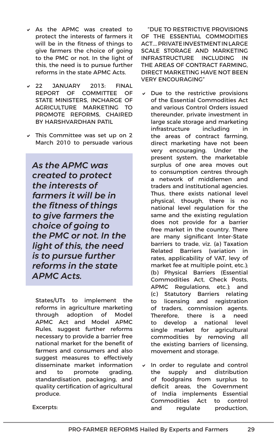- $\times$  As the APMC was created to protect the interests of farmers it will be in the fitness of things to give farmers the choice of going to the PMC or not. In the light of this, the need is to pursue further reforms in the state APMC Acts.
- v 22 JANUARY 2013: FINAL REPORT OF COMMITTEE OF STATE MINISTERS, INCHARGE OF AGRICULTURE MARKETING TO PROMOTE REFORMS, CHAIRED BY HARSHVARDHAN PATIL
- $\vee$  This Committee was set up on 2 March 2010 to persuade various

*As the APMC was created to protect the interests of farmers it will be in the fitness of things to give farmers the choice of going to the PMC or not. In the light of this, the need is to pursue further reforms in the state APMC Acts.*

States/UTs to implement the reforms in agriculture marketing through adoption of Model APMC Act and Model APMC Rules, suggest further reforms necessary to provide a barrier free national market for the benefit of farmers and consumers and also suggest measures to effectively disseminate market information and to promote grading, standardisation, packaging, and quality certification of agricultural produce.

"DUE TO RESTRICTIVE PROVISIONS OF THE ESSENTIAL COMMODITIES ACT…. PRIVATE INVESTMENT IN LARGE SCALE STORAGE AND MARKETING INFRASTRUCTURE INCLUDING IN THE AREAS OF CONTRACT FARMING, DIRECT MARKETING HAVE NOT BEEN VERY ENCOURAGING"

- Due to the restrictive provisions of the Essential Commodities Act and various Control Orders issued thereunder, private investment in large scale storage and marketing infrastructure including in the areas of contract farming, direct marketing have not been very encouraging. Under the present system, the marketable surplus of one area moves out to consumption centres through a network of middlemen and traders and institutional agencies. Thus, there exists national level physical, though, there is no national level regulation for the same and the existing regulation does not provide for a barrier free market in the country. There are many significant Inter-State barriers to trade, viz. (a) Taxation Related Barriers (variation in rates, applicability of VAT, levy of market fee at multiple point, etc.); (b) Physical Barriers (Essential Commodities Act, Check Posts, APMC Regulations, etc.); and (c) Statutory Barriers relating to licensing and registration of traders, commission agents. Therefore, there is a need to develop a national level single market for agricultural commodities by removing all the existing barriers of licensing, movement and storage.
- $\vee$  In order to regulate and control the supply and distribution of foodgrains from surplus to deficit areas, the Government of India implements Essential Commodities Act to control and regulate production,

Excerpts: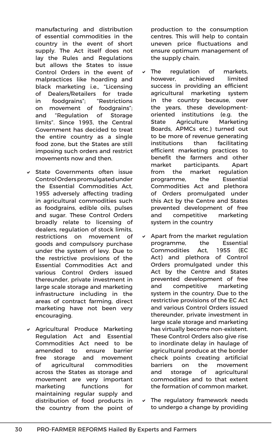manufacturing and distribution of essential commodities in the country in the event of short supply. The Act itself does not lay the Rules and Regulations but allows the States to issue Control Orders in the event of malpractices like hoarding and black marketing i.e., "Licensing of Dealers/Retailers for trade in foodgrains"; "Restrictions on movement of foodgrains"; and "Regulation of Storage limits". Since 1993, the Central Government has decided to treat the entire country as a single food zone, but the States are still imposing such orders and restrict movements now and then.

- $\vee$  State Governments often issue Control Orders promulgated under the Essential Commodities Act, 1955 adversely affecting trading in agricultural commodities such as foodgrains, edible oils, pulses and sugar. These Control Orders broadly relate to licensing of dealers, regulation of stock limits, restrictions on movement of goods and compulsory purchase under the system of levy. Due to the restrictive provisions of the Essential Commodities Act and various Control Orders issued thereunder, private investment in large scale storage and marketing infrastructure including in the areas of contract farming, direct marketing have not been very encouraging.
- v Agricultural Produce Marketing Regulation Act and Essential Commodities Act need to be amended to ensure barrier free storage and movement of agricultural commodities across the States as storage and movement are very important marketing functions for maintaining regular supply and distribution of food products in the country from the point of

production to the consumption centres. This will help to contain uneven price fluctuations and ensure optimum management of the supply chain.

- The regulation of markets, however, achieved limited success in providing an efficient agricultural marketing system in the country because, over the years, these developmentoriented institutions (e.g. the State Agriculture Marketing Boards, APMCs etc.) turned out to be more of revenue generating institutions than facilitating efficient marketing practices to benefit the farmers and other market participants. Apart from the market regulation programme, the Essential Commodities Act and plethora of Orders promulgated under this Act by the Centre and States prevented development of free and competitive marketing system in the country
- $\vee$  Apart from the market regulation programme, the Essential Commodities Act, 1955 (EC Act) and plethora of Control Orders promulgated under this Act by the Centre and States prevented development of free and competitive marketing system in the country. Due to the restrictive provisions of the EC Act and various Control Orders issued thereunder, private investment in large scale storage and marketing has virtually become non-existent. These Control Orders also give rise to inordinate delay in haulage of agricultural produce at the border check points creating artificial barriers on the movement and storage of agricultural commodities and to that extent the formation of common market.
- $\triangledown$  The regulatory framework needs to undergo a change by providing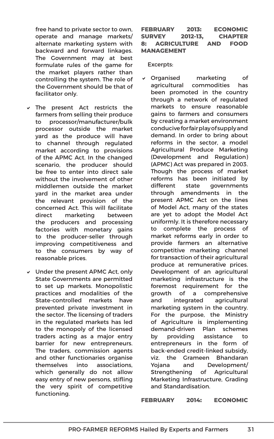free hand to private sector to own, operate and manage markets/ alternate marketing system with backward and forward linkages. The Government may at best formulate rules of the game for the market players rather than controlling the system. The role of the Government should be that of facilitator only.

- $\vee$  The present Act restricts the farmers from selling their produce to processor/manufacturer/bulk processor outside the market yard as the produce will have to channel through regulated market according to provisions of the APMC Act. In the changed scenario, the producer should be free to enter into direct sale without the involvement of other middlemen outside the market yard in the market area under the relevant provision of the concerned Act. This will facilitate direct marketing between the producers and processing factories with monetary gains to the producer-seller through improving competitiveness and to the consumers by way of reasonable prices.
- $\vee$  Under the present APMC Act, only State Governments are permitted to set up markets. Monopolistic practices and modalities of the State-controlled markets have prevented private investment in the sector. The licensing of traders in the regulated markets has led to the monopoly of the licensed traders acting as a major entry barrier for new entrepreneurs. The traders, commission agents and other functionaries organise themselves into associations, which generally do not allow easy entry of new persons, stifling the very spirit of competitive functioning.

### **FEBRUARY 2013: ECONOMIC SURVEY 2012-13, CHAPTER 8: AGRICULTURE AND FOOD MANAGEMENT**

Excerpts:

v Organised marketing of agricultural commodities has been promoted in the country through a network of regulated markets to ensure reasonable gains to farmers and consumers by creating a market environment conducive for fair play of supply and demand. In order to bring about reforms in the sector, a model Agricultural Produce Marketing (Development and Regulation) (APMC) Act was prepared in 2003. Though the process of market reforms has been initiated by different state governments through amendments in the present APMC Act on the lines of Model Act, many of the states are yet to adopt the Model Act uniformly. It is therefore necessary to complete the process of market reforms early in order to provide farmers an alternative competitive marketing channel for transaction of their agricultural produce at remunerative prices. Development of an agricultural marketing infrastructure is the foremost requirement for the growth of a comprehensive and integrated agricultural marketing system in the country. For the purpose, the Ministry of Agriculture is implementing demand-driven Plan schemes by providing assistance to entrepreneurs in the form of back-ended credit-linked subsidy, viz. the Grameen Bhandaran Yojana and Development/ Strengthening of Agricultural Marketing Infrastructure, Grading and Standardisation.

**FEBRUARY 2014: ECONOMIC**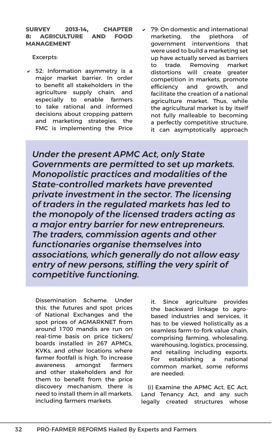### **SURVEY 2013-14, CHAPTER 8: AGRICULTURE AND FOOD MANAGEMENT**

Excerpts:

- $\times$  52: Information asymmetry is a major market barrier. In order to benefit all stakeholders in the agriculture supply chain, and especially to enable farmers to take rational and informed decisions about cropping pattern and marketing strategies, the FMC is implementing the Price
- 79: On domestic and international marketing, the plethora of government interventions that were used to build a marketing set up have actually served as barriers to trade. Removing market distortions will create greater competition in markets, promote efficiency and growth, and facilitate the creation of a national agriculture market. Thus, while the agricultural market is by itself not fully malleable to becoming a perfectly competitive structure, it can asymptotically approach

*Under the present APMC Act, only State Governments are permitted to set up markets. Monopolistic practices and modalities of the State-controlled markets have prevented private investment in the sector. The licensing of traders in the regulated markets has led to the monopoly of the licensed traders acting as a major entry barrier for new entrepreneurs. The traders, commission agents and other functionaries organise themselves into associations, which generally do not allow easy entry of new persons, stifling the very spirit of competitive functioning.*

Dissemination Scheme. Under this, the futures and spot prices of National Exchanges and the spot prices of AGMARKNET from around 1700 mandis are run on real-time basis on price tickers/ boards installed in 267 APMCs, KVKs, and other locations where farmer footfall is high. To increase awareness amongst farmers and other stakeholders and for them to benefit from the price discovery mechanism, there is need to install them in all markets, including farmers markets.

it. Since agriculture provides the backward linkage to agrobased industries and services, it has to be viewed holistically as a seamless farm-to-fork value chain, comprising farming, wholesaling, warehousing, logistics, processing, and retailing including exports. For establishing a national common market, some reforms are needed:

(i) Examine the APMC Act, EC Act, Land Tenancy Act, and any such legally created structures whose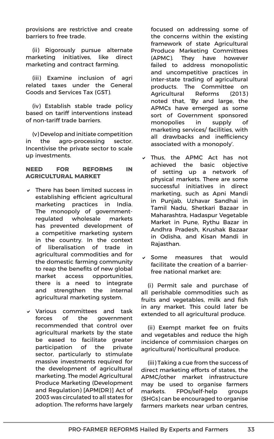provisions are restrictive and create barriers to free trade.

(ii) Rigorously pursue alternate marketing initiatives, like direct marketing and contract farming.

(iii) Examine inclusion of agri related taxes under the General Goods and Services Tax (GST).

(iv) Establish stable trade policy based on tariff interventions instead of non-tariff trade barriers.

(v) Develop and initiate competition in the agro-processing sector. Incentivise the private sector to scale up investments.

### **NEED FOR REFORMS IN AGRICULTURAL MARKET**

- $\vee$  There has been limited success in establishing efficient agricultural marketing practices in India. The monopoly of governmentregulated wholesale markets has prevented development of a competitive marketing system in the country. In the context of liberalisation of trade in agricultural commodities and for the domestic farming community to reap the benefits of new global market access opportunities, there is a need to integrate and strengthen the internal agricultural marketing system.
- $\vee$  Various committees and task forces of the government recommended that control over agricultural markets by the state be eased to facilitate greater participation of the private sector, particularly to stimulate massive investments required for the development of agricultural marketing. The model Agricultural Produce Marketing (Development and Regulation) [APM(DR)] Act of 2003 was circulated to all states for adoption. The reforms have largely

focused on addressing some of the concerns within the existing framework of state Agricultural Produce Marketing Committees (APMC). They have however failed to address monopolistic and uncompetitive practices in inter-state trading of agricultural products. The Committee on Agricultural Reforms (2013) noted that, 'By and large, the APMCs have emerged as some sort of Government sponsored monopolies in supply of marketing services/ facilities, with all drawbacks and inefficiency associated with a monopoly'.

- $\times$  Thus, the APMC Act has not achieved the basic objective of setting up a network of physical markets. There are some successful initiatives in direct marketing, such as Apni Mandi in Punjab, Uzhavar Sandhai in Tamil Nadu, Shetkari Bazaar in Maharashtra, Hadaspur Vegetable Market in Pune, Rythu Bazar in Andhra Pradesh, Krushak Bazaar in Odisha, and Kisan Mandi in Rajasthan.
- $\vee$  Some measures that would facilitate the creation of a barrierfree national market are:

(i) Permit sale and purchase of all perishable commodities such as fruits and vegetables, milk and fish in any market. This could later be extended to all agricultural produce.

(ii) Exempt market fee on fruits and vegetables and reduce the high incidence of commission charges on agricultural/ horticultural produce.

(iii) Taking a cue from the success of direct marketing efforts of states, the APMC/other market infrastructure may be used to organise farmers markets. FPOs/self-help groups (SHGs) can be encouraged to organise farmers markets near urban centres,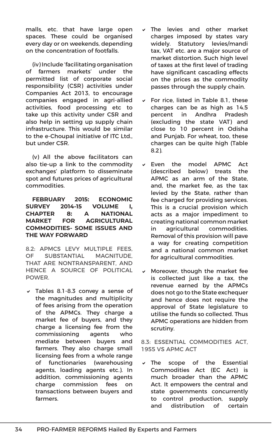malls, etc. that have large open spaces. These could be organised every day or on weekends, depending on the concentration of footfalls.

(iv) Include 'facilitating organisation of farmers markets' under the permitted list of corporate social responsibility (CSR) activities under Companies Act 2013, to encourage companies engaged in agri-allied activities, food processing etc to take up this activity under CSR and also help in setting up supply chain infrastructure. This would be similar to the e-Choupal initiative of ITC Ltd.. but under CSR.

(v) All the above facilitators can also tie-up a link to the commodity exchanges' platform to disseminate spot and futures prices of agricultural commodities.

### **FEBRUARY 2015: ECONOMIC SURVEY 2014-15 VOLUME I, CHAPTER 8: A NATIONAL MARKET FOR AGRICULTURAL COMMODITIES- SOME ISSUES AND THE WAY FORWARD**

8.2: APMCS LEVY MULTIPLE FEES, OF SUBSTANTIAL MAGNITUDE, THAT ARE NONTRANSPARENT, AND HENCE A SOURCE OF POLITICAL POWER.

 $\sqrt{ }$  Tables 8.1-8.3 convey a sense of the magnitudes and multiplicity of fees arising from the operation of the APMCs. They charge a market fee of buyers, and they charge a licensing fee from the commissioning agents who mediate between buyers and farmers. They also charge small licensing fees from a whole range of functionaries (warehousing agents, loading agents etc.). In addition, commissioning agents charge commission fees on transactions between buyers and farmers.

- The levies and other market charges imposed by states vary widely. Statutory levies/mandi tax, VAT etc. are a major source of market distortion. Such high level of taxes at the first level of trading have significant cascading effects on the prices as the commodity passes through the supply chain.
- $\triangleright$  For rice, listed in Table 8.1, these charges can be as high as 14.5 percent in Andhra Pradesh (excluding the state VAT) and close to 10 percent in Odisha and Punjab. For wheat, too, these charges can be quite high (Table 8.2).
- $\times$  Even the model APMC Act (described below) treats the APMC as an arm of the State, and, the market fee, as the tax levied by the State, rather than fee charged for providing services. This is a crucial provision which acts as a major impediment to creating national common market in agricultural commodities. Removal of this provision will pave a way for creating competition and a national common market for agricultural commodities.
- $\vee$  Moreover, though the market fee is collected just like a tax, the revenue earned by the APMCs does not go to the State exchequer and hence does not require the approval of State legislature to utilise the funds so collected. Thus APMC operations are hidden from scrutiny.

### 8.3: ESSENTIAL COMMODITIES ACT, 1955 VS APMC ACT

The scope of the Essential Commodities Act (EC Act) is much broader than the APMC Act. It empowers the central and state governments concurrently to control production, supply and distribution of certain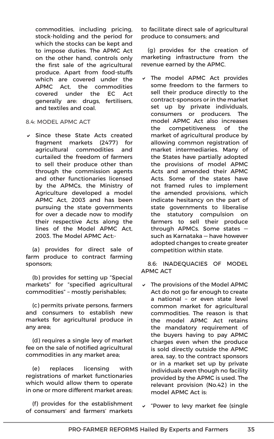commodities, including pricing, stock-holding and the period for which the stocks can be kept and to impose duties. The APMC Act on the other hand, controls only the first sale of the agricultural produce. Apart from food-stuffs which are covered under the APMC Act, the commodities covered under the EC Act generally are: drugs, fertilisers, and textiles and coal.

### 8.4: MODEL APMC ACT

 $\vee$  Since these State Acts created fragment markets (2477) for agricultural commodities and curtailed the freedom of farmers to sell their produce other than through the commission agents and other functionaries licensed by the APMCs, the Ministry of Agriculture developed a model APMC Act, 2003 and has been pursuing the state governments for over a decade now to modify their respective Acts along the lines of the Model APMC Act, 2003. The Model APMC Act:-

(a) provides for direct sale of farm produce to contract farming sponsors;

(b) provides for setting up "Special markets" for "specified agricultural commodities" – mostly perishables;

(c) permits private persons, farmers and consumers to establish new markets for agricultural produce in any area;

(d) requires a single levy of market fee on the sale of notified agricultural commodities in any market area;

(e) replaces licensing with registrations of market functionaries which would allow them to operate in one or more different market areas;

(f) provides for the establishment of consumers' and farmers' markets to facilitate direct sale of agricultural produce to consumers; and

(g) provides for the creation of marketing infrastructure from the revenue earned by the APMC.

 $\times$  The model APMC Act provides some freedom to the farmers to sell their produce directly to the contract-sponsors or in the market set up by private individuals, consumers or producers. The model APMC Act also increases the competitiveness of the market of agricultural produce by allowing common registration of market intermediaries. Many of the States have partially adopted the provisions of model APMC Acts and amended their APMC Acts. Some of the states have not framed rules to implement the amended provisions, which indicate hesitancy on the part of state governments to liberalise the statutory compulsion on farmers to sell their produce through APMCs. Some states such as Karnataka — have however adopted changes to create greater competition within state.

8.6: INADEQUACIES OF MODEL APMC ACT

- $\vee$  The provisions of the Model APMC Act do not go far enough to create a national – or even state level common market for agricultural commodities. The reason is that the model APMC Act retains the mandatory requirement of the buyers having to pay APMC charges even when the produce is sold directly outside the APMC area, say, to the contract sponsors or in a market set up by private individuals even though no facility provided by the APMC is used. The relevant provision (No.42) in the model APMC Act is:
- "Power to levy market fee (single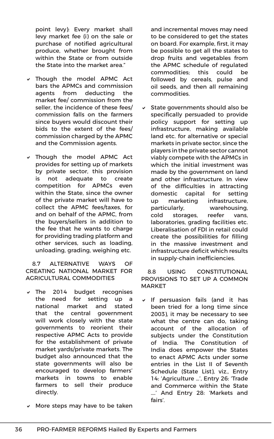point levy): Every market shall levy market fee (i) on the sale or purchase of notified agricultural produce, whether brought from within the State or from outside the State into the market area."

- $\times$  Though the model APMC Act bars the APMCs and commission agents from deducting the market fee/ commission from the seller, the incidence of these fees/ commission falls on the farmers since buyers would discount their bids to the extent of the fees/ commission charged by the APMC and the Commission agents.
- v Though the model APMC Act provides for setting up of markets by private sector, this provision is not adequate to create competition for APMCs even within the State, since the owner of the private market will have to collect the APMC fees/taxes, for and on behalf of the APMC, from the buyers/sellers in addition to the fee that he wants to charge for providing trading platform and other services, such as loading, unloading, grading, weighing etc.

8.7 ALTERNATIVE WAYS OF CREATING NATIONAL MARKET FOR AGRICULTURAL COMMODITIES

- $\sqrt{}$  The 2014 budget recognises the need for setting up a national market and stated that the central government will work closely with the state governments to reorient their respective APMC Acts to provide for the establishment of private market yards/private markets. The budget also announced that the state governments will also be encouraged to develop farmers' markets in towns to enable farmers to sell their produce directly.
- $\vee$  More steps may have to be taken

and incremental moves may need to be considered to get the states on board. For example, first, it may be possible to get all the states to drop fruits and vegetables from the APMC schedule of regulated commodities; this could be followed by cereals, pulse and oil seeds, and then all remaining commodities.

 $\vee$  State governments should also be specifically persuaded to provide policy support for setting up infrastructure, making available land etc. for alternative or special markets in private sector, since the players in the private sector cannot viably compete with the APMCs in which the initial investment was made by the government on land and other infrastructure. In view of the difficulties in attracting domestic capital for setting up marketing infrastructure, particularly, warehousing, cold storages, reefer vans, laboratories, grading facilities etc. Liberalisation of FDI in retail could create the possibilities for filling in the massive investment and infrastructure deficit which results in supply-chain inefficiencies.

8.8 USING CONSTITUTIONAL PROVISIONS TO SET UP A COMMON MARKET

If persuasion fails (and it has been tried for a long time since 2003), it may be necessary to see what the centre can do, taking account of the allocation of subjects under the Constitution of India. The Constitution of India does empower the States to enact APMC Acts under some entries in the List II of Seventh Schedule (State List), viz., Entry 14: 'Agriculture …', Entry 26: 'Trade and Commerce within the State ….' And Entry 28: 'Markets and fairs'.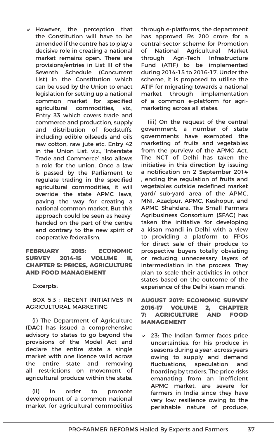$\vee$  However, the perception that the Constitution will have to be amended if the centre has to play a decisive role in creating a national market remains open. There are provisions/entries in List III of the Seventh Schedule (Concurrent List) in the Constitution which can be used by the Union to enact legislation for setting up a national common market for specified agricultural commodities, viz., Entry 33 which covers trade and commerce and production, supply and distribution of foodstuffs, including edible oilseeds and oils raw cotton, raw jute etc. Entry 42 in the Union List, viz., 'Interstate Trade and Commerce' also allows a role for the union. Once a law is passed by the Parliament to regulate trading in the specified agricultural commodities, it will override the state APMC laws, paving the way for creating a national common market. But this approach could be seen as heavyhanded on the part of the centre and contrary to the new spirit of cooperative federalism.

**FEBRUARY 2015: ECONOMIC SURVEY 2014-15 VOLUME II, CHAPTER 5: PRICES, AGRICULTURE AND FOOD MANAGEMENT**

Excerpts:

BOX 5.3 : RECENT INITIATIVES IN AGRICULTURAL MARKETING

(i) The Department of Agriculture (DAC) has issued a comprehensive advisory to states to go beyond the provisions of the Model Act and declare the entire state a single market with one licence valid across the entire state and removing all restrictions on movement of agricultural produce within the state.

(ii) In order to promote development of a common national market for agricultural commodities through e-platforms, the department has approved Rs 200 crore for a central-sector scheme for Promotion of National Agricultural Market through Agri-Tech Infrastructure Fund (ATIF) to be implemented during 2014-15 to 2016-17. Under the scheme, it is proposed to utilise the ATIF for migrating towards a national market through implementation of a common e-platform for agrimarketing across all states.

(iii) On the request of the central government, a number of state governments have exempted the marketing of fruits and vegetables from the purview of the APMC Act. The NCT of Delhi has taken the initiative in this direction by issuing a notification on 2 September 2014 , ending the regulation of fruits and vegetables outside redefined market yard/ sub-yard area of the APMC, MNI, Azadpur, APMC, Keshopur, and APMC Shahdara. The Small Farmers Agribusiness Consortium (SFAC) has taken the initiative for developing a kisan mandi in Delhi with a view to providing a platform to FPOs for direct sale of their produce to prospective buyers totally obviating or reducing unnecessary layers of intermediation in the process. They plan to scale their activities in other states based on the outcome of the experience of the Delhi kisan mandi.

### **AUGUST 2017: ECONOMIC SURVEY 2016-17 VOLUME 2, CHAPTER 7: AGRICULTURE AND FOOD MANAGEMENT**

 $\times$  23: The Indian farmer faces price uncertainties, for his produce in seasons during a year, across years owing to supply and demand fluctuations, speculation and hoarding by traders. The price risks emanating from an inefficient APMC market, are severe for farmers in India since they have very low resilience owing to the perishable nature of produce,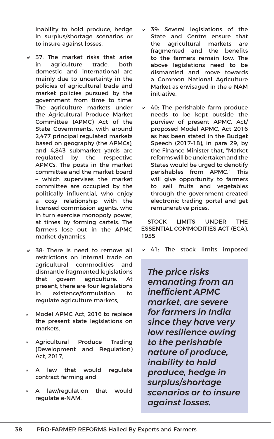inability to hold produce, hedge in surplus/shortage scenarios or to insure against losses.

- $\times$  37: The market risks that arise in agriculture trade, both domestic and international are mainly due to uncertainty in the policies of agricultural trade and market policies pursued by the government from time to time. The agriculture markets under the Agricultural Produce Market Committee (APMC) Act of the State Governments, with around 2,477 principal regulated markets based on geography (the APMCs), and 4,843 submarket yards are regulated by the respective APMCs. The posts in the market committee and the market board – which supervises the market committee are occupied by the politically influential, who enjoy a cosy relationship with the licensed commission agents, who in turn exercise monopoly power, at times by forming cartels. The farmers lose out in the APMC market dynamics.
- $\times$  38: There is need to remove all restrictions on internal trade on agricultural commodities and dismantle fragmented legislations that govern agriculture. At present, there are four legislations in existence/formulation to regulate agriculture markets,
- » Model APMC Act, 2016 to replace the present state legislations on markets,
- » Agricultural Produce Trading (Development and Regulation) Act, 2017,
- » A law that would regulate contract farming and
- » A law/regulation that would regulate e-NAM.
- 39: Several legislations of the State and Centre ensure that the agricultural markets are fragmented and the benefits to the farmers remain low. The above legislations need to be dismantled and move towards a Common National Agriculture Market as envisaged in the e-NAM initiative.
- $\times$  40: The perishable farm produce needs to be kept outside the purview of present APMC, Act/ proposed Model APMC, Act 2016 as has been stated in the Budget Speech (2017-18), in para 29, by the Finance Minister that, "Market reforms will be undertaken and the States would be urged to denotify perishables from APMC." This will give opportunity to farmers to sell fruits and vegetables through the government created electronic trading portal and get remunerative prices.

STOCK LIMITS UNDER THE ESSENTIAL COMMODITIES ACT (ECA), 1955

 $\vee$  41: The stock limits imposed

*The price risks emanating from an inefficient APMC market, are severe for farmers in India since they have very low resilience owing to the perishable nature of produce, inability to hold produce, hedge in surplus/shortage scenarios or to insure against losses.*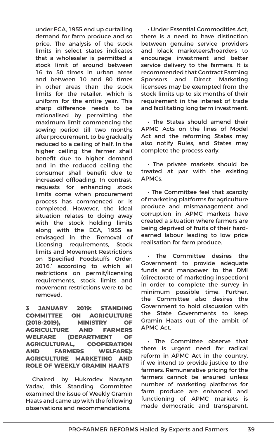under ECA, 1955 end up curtailing demand for farm produce and so price. The analysis of the stock limits in select states indicates that a wholesaler is permitted a stock limit of around between 16 to 50 times in urban areas and between 10 and 80 times in other areas than the stock limits for the retailer, which is uniform for the entire year. This sharp difference needs to be rationalised by permitting the maximum limit commencing the sowing period till two months after procurement, to be gradually reduced to a ceiling of half. In the higher ceiling the farmer shall benefit due to higher demand and in the reduced ceiling the consumer shall benefit due to increased offloading. In contrast, requests for enhancing stock limits come when procurement process has commenced or is completed. However, the ideal situation relates to doing away with the stock holding limits along with the ECA, 1955 as envisaged in the 'Removal of Licensing requirements, Stock limits and Movement Restrictions on Specified Foodstuffs Order, 2016,' according to which all restrictions on permit/licensing requirements, stock limits and movement restrictions were to be removed.

**3 JANUARY 2019: STANDING COMMITTEE ON AGRICULTURE (2018-2019), MINISTRY OF AGRICULTURE AND FARMERS WELFARE (DEPARTMENT OF AGRICULTURAL, COOPERATION AND FARMERS WELFARE): AGRICULTURE MARKETING AND ROLE OF WEEKLY GRAMIN HAATS**

Chaired by Hukmdev Narayan Yadav, this Standing Committee examined the issue of Weekly Gramin Haats and came up with the following observations and recommendations:

• Under Essential Commodities Act, there is a need to have distinction between genuine service providers and black marketeers/hoarders to encourage investment and better service delivery to the farmers. It is recommended that Contract Farming Sponsors and Direct Marketing licensees may be exempted from the stock limits up to six months of their requirement in the interest of trade and facilitating long term investment.

• The States should amend their APMC Acts on the lines of Model Act and the reforming States may also notify Rules, and States may complete the process early.

• The private markets should be treated at par with the existing APMCs.

• The Committee feel that scarcity of marketing platforms for agriculture produce and mismanagement and corruption in APMC markets have created a situation where farmers are being deprived of fruits of their hardearned labour leading to low price realisation for farm produce.

• The Committee desires the Government to provide adequate funds and manpower to the DMI (directorate of marketing inspection) in order to complete the survey in minimum possible time. Further, the Committee also desires the Government to hold discussion with the State Governments to keep Gramin Haats out of the ambit of APMC Act.

• The Committee observe that there is urgent need for radical reform in APMC Act in the country, if we intend to provide justice to the farmers. Remunerative pricing for the farmers cannot be ensured unless number of marketing platforms for farm produce are enhanced and functioning of APMC markets is made democratic and transparent.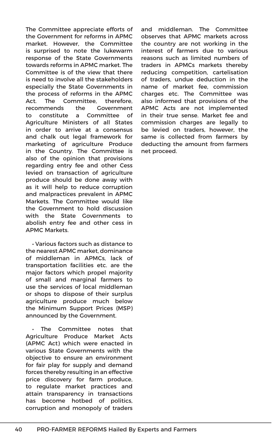The Committee appreciate efforts of the Government for reforms in APMC market. However, the Committee is surprised to note the lukewarm response of the State Governments towards reforms in APMC market. The Committee is of the view that there is need to involve all the stakeholders especially the State Governments in the process of reforms in the APMC Act. The Committee, therefore, recommends the Government to constitute a Committee of Agriculture Ministers of all States in order to arrive at a consensus and chalk out legal framework for marketing of agriculture Produce in the Country. The Committee is also of the opinion that provisions regarding entry fee and other Cess levied on transaction of agriculture produce should be done away with as it will help to reduce corruption and malpractices prevalent in APMC Markets. The Committee would like the Government to hold discussion with the State Governments to abolish entry fee and other cess in APMC Markets.

• Various factors such as distance to the nearest APMC market, dominance of middleman in APMCs, lack of transportation facilities etc. are the major factors which propel majority of small and marginal farmers to use the services of local middleman or shops to dispose of their surplus agriculture produce much below the Minimum Support Prices (MSP) announced by the Government.

The Committee notes that Agriculture Produce Market Acts (APMC Act) which were enacted in various State Governments with the objective to ensure an environment for fair play for supply and demand forces thereby resulting in an effective price discovery for farm produce, to regulate market practices and attain transparency in transactions has become hotbed of politics, corruption and monopoly of traders and middleman. The Committee observes that APMC markets across the country are not working in the interest of farmers due to various reasons such as limited numbers of traders in APMCs markets thereby reducing competition, cartelisation of traders, undue deduction in the name of market fee, commission charges etc. The Committee was also informed that provisions of the APMC Acts are not implemented in their true sense. Market fee and commission charges are legally to be levied on traders, however, the same is collected from farmers by deducting the amount from farmers net proceed.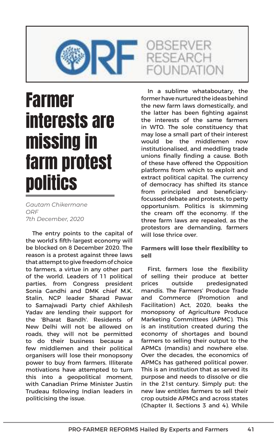

## Farmer interests are missing in farm protest **politics**

*Gautam Chikermane ORF 7th December, 2020*

The entry points to the capital of the world's fifth-largest economy will be blocked on 8 December 2020. The reason is a protest against three laws that attempt to give freedom of choice to farmers, a virtue in any other part of the world. Leaders of 11 political parties, from Congress president Sonia Gandhi and DMK chief M.K. Stalin, NCP leader Sharad Pawar to Samajwadi Party chief Akhilesh Yadav are lending their support for the 'Bharat Bandh'. Residents of New Delhi will not be allowed on roads, they will not be permitted to do their business because a few middlemen and their political organisers will lose their monopsony power to buy from farmers. Illiterate motivations have attempted to turn this into a geopolitical moment, with Canadian Prime Minister Justin Trudeau following Indian leaders in politicising the issue.

In a sublime whataboutary, the former have nurtured the ideas behind the new farm laws domestically, and the latter has been fighting against the interests of the same farmers in WTO. The sole constituency that may lose a small part of their interest would be the middlemen now institutionalised, and meddling trade unions finally finding a cause. Both of these have offered the Opposition platforms from which to exploit and extract political capital. The currency of democracy has shifted its stance from principled and beneficiaryfocussed debate and protests, to petty opportunism. Politics is skimming the cream off the economy. If the three farm laws are repealed, as the protestors are demanding, farmers will lose thrice over.

### **Farmers will lose their flexibility to sell**

First, farmers lose the flexibility of selling their produce at better prices outside predesignated mandis. The Farmers' Produce Trade and Commerce (Promotion and Facilitation) Act, 2020, beaks the monopsony of Agriculture Produce Marketing Committees (APMC). This is an institution created during the economy of shortages and bound farmers to selling their output to the APMCs (mandis) and nowhere else. Over the decades, the economics of APMCs has gathered political power. This is an institution that as served its purpose and needs to dissolve or die in the 21st century. Simply put: the new law entitles farmers to sell their crop outside APMCs and across states (Chapter II, Sections 3 and 4). While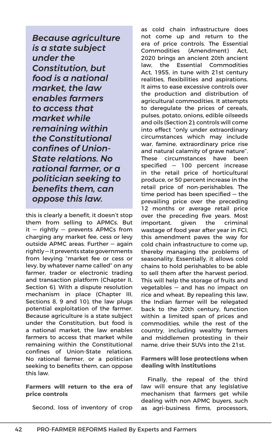*Because agriculture is a state subject under the Constitution, but food is a national market, the law enables farmers to access that market while remaining within the Constitutional confines of Union-State relations. No rational farmer, or a politician seeking to benefits them, can oppose this law.* 

this is clearly a benefit, it doesn't stop them from selling to APMCs. But  $it$  – rightly – prevents APMCs from charging any market fee, cess or levy outside APMC areas. Further — again rightly — it prevents state governments from levying "market fee or cess or levy, by whatever name called" on any farmer, trader or electronic trading and transaction platform (Chapter II, Section 6). With a dispute resolution mechanism in place (Chapter III, Sections 8, 9 and 10), the law plugs potential exploitation of the farmer. Because agriculture is a state subject under the Constitution, but food is a national market, the law enables farmers to access that market while remaining within the Constitutional confines of Union-State relations. No rational farmer, or a politician seeking to benefits them, can oppose this law.

**Farmers will return to the era of price controls**

Second, loss of inventory of crop

as cold chain infrastructure does not come up and return to the era of price controls. The Essential Commodities (Amendment) Act, 2020 brings an ancient 20th ancient law, the Essential Commodities Act, 1955, in tune with 21st century realities, flexibilities and aspirations. It aims to ease excessive controls over the production and distribution of agricultural commodities. It attempts to deregulate the prices of cereals, pulses, potato, onions, edible oilseeds and oils (Section 2); controls will come into effect "only under extraordinary circumstances which may include war, famine, extraordinary price rise and natural calamity of grave nature". These circumstances have been specified — 100 percent increase in the retail price of horticultural produce, or 50 percent increase in the retail price of non-perishables. The time period has been specified — the prevailing price over the preceding 12 months or average retail price over the preceding five years. Most important, given the criminal wastage of food year after year in FCI, this amendment paves the way for cold chain infrastructure to come up, thereby managing the problems of seasonality. Essentially, it allows cold chains to hold perishables to be able to sell them after the harvest period. This will help the storage of fruits and vegetables — and has no impact on rice and wheat. By repealing this law, the Indian farmer will be relegated back to the 20th century, function within a limited span of prices and commodities, while the rest of the country, including wealthy farmers and middlemen protesting in their name, drive their SUVs into the 21st.

### **Farmers will lose protections when dealing with institutions**

Finally, the repeal of the third law will ensure that any legislative mechanism that farmers get while dealing with non APMC buyers, such as agri-business firms, processors,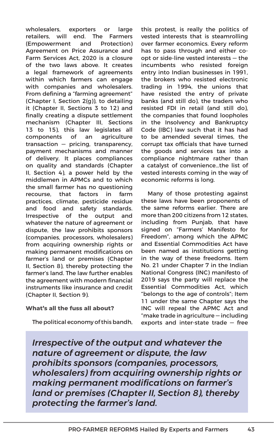wholesalers, exporters or large retailers, will end. The Farmers (Empowerment and Protection) Agreement on Price Assurance and Farm Services Act, 2020 is a closure of the two laws above. It creates a legal framework of agreements within which farmers can engage with companies and wholesalers. From defining a "farming agreement" (Chapter I, Section 2(g)), to detailing it (Chapter II, Sections 3 to 12) and finally creating a dispute settlement mechanism (Chapter III, Sections 13 to 15), this law legislates all components of an agriculture transaction — pricing, transparency, payment mechanisms and manner of delivery. It places compliances on quality and standards (Chapter II, Section 4), a power held by the middlemen in APMCs and to which the small farmer has no questioning recourse, that factors in farm practices, climate, pesticide residue and food and safety standards. Irrespective of the output and whatever the nature of agreement or dispute, the law prohibits sponsors (companies, processors, wholesalers) from acquiring ownership rights or making permanent modifications on farmer's land or premises (Chapter II, Section 8), thereby protecting the farmer's land. The law further enables the agreement with modern financial instruments like insurance and credit (Chapter II, Section 9).

### **What's all the fuss all about?**

The political economy of this bandh,

this protest, is really the politics of vested interests that is steamrolling over farmer economics. Every reform has to pass through and either coopt or side-line vested interests — the incumbents who resisted foreign entry into Indian businesses in 1991, the brokers who resisted electronic trading in 1994, the unions that have resisted the entry of private banks (and still do), the traders who resisted FDI in retail (and still do), the companies that found loopholes in the Insolvency and Bankruptcy Code (IBC) law such that it has had to be amended several times, the corrupt tax officials that have turned the goods and services tax into a compliance nightmare rather than a catalyst of convenience…the list of vested interests coming in the way of economic reforms is long.

Many of those protesting against these laws have been proponents of the same reforms earlier. There are more than 200 citizens from 12 states, including from Punjab, that have signed on "Farmers' Manifesto for Freedom", among which the APMC and Essential Commodities Act have been named as institutions getting in the way of these freedoms. Item No. 21 under Chapter 7 in the Indian National Congress (INC) manifesto of 2019 says the party will replace the Essential Commodities Act, which "belongs to the age of controls"; Item 11 under the same Chapter says the INC will repeal the APMC Act and "make trade in agriculture — including exports and inter-state trade — free

*Irrespective of the output and whatever the nature of agreement or dispute, the law prohibits sponsors (companies, processors, wholesalers) from acquiring ownership rights or making permanent modifications on farmer's land or premises (Chapter II, Section 8), thereby protecting the farmer's land.*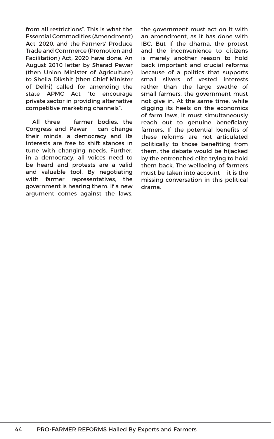from all restrictions". This is what the Essential Commodities (Amendment) Act, 2020, and the Farmers' Produce Trade and Commerce (Promotion and Facilitation) Act, 2020 have done. An August 2010 letter by Sharad Pawar (then Union Minister of Agriculture) to Sheila Dikshit (then Chief Minister of Delhi) called for amending the state APMC Act "to encourage private sector in providing alternative competitive marketing channels".

All three — farmer bodies, the Congress and Pawar — can change their minds: a democracy and its interests are free to shift stances in tune with changing needs. Further, in a democracy, all voices need to be heard and protests are a valid and valuable tool. By negotiating with farmer representatives, the government is hearing them. If a new argument comes against the laws, the government must act on it with an amendment, as it has done with IBC. But if the dharna, the protest and the inconvenience to citizens is merely another reason to hold back important and crucial reforms because of a politics that supports small slivers of vested interests rather than the large swathe of small farmers, the government must not give in. At the same time, while digging its heels on the economics of farm laws, it must simultaneously reach out to genuine beneficiary farmers. If the potential benefits of these reforms are not articulated politically to those benefiting from them, the debate would be hijacked by the entrenched elite trying to hold them back. The wellbeing of farmers must be taken into account — it is the missing conversation in this political drama.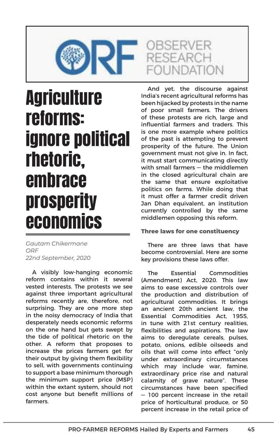

## **Agriculture** reforms: ignore political rhetoric, embrace prosperity economics

*Gautam Chikermane ORF 22nd September, 2020*

A visibly low-hanging economic reform contains within it several vested interests. The protests we see against three important agricultural reforms recently are, therefore, not surprising. They are one more step in the noisy democracy of India that desperately needs economic reforms on the one hand but gets swept by the tide of political rhetoric on the other. A reform that proposes to increase the prices farmers get for their output by giving them flexibility to sell, with governments continuing to support a base minimum thorough the minimum support price (MSP) within the extant system, should not cost anyone but benefit millions of farmers.

And yet, the discourse against India's recent agricultural reforms has been hijacked by protests in the name of poor small farmers. The drivers of these protests are rich, large and influential farmers and traders. This is one more example where politics of the past is attempting to prevent prosperity of the future. The Union government must not give in. In fact, it must start communicating directly with small farmers — the middlemen in the closed agricultural chain are the same that ensure exploitative politics on farms. While doing that it must offer a farmer credit driven Jan Dhan equivalent, an institution currently controlled by the same middlemen opposing this reform.

### **Three laws for one constituency**

There are three laws that have become controversial. Here are some key provisions these laws offer.

The Essential Commodities (Amendment) Act, 2020. This law aims to ease excessive controls over the production and distribution of agricultural commodities. It brings an ancient 20th ancient law, the Essential Commodities Act, 1955, in tune with 21st century realities, flexibilities and aspirations. The law aims to deregulate cereals, pulses, potato, onions, edible oilseeds and oils that will come into effect "only under extraordinary circumstances which may include war, famine, extraordinary price rise and natural calamity of grave nature". These circumstances have been specified — 100 percent increase in the retail price of horticultural produce, or 50 percent increase in the retail price of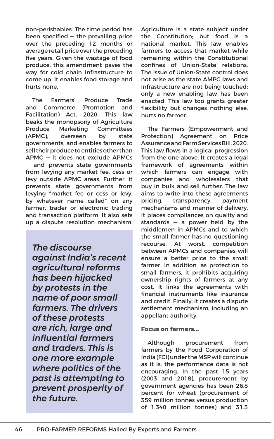non-perishables. The time period has been specified — the prevailing price over the preceding 12 months or average retail price over the preceding five years. Given the wastage of food produce, this amendment paves the way for cold chain infrastructure to come up. It enables food storage and hurts none.

The Farmers' Produce Trade and Commerce (Promotion and Facilitation) Act, 2020. This law beaks the monopsony of Agriculture Produce Marketing Committees (APMC), overseen by state governments, and enables farmers to sell their produce to entities other than APMC — it does not exclude APMCs — and prevents state governments from levying any market fee, cess or levy outside APMC areas. Further, it prevents state governments from levying "market fee or cess or levy, by whatever name called" on any farmer, trader or electronic trading and transaction platform. It also sets up a dispute resolution mechanism.

*The discourse against India's recent agricultural reforms has been hijacked by protests in the name of poor small farmers. The drivers of these protests are rich, large and influential farmers and traders. This is one more example where politics of the past is attempting to prevent prosperity of the future.*

Agriculture is a state subject under the Constitution; but food is a national market. This law enables farmers to access that market while remaining within the Constitutional confines of Union-State relations. The issue of Union-State control does not arise as the state AMPC laws and infrastructure are not being touched; only a new enabling law has been enacted. This law too grants greater flexibility but changes nothing else, hurts no farmer.

The Farmers (Empowerment and Protection) Agreement on Price Assurance and Farm Services Bill, 2020. This law flows in a logical progression from the one above. It creates a legal framework of agreements within which farmers can engage with companies and wholesalers that buy in bulk and sell further. The law aims to write into these agreements pricing, transparency, payment mechanisms and manner of delivery. It places compliances on quality and standards — a power held by the middlemen in APMCs and to which the small farmer has no questioning recourse. At worst, competition between APMCs and companies will ensure a better price to the small farmer. In addition, as protection to small farmers, it prohibits acquiring ownership rights of farmers at any cost. It links the agreements with financial instruments like insurance and credit. Finally, it creates a dispute settlement mechanism, including an appellant authority.

### **Focus on farmers…**

Although procurement from farmers by the Food Corporation of India (FCI) under the MSP will continue as it is, the performance data is not encouraging. In the past 15 years (2003 and 2018), procurement by government agencies has been 26.8 percent for wheat (procurement of 359 million tonnes versus production of 1,340 million tonnes) and 31.3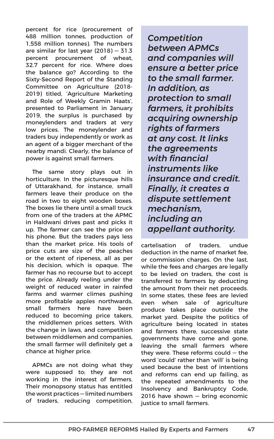percent for rice (procurement of 488 million tonnes, production of 1,558 million tonnes). The numbers are similar for last year (2018) — 31.3 percent procurement of wheat, 32.7 percent for rice. Where does the balance go? According to the Sixty-Second Report of the Standing Committee on Agriculture (2018- 2019) titled, 'Agriculture Marketing and Role of Weekly Gramin Haats', presented to Parliament in January 2019, the surplus is purchased by moneylenders and traders at very low prices. The moneylender and traders buy independently or work as an agent of a bigger merchant of the nearby mandi. Clearly, the balance of power is against small farmers.

The same story plays out in horticulture. In the picturesque hills of Uttarakhand, for instance, small farmers leave their produce on the road in two to eight wooden boxes. The boxes lie there until a small truck from one of the traders at the APMC in Haldwani drives past and picks it up. The farmer can see the price on his phone. But the traders pays less than the market price. His tools of price cuts are size of the peaches or the extent of ripeness, all as per his decision, which is opaque. The farmer has no recourse but to accept the price. Already reeling under the weight of reduced water in rainfed farms and warmer climes pushing more profitable apples northwards, small farmers here have been reduced to becoming price takers, the middlemen prices setters. With the change in laws, and competition between middlemen and companies, the small farmer will definitely get a chance at higher price.

APMCs are not doing what they were supposed to; they are not working in the interest of farmers. Their monopsony status has entitled the worst practices — limited numbers of traders, reducing competition, *Competition between APMCs and companies will ensure a better price to the small farmer. In addition, as protection to small farmers, it prohibits acquiring ownership rights of farmers at any cost. It links the agreements with financial instruments like insurance and credit. Finally, it creates a dispute settlement mechanism, including an appellant authority.*

cartelisation of traders, undue deduction in the name of market fee, or commission charges. On the last, while the fees and charges are legally to be levied on traders, the cost is transferred to farmers by deducting the amount from their net proceeds. In some states, these fees are levied even when sale of agriculture produce takes place outside the market yard. Despite the politics of agriculture being located in states and farmers there, successive state governments have come and gone, leaving the small farmers where they were. These reforms could — the word 'could' rather than 'will' is being used because the best of intentions and reforms can end up failing, as the repeated amendments to the Insolvency and Bankruptcy Code, 2016 have shown — bring economic justice to small farmers.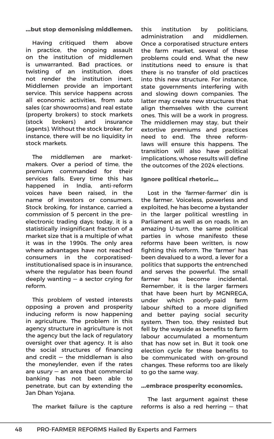### **…but stop demonising middlemen.**

Having critiqued them above in practice, the ongoing assault on the institution of middlemen is unwarranted. Bad practices, or twisting of an institution, does not render the institution inert. Middlemen provide an important service. This service happens across all economic activities, from auto sales (car showrooms) and real estate (property brokers) to stock markets (stock brokers) and insurance (agents). Without the stock broker, for instance, there will be no liquidity in stock markets.

The middlemen are marketmakers. Over a period of time, the premium commanded for their services falls. Every time this has happened in India, anti-reform voices have been raised, in the name of investors or consumers. Stock broking, for instance, carried a commission of 5 percent in the preelectronic trading days; today, it is a statistically insignificant fraction of a market size that is a multiple of what it was in the 1990s. The only area where advantages have not reached consumers in the corporatisedinstitutionalised space is in insurance, where the regulator has been found deeply wanting — a sector crying for reform.

This problem of vested interests opposing a proven and prosperity inducing reform is now happening in agriculture. The problem in this agency structure in agriculture is not the agency but the lack of regulatory oversight over that agency. It is also the social structures of financing and credit — the middleman is also the moneylender, even if the rates are usury — an area that commercial banking has not been able to penetrate, but can by extending the Jan Dhan Yojana.

this institution by politicians, administration and middlemen. Once a corporatised structure enters the farm market, several of these problems could end. What the new institutions need to ensure is that there is no transfer of old practices into this new structure. For instance, state governments interfering with and slowing down companies. The latter may create new structures that align themselves with the current ones. This will be a work in progress. The middlemen may stay, but their extortive premiums and practices need to end. The three reformlaws will ensure this happens. The transition will also have political implications, whose results will define the outcomes of the 2024 elections.

### **Ignore political rhetoric…**

Lost in the 'farmer-farmer' din is the farmer. Voiceless, powerless and exploited, he has become a bystander in the larger political wrestling in Parliament as well as on roads. In an amazing U-turn, the same political parties in whose manifesto these reforms have been written, is now fighting this reform. The 'farmer' has been devalued to a word, a lever for a politics that supports the entrenched and serves the powerful. The small farmer has become incidental. Remember, it is the larger farmers that have been hurt by MGNREGA, under which poorly-paid farm labour shifted to a more dignified and better paying social security system. Then too, they resisted but fell by the wayside as benefits to farm labour accumulated a momentum that has now set in. But it took one election cycle for these benefits to be communicated with on-ground changes. These reforms too are likely to go the same way.

### **…embrace prosperity economics.**

The last argument against these reforms is also a red herring — that

The market failure is the capture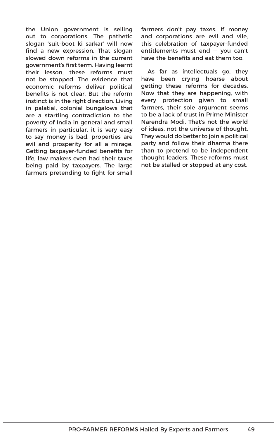the Union government is selling out to corporations. The pathetic slogan 'suit-boot ki sarkar' will now find a new expression. That slogan slowed down reforms in the current government's first term. Having learnt their lesson, these reforms must not be stopped. The evidence that economic reforms deliver political benefits is not clear. But the reform instinct is in the right direction. Living in palatial, colonial bungalows that are a startling contradiction to the poverty of India in general and small farmers in particular, it is very easy to say money is bad, properties are evil and prosperity for all a mirage. Getting taxpayer-funded benefits for life, law makers even had their taxes being paid by taxpayers. The large farmers pretending to fight for small farmers don't pay taxes. If money and corporations are evil and vile, this celebration of taxpayer-funded entitlements must end — you can't have the benefits and eat them too.

As far as intellectuals go, they have been crying hoarse about getting these reforms for decades. Now that they are happening, with every protection given to small farmers, their sole argument seems to be a lack of trust in Prime Minister Narendra Modi. That's not the world of ideas, not the universe of thought. They would do better to join a political party and follow their dharma there than to pretend to be independent thought leaders. These reforms must not be stalled or stopped at any cost.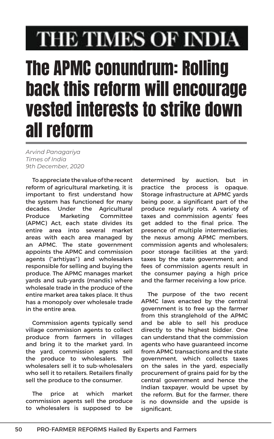# THE TIMES OF INDIA

# The APMC conundrum: Rolling back this reform will encourage vested interests to strike down all reform

*Arvind Panagariya Times of India 9th December, 2020*

To appreciate the value of the recent reform of agricultural marketing, it is important to first understand how the system has functioned for many decades. Under the Agricultural Produce Marketing Committee (APMC) Act, each state divides its entire area into several market areas with each area managed by an APMC. The state government appoints the APMC and commission agents ("arhtiyas") and wholesalers responsible for selling and buying the produce. The APMC manages market yards and sub-yards (mandis) where wholesale trade in the produce of the entire market area takes place. It thus has a monopoly over wholesale trade in the entire area.

Commission agents typically send village commission agents to collect produce from farmers in villages and bring it to the market yard. In the yard, commission agents sell the produce to wholesalers. The wholesalers sell it to sub-wholesalers who sell it to retailers. Retailers finally sell the produce to the consumer.

The price at which market commission agents sell the produce to wholesalers is supposed to be determined by auction, but in practice the process is opaque. Storage infrastructure at APMC yards being poor, a significant part of the produce regularly rots. A variety of taxes and commission agents' fees get added to the final price. The presence of multiple intermediaries; the nexus among APMC members, commission agents and wholesalers; poor storage facilities at the yard; taxes by the state government; and fees of commission agents result in the consumer paying a high price and the farmer receiving a low price.

The purpose of the two recent APMC laws enacted by the central government is to free up the farmer from this stranglehold of the APMC and be able to sell his produce directly to the highest bidder. One can understand that the commission agents who have guaranteed income from APMC transactions and the state government, which collects taxes on the sales in the yard, especially procurement of grains paid for by the central government and hence the Indian taxpayer, would be upset by the reform. But for the farmer, there is no downside and the upside is significant.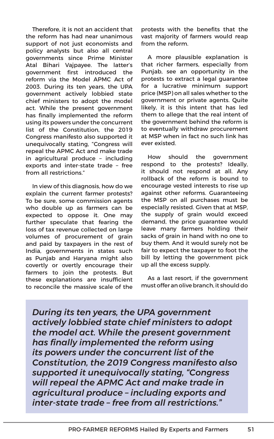Therefore, it is not an accident that the reform has had near unanimous support of not just economists and policy analysts but also all central governments since Prime Minister Atal Bihari Vajpayee. The latter's government first introduced the reform via the Model APMC Act of 2003. During its ten years, the UPA government actively lobbied state chief ministers to adopt the model act. While the present government has finally implemented the reform using its powers under the concurrent list of the Constitution, the 2019 Congress manifesto also supported it unequivocally stating, "Congress will repeal the APMC Act and make trade in agricultural produce – including exports and inter-state trade – free from all restrictions."

In view of this diagnosis, how do we explain the current farmer protests? To be sure, some commission agents who double up as farmers can be expected to oppose it. One may further speculate that fearing the loss of tax revenue collected on large volumes of procurement of grain and paid by taxpayers in the rest of India, governments in states such as Punjab and Haryana might also covertly or overtly encourage their farmers to join the protests. But these explanations are insufficient to reconcile the massive scale of the protests with the benefits that the vast majority of farmers would reap from the reform.

A more plausible explanation is that richer farmers, especially from Punjab, see an opportunity in the protests to extract a legal guarantee for a lucrative minimum support price (MSP) on all sales whether to the government or private agents. Quite likely, it is this intent that has led them to allege that the real intent of the government behind the reform is to eventually withdraw procurement at MSP when in fact no such link has ever existed.

How should the government respond to the protests? Ideally, it should not respond at all. Any rollback of the reform is bound to encourage vested interests to rise up against other reforms. Guaranteeing the MSP on all purchases must be especially resisted. Given that at MSP, the supply of grain would exceed demand, the price guarantee would leave many farmers holding their sacks of grain in hand with no one to buy them. And it would surely not be fair to expect the taxpayer to foot the bill by letting the government pick up all the excess supply.

As a last resort, if the government must offer an olive branch, it should do

*During its ten years, the UPA government actively lobbied state chief ministers to adopt the model act. While the present government has finally implemented the reform using its powers under the concurrent list of the Constitution, the 2019 Congress manifesto also supported it unequivocally stating, "Congress will repeal the APMC Act and make trade in agricultural produce – including exports and inter-state trade – free from all restrictions."*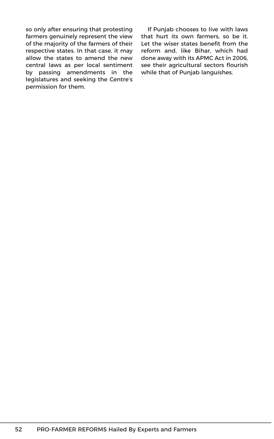so only after ensuring that protesting farmers genuinely represent the view of the majority of the farmers of their respective states. In that case, it may allow the states to amend the new central laws as per local sentiment by passing amendments in the legislatures and seeking the Centre's permission for them.

If Punjab chooses to live with laws that hurt its own farmers, so be it. Let the wiser states benefit from the reform and, like Bihar, which had done away with its APMC Act in 2006, see their agricultural sectors flourish while that of Punjab languishes.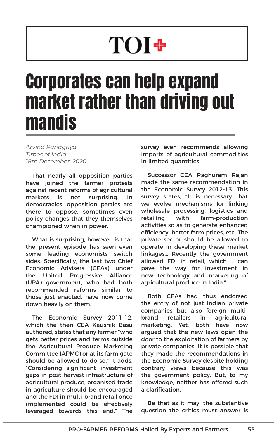# **TOI+**

# Corporates can help expand market rather than driving out mandis

*Arvind Panagriya Times of India 18th December, 2020*

That nearly all opposition parties have joined the farmer protests against recent reforms of agricultural markets is not surprising. In democracies, opposition parties are there to oppose, sometimes even policy changes that they themselves championed when in power.

What is surprising, however, is that the present episode has seen even some leading economists switch sides. Specifically, the last two Chief Economic Advisers (CEAs) under the United Progressive Alliance (UPA) government, who had both recommended reforms similar to those just enacted, have now come down heavily on them.

The Economic Survey 2011-12, which the then CEA Kaushik Basu authored, states that any farmer "who gets better prices and terms outside the Agricultural Produce Marketing Committee (APMC) or at its farm gate should be allowed to do so." It adds, "Considering significant investment gaps in post-harvest infrastructure of agricultural produce, organised trade in agriculture should be encouraged and the FDI in multi-brand retail once implemented could be effectively leveraged towards this end." The survey even recommends allowing imports of agricultural commodities in limited quantities.

Successor CEA Raghuram Rajan made the same recommendation in the Economic Survey 2012-13. This survey states, "It is necessary that we evolve mechanisms for linking wholesale processing, logistics and retailing with farm-production activities so as to generate enhanced efficiency, better farm prices, etc. The private sector should be allowed to operate in developing these market linkages… Recently the government allowed FDI in retail, which … can pave the way for investment in new technology and marketing of agricultural produce in India."

Both CEAs had thus endorsed the entry of not just Indian private companies but also foreign multibrand retailers in agricultural marketing. Yet, both have now argued that the new laws open the door to the exploitation of farmers by private companies. It is possible that they made the recommendations in the Economic Survey despite holding contrary views because this was the government policy. But, to my knowledge, neither has offered such a clarification.

Be that as it may, the substantive question the critics must answer is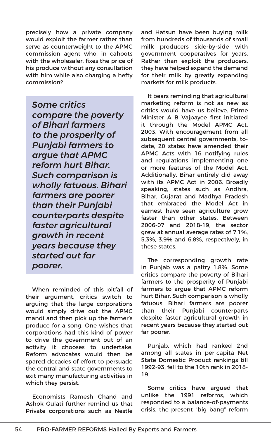precisely how a private company would exploit the farmer rather than serve as counterweight to the APMC commission agent who, in cahoots with the wholesaler, fixes the price of his produce without any consultation with him while also charging a hefty commission?

*Some critics compare the poverty of Bihari farmers to the prosperity of Punjabi farmers to argue that APMC reform hurt Bihar. Such comparison is wholly fatuous. Bihari farmers are poorer than their Punjabi counterparts despite faster agricultural growth in recent years because they started out far poorer.*

When reminded of this pitfall of their argument, critics switch to arguing that the large corporations would simply drive out the APMC mandi and then pick up the farmer's produce for a song. One wishes that corporations had this kind of power to drive the government out of an activity it chooses to undertake. Reform advocates would then be spared decades of effort to persuade the central and state governments to exit many manufacturing activities in which they persist.

Economists Ramesh Chand and Ashok Gulati further remind us that Private corporations such as Nestle

and Hatsun have been buying milk from hundreds of thousands of small milk producers side-by-side with government cooperatives for years. Rather than exploit the producers, they have helped expand the demand for their milk by greatly expanding markets for milk products.

It bears reminding that agricultural marketing reform is not as new as critics would have us believe. Prime Minister A B Vajpayee first initiated it through the Model APMC Act, 2003. With encouragement from all subsequent central governments, todate, 20 states have amended their APMC Acts with 16 notifying rules and regulations implementing one or more features of the Model Act. Additionally, Bihar entirely did away with its APMC Act in 2006. Broadly speaking, states such as Andhra, Bihar, Gujarat and Madhya Pradesh that embraced the Model Act in earnest have seen agriculture grow faster than other states. Between 2006-07 and 2018-19, the sector grew at annual average rates of 7.1%, 5.3%, 3.9% and 6.8%, respectively, in these states.

The corresponding growth rate in Punjab was a paltry 1.8%. Some critics compare the poverty of Bihari farmers to the prosperity of Punjabi farmers to argue that APMC reform hurt Bihar. Such comparison is wholly fatuous. Bihari farmers are poorer than their Punjabi counterparts despite faster agricultural growth in recent years because they started out far poorer.

Punjab, which had ranked 2nd among all states in per-capita Net State Domestic Product rankings till 1992-93, fell to the 10th rank in 2018- 19.

Some critics have argued that unlike the 1991 reforms, which responded to a balance-of-payments crisis, the present "big bang" reform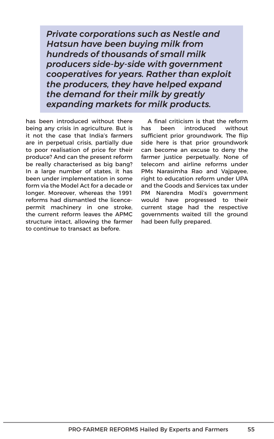*Private corporations such as Nestle and Hatsun have been buying milk from hundreds of thousands of small milk producers side-by-side with government cooperatives for years. Rather than exploit the producers, they have helped expand the demand for their milk by greatly expanding markets for milk products.*

has been introduced without there being any crisis in agriculture. But is it not the case that India's farmers are in perpetual crisis, partially due to poor realisation of price for their produce? And can the present reform be really characterised as big bang? In a large number of states, it has been under implementation in some form via the Model Act for a decade or longer. Moreover, whereas the 1991 reforms had dismantled the licencepermit machinery in one stroke, the current reform leaves the APMC structure intact, allowing the farmer to continue to transact as before.

A final criticism is that the reform has been introduced without sufficient prior groundwork. The flip side here is that prior groundwork can become an excuse to deny the farmer justice perpetually. None of telecom and airline reforms under PMs Narasimha Rao and Vajpayee, right to education reform under UPA and the Goods and Services tax under PM Narendra Modi's government would have progressed to their current stage had the respective governments waited till the ground had been fully prepared.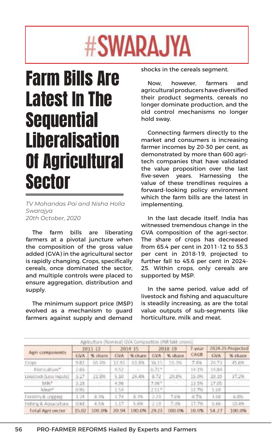# #SWARAJYA

# Farm Bills Are Latest In The **Sequential** Liberalisation Of Agricultural Sector

*TV Mohandas Pai and Nisha Holla Swarajya 20th October, 2020*

The farm bills are liberating farmers at a pivotal juncture when the composition of the gross value added (GVA) in the agricultural sector is rapidly changing. Crops, specifically cereals, once dominated the sector, and multiple controls were placed to ensure aggregation, distribution and supply.

The minimum support price (MSP) evolved as a mechanism to guard farmers against supply and demand shocks in the cereals segment.

Now, however, farmers and agricultural producers have diversified their product segments, cereals no longer dominate production, and the old control mechanisms no longer hold sway.

Connecting farmers directly to the market and consumers is increasing farmer incomes by 20-30 per cent, as demonstrated by more than 600 agritech companies that have validated the value proposition over the last five-seven years. Harnessing the value of these trendlines requires a forward-looking policy environment which the farm bills are the latest in implementing.

In the last decade itself, India has witnessed tremendous change in the GVA composition of the agri-sector. The share of crops has decreased from 65.4 per cent in 2011-12 to 55.3 per cent in 2018-19, projected to further fall to 45.6 per cent in 2024- 25. Within crops, only cereals are supported by MSP.

In the same period, value add of livestock and fishing and aquaculture is steadily increasing, as are the total value outputs of sub-segments like horticulture, milk and meat.

| Agriculture (Nominal) GVA Composition (INR falch crones) |              |         |            |            |              |          |         |                   |         |
|----------------------------------------------------------|--------------|---------|------------|------------|--------------|----------|---------|-------------------|---------|
| Agri-components                                          | 2011-12      |         | 2014-15    |            | 2018.19      |          | 7-year. | 2024-25 Projected |         |
|                                                          | <b>GWA</b>   | % sharn | <b>GVA</b> | No Channel | <b>EVA</b>   | % share. | CAGIL   | <b>GVA</b>        | % share |
| Crops                                                    | 与羽工          | 05.4%   | 12.93      | 61.8%      | <b>36.15</b> | 15.3%    | 天后      | 24.73             | 45.6%   |
| Harbbullum*                                              | 2.66:        | Ξ       | 4.52       |            | 6.71*        | ÷        | 14.1%   | 1434              |         |
| Livestock (Less Inputal                                  | 3.27         | 11,991  | 5.10       | 24,4%      | 8.72         | 29.0%    | 15.0%   | 20.19             | 37.2%   |
| Mik <sup>k</sup>                                         | 3.28         |         | 4.96       |            | $7.96*$      |          | 13.5%   | 17.05             |         |
| Most®                                                    | 白马后          |         | 1.54       |            | 2.51*        |          | 14.7%   | 5.69              |         |
| <b>FISTARTIVA JORRAK</b>                                 | 1.24         | 北京省     | 1:74       | 1.7%       | 233          | 7.6%     | 北外      | 3.58              | .6.8%   |
| Fisherg & Appartitions                                   | <b>SE683</b> | 4.5%    | 1:17       | 5,6%       | 238          | $-7.39$  | 17.7%   | 5.66              | 10.4%   |
| <b>Total Agri sector</b>                                 | 15.02        | 100.0%  | 70.94      | 100.0%     | 129.23       | 1003.0%  | 10.0%   | 54.77             | 100.0%  |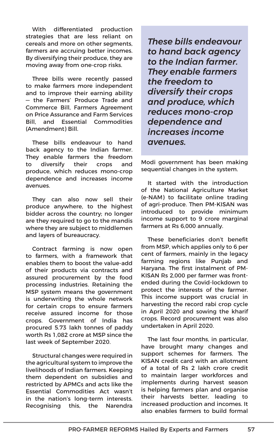With differentiated production strategies that are less reliant on cereals and more on other segments, farmers are accruing better incomes. By diversifying their produce, they are moving away from one-crop risks.

Three bills were recently passed to make farmers more independent and to improve their earning ability — the Farmers' Produce Trade and Commerce Bill, Farmers Agreement on Price Assurance and Farm Services Bill, and Essential Commodities (Amendment) Bill.

These bills endeavour to hand back agency to the Indian farmer. They enable farmers the freedom to diversify their crops and produce, which reduces mono-crop dependence and increases income avenues.

They can also now sell their produce anywhere, to the highest bidder across the country; no longer are they required to go to the mandis where they are subject to middlemen and layers of bureaucracy.

Contract farming is now open to farmers, with a framework that enables them to boost the value-add of their products via contracts and assured procurement by the food processing industries. Retaining the MSP system means the government is underwriting the whole network for certain crops to ensure farmers receive assured income for those crops. Government of India has procured 5.73 lakh tonnes of paddy worth Rs 1,082 crore at MSP since the last week of September 2020.

Structural changes were required in the agricultural system to improve the livelihoods of Indian farmers. Keeping them dependent on subsidies and restricted by APMCs and acts like the Essential Commodities Act wasn't in the nation's long-term interests. Recognising this, the Narendra

*These bills endeavour to hand back agency to the Indian farmer. They enable farmers the freedom to diversify their crops and produce, which reduces mono-crop dependence and increases income avenues.*

Modi government has been making sequential changes in the system.

It started with the introduction of the National Agriculture Market (e-NAM) to facilitate online trading of agri-produce. Then PM-KISAN was introduced to provide minimum income support to 9 crore marginal farmers at Rs 6,000 annually.

These beneficiaries don't benefit from MSP, which applies only to 6 per cent of farmers, mainly in the legacy farming regions like Punjab and Haryana. The first instalment of PM-KISAN Rs 2,000 per farmer was frontended during the Covid-lockdown to protect the interests of the farmer. This income support was crucial in harvesting the record rabi crop cycle in April 2020 and sowing the kharif crops. Record procurement was also undertaken in April 2020.

The last four months, in particular, have brought many changes and support schemes for farmers. The KISAN credit card with an allotment of a total of Rs 2 lakh crore credit to maintain larger workforces and implements during harvest season is helping farmers plan and organise their harvests better, leading to increased production and incomes. It also enables farmers to build formal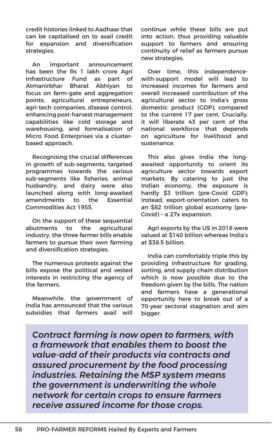credit histories linked to Aadhaar that can be capitalised on to avail credit for expansion and diversification strategies.

An important announcement has been the Rs 1 lakh crore Agri Infrastructure Fund as part of Atmanirbhar Bharat Abhiyan to focus on farm-gate and aggregation points, agricultural entrepreneurs, agri-tech companies, disease control, enhancing post-harvest management capabilities like cold storage and warehousing, and formalisation of Micro Food Enterprises via a clusterbased approach.

Recognising the crucial differences in growth of sub-segments, targeted programmes towards the various sub-segments like fisheries, animal husbandry, and dairy were also launched along with long-awaited amendments to the Essential Commodities Act 1955.

On the support of these sequential abutments to the agricultural industry, the three farmer bills enable farmers to pursue their own farming and diversification strategies.

The numerous protests against the bills expose the political and vested interests in restricting the agency of the farmers.

Meanwhile, the government of India has announced that the various subsidies that farmers avail will continue while these bills are put into action, thus providing valuable support to farmers and ensuring continuity of relief as farmers pursue new strategies.

Over time, this independencewith-support model will lead to increased incomes for farmers and overall increased contribution of the agricultural sector to India's gross domestic product (GDP), compared to the current 17 per cent. Crucially, it will liberate 43 per cent of the national workforce that depends on agriculture for livelihood and sustenance.

This also gives India the longawaited opportunity to orient its agriculture sector towards export markets. By catering to just the Indian economy, the exposure is hardly \$3 trillion (pre-Covid GDP); instead, export-orientation caters to an \$82 trillion global economy (pre-Covid) – a 27x expansion.

Agri exports by the US in 2018 were valued at \$140 billion whereas India's at \$38.5 billion.

India can comfortably triple this by providing infrastructure for grading, sorting, and supply chain distribution which is now possible due to the freedom given by the bills. The nation and farmers have a generational opportunity here to break out of a 70-year sectoral stagnation and aim bigger.

*Contract farming is now open to farmers, with a framework that enables them to boost the value-add of their products via contracts and assured procurement by the food processing industries. Retaining the MSP system means the government is underwriting the whole network for certain crops to ensure farmers receive assured income for those crops.*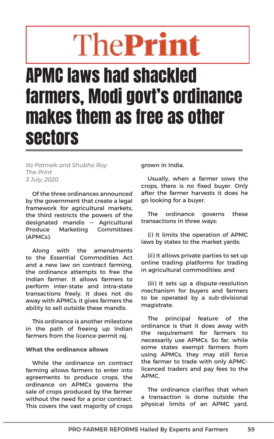# The**Print**

## APMC laws had shackled farmers, Modi govt's ordinance makes them as free as other sectors

*Ila Patnaik and Shubho Roy The Print 3 July, 2020*

Of the three ordinances announced by the government that create a legal framework for agricultural markets, the third restricts the powers of the designated mandis — Agricultural Produce Marketing Committees (APMCs).

Along with the amendments to the Essential Commodities Act and a new law on contract farming, the ordinance attempts to free the Indian farmer. It allows farmers to perform inter-state and intra-state transactions freely. It does not do away with APMCs; it gives farmers the ability to sell outside these mandis.

This ordinance is another milestone in the path of freeing up Indian farmers from the licence-permit raj.

### **What the ordinance allows**

While the ordinance on contract farming allows farmers to enter into agreements to produce crops, the ordinance on APMCs governs the sale of crops produced by the farmer without the need for a prior contract. This covers the vast majority of crops grown in India.

Usually, when a farmer sows the crops, there is no fixed buyer. Only after the farmer harvests it does he go looking for a buyer.

The ordinance governs these transactions in three ways:

(i) It limits the operation of APMC laws by states to the market yards;

(ii) It allows private parties to set up online trading platforms for trading in agricultural commodities; and

(iii) It sets up a dispute-resolution mechanism for buyers and farmers to be operated by a sub-divisional magistrate.

The principal feature of the ordinance is that it does away with the requirement for farmers to necessarily use APMCs. So far, while some states exempt farmers from using APMCs, they may still force the farmer to trade with only APMClicenced traders and pay fees to the APMC.

The ordinance clarifies that when a transaction is done outside the physical limits of an APMC yard,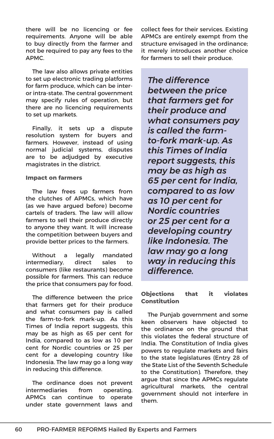there will be no licencing or fee requirements. Anyone will be able to buy directly from the farmer and not be required to pay any fees to the APMC.

The law also allows private entities to set up electronic trading platforms for farm produce, which can be interor intra-state. The central government may specify rules of operation, but there are no licencing requirements to set up markets.

Finally, it sets up a dispute resolution system for buyers and farmers. However, instead of using normal judicial systems, disputes are to be adjudged by executive magistrates in the district.

### **Impact on farmers**

The law frees up farmers from the clutches of APMCs, which have (as we have argued before) become cartels of traders. The law will allow farmers to sell their produce directly to anyone they want. It will increase the competition between buyers and provide better prices to the farmers.

Without a legally mandated intermediary, direct sales to consumers (like restaurants) become possible for farmers. This can reduce the price that consumers pay for food.

The difference between the price that farmers get for their produce and what consumers pay is called the farm-to-fork mark-up. As this Times of India report suggests, this may be as high as 65 per cent for India, compared to as low as 10 per cent for Nordic countries or 25 per cent for a developing country like Indonesia. The law may go a long way in reducing this difference.

The ordinance does not prevent intermediaries from operating. APMCs can continue to operate under state government laws and collect fees for their services. Existing APMCs are entirely exempt from the structure envisaged in the ordinance; it merely introduces another choice for farmers to sell their produce.

*The difference between the price that farmers get for their produce and what consumers pay is called the farmto-fork mark-up. As this Times of India report suggests, this may be as high as 65 per cent for India, compared to as low as 10 per cent for Nordic countries or 25 per cent for a developing country like Indonesia. The law may go a long way in reducing this difference.*

### **Objections that it violates Constitution**

The Punjab government and some keen observers have objected to the ordinance on the ground that this violates the federal structure of India. The Constitution of India gives powers to regulate markets and fairs to the state legislatures (Entry 28 of the State List of the Seventh Schedule to the Constitution). Therefore, they argue that since the APMCs regulate agricultural markets, the central government should not interfere in them.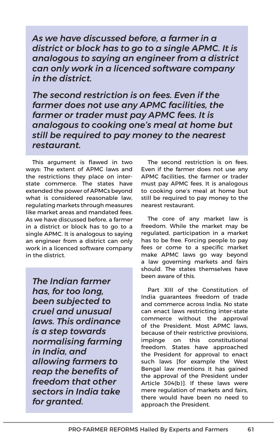*As we have discussed before, a farmer in a district or block has to go to a single APMC. It is analogous to saying an engineer from a district can only work in a licenced software company in the district.*

*The second restriction is on fees. Even if the farmer does not use any APMC facilities, the farmer or trader must pay APMC fees. It is analogous to cooking one's meal at home but still be required to pay money to the nearest restaurant.*

This argument is flawed in two ways: The extent of APMC laws and the restrictions they place on interstate commerce. The states have extended the power of APMCs beyond what is considered reasonable law, regulating markets through measures like market areas and mandated fees. As we have discussed before, a farmer in a district or block has to go to a single APMC. It is analogous to saying an engineer from a district can only work in a licenced software company in the district.

*The Indian farmer has, for too long, been subjected to cruel and unusual laws. This ordinance is a step towards normalising farming in India, and allowing farmers to reap the benefits of freedom that other sectors in India take for granted.*

The second restriction is on fees. Even if the farmer does not use any APMC facilities, the farmer or trader must pay APMC fees. It is analogous to cooking one's meal at home but still be required to pay money to the nearest restaurant.

The core of any market law is freedom. While the market may be regulated, participation in a market has to be free. Forcing people to pay fees or come to a specific market make APMC laws go way beyond a law governing markets and fairs should. The states themselves have been aware of this.

Part XIII of the Constitution of India guarantees freedom of trade and commerce across India. No state can enact laws restricting inter-state commerce without the approval of the President. Most APMC laws, because of their restrictive provisions, impinge on this constitutional freedom. States have approached the President for approval to enact such laws [for example the West Bengal law mentions it has gained the approval of the President under Article 304(b)]. If these laws were mere regulation of markets and fairs. there would have been no need to approach the President.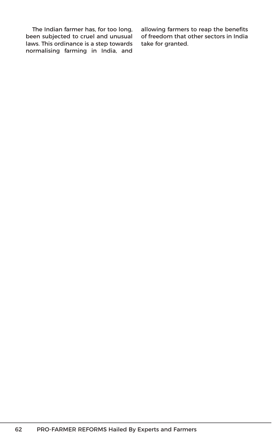The Indian farmer has, for too long, been subjected to cruel and unusual laws. This ordinance is a step towards normalising farming in India, and

allowing farmers to reap the benefits of freedom that other sectors in India take for granted.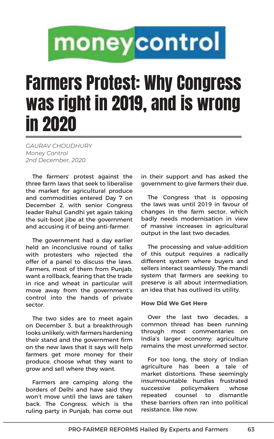# moneycontrol

## Farmers Protest: Why Congress was right in 2019, and is wrong in 2020

*GAURAV CHOUDHURY Money Control 2nd December, 2020*

The farmers' protest against the three farm laws that seek to liberalise the market for agricultural produce and commodities entered Day 7 on December 2, with senior Congress leader Rahul Gandhi yet again taking the suit-boot jibe at the government and accusing it of being anti-farmer.

The government had a day earlier held an inconclusive round of talks with protesters who rejected the offer of a panel to discuss the laws. Farmers, most of them from Punjab, want a rollback, fearing that the trade in rice and wheat in particular will move away from the government's control into the hands of private sector.

The two sides are to meet again on December 3, but a breakthrough looks unlikely, with farmers hardening their stand and the government firm on the new laws that it says will help farmers get more money for their produce, choose what they want to grow and sell where they want.

Farmers are camping along the borders of Delhi and have said they won't move until the laws are taken back. The Congress, which is the ruling party in Punjab, has come out

in their support and has asked the government to give farmers their due.

The Congress that is opposing the laws was until 2019 in favour of changes in the farm sector, which badly needs modernisation in view of massive increases in agricultural output in the last two decades.

The processing and value-addition of this output requires a radically different system where buyers and sellers interact seamlessly. The mandi system that farmers are seeking to preserve is all about intermediation, an idea that has outlived its utility.

### **How Did We Get Here**

Over the last two decades, a common thread has been running through most commentaries on India's larger economy: agriculture remains the most unreformed sector.

For too long, the story of Indian agriculture has been a tale of market distortions. These seemingly insurmountable hurdles frustrated successive policymakers whose repeated counsel to dismantle these barriers often ran into political resistance, like now.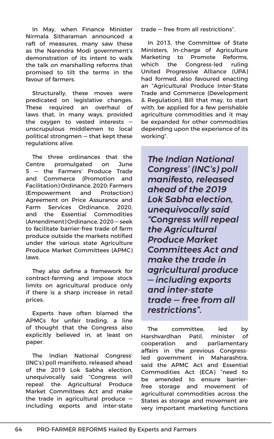In May, when Finance Minister Nirmala Sitharaman announced a raft of measures, many saw these as the Narendra Modi government's demonstration of its intent to walk the talk on marshalling reforms that promised to tilt the terms in the favour of farmers.

Structurally, these moves were predicated on legislative changes. These required an overhaul of laws that, in many ways, provided the oxygen to vested interests unscrupulous middlemen to local political strongmen — that kept these regulations alive.

The three ordinances that the Centre promulgated on June 5 — the Farmers' Produce Trade and Commerce (Promotion and Facilitation) Ordinance, 2020; Farmers (Empowerment and Protection) Agreement on Price Assurance and Farm Services Ordinance, 2020, and the Essential Commodities (Amendment) Ordinance, 2020 — seek to facilitate barrier-free trade of farm produce outside the markets notified under the various state Agriculture Produce Market Committees (APMC) laws.

They also define a framework for contract-farming and impose stock limits on agricultural produce only if there is a sharp increase in retail prices.

Experts have often blamed the APMCs for unfair trading, a line of thought that the Congress also explicitly believed in, at least on paper.

The Indian National Congress' (INC's) poll manifesto, released ahead of the 2019 Lok Sabha election, unequivocally said "Congress will repeal the Agricultural Produce Market Committees Act and make the trade in agricultural produce including exports and inter-state trade — free from all restrictions".

In 2013, the Committee of State Ministers, In-charge of Agriculture Marketing to Promote Reforms, which the Congress-led ruling United Progressive Alliance (UPA) had formed, also favoured enacting an "Agricultural Produce Inter-State Trade and Commerce (Development & Regulation), Bill that may, to start with, be applied for a few perishable agriculture commodities and it may be expanded for other commodities depending upon the experience of its working".

*The Indian National Congress' (INC's) poll manifesto, released ahead of the 2019 Lok Sabha election, unequivocally said "Congress will repeal the Agricultural Produce Market Committees Act and make the trade in agricultural produce — including exports and inter-state trade — free from all restrictions".*

The committee, led by Harshvardhan Patil, minister of cooperation and parliamentary affairs in the previous Congressled government in Maharashtra, said the APMC Act and Essential Commodities Act (ECA) "need to be amended to ensure barrierfree storage and movement of agricultural commodities across the States as storage and movement are very important marketing functions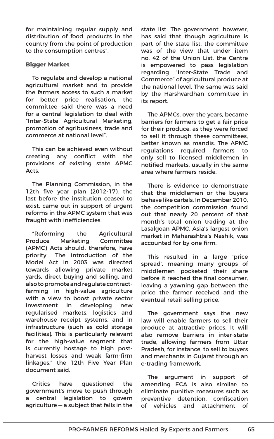for maintaining regular supply and distribution of food products in the country from the point of production to the consumption centres".

#### **Bigger Market**

To regulate and develop a national agricultural market and to provide the farmers access to such a market for better price realisation, the committee said there was a need for a central legislation to deal with "Inter-State Agricultural Marketing, promotion of agribusiness, trade and commerce at national level".

This can be achieved even without creating any conflict with the provisions of existing state APMC Acts.

The Planning Commission, in the 12th five year plan (2012-17), the last before the institution ceased to exist, came out in support of urgent reforms in the APMC system that was fraught with inefficiencies.

"Reforming the Agricultural Produce Marketing Committee (APMC) Acts should, therefore, have priority… The introduction of the Model Act in 2003 was directed towards allowing private market yards, direct buying and selling, and also to promote and regulate contractfarming in high-value agriculture with a view to boost private sector investment in developing new regularised markets, logistics and warehouse receipt systems, and in infrastructure (such as cold storage facilities). This is particularly relevant for the high-value segment that is currently hostage to high postharvest losses and weak farm-firm linkages," the 12th Five Year Plan document said.

Critics have questioned the government's move to push through a central legislation to govern agriculture — a subject that falls in the state list. The government, however, has said that though agriculture is part of the state list, the committee was of the view that under item no. 42 of the Union List, the Centre is empowered to pass legislation regarding "Inter-State Trade and Commerce" of agricultural produce at the national level. The same was said by the Harshvardhan committee in its report.

The APMCs, over the years, became barriers for farmers to get a fair price for their produce, as they were forced to sell it through these committees, better known as mandis. The APMC regulations required farmers to only sell to licensed middlemen in notified markets, usually in the same area where farmers reside.

There is evidence to demonstrate that the middlemen or the buyers behave like cartels. In December 2010, the competition commission found out that nearly 20 percent of that month's total onion trading at the Lasalgoan APMC, Asia's largest onion market in Maharashtra's Nashik, was accounted for by one firm.

This resulted in a large 'price spread', meaning many groups of middlemen pocketed their share before it reached the final consumer, leaving a yawning gap between the price the farmer received and the eventual retail selling price.

The government says the new law will enable farmers to sell their produce at attractive prices. It will also remove barriers in inter-state trade, allowing farmers from Uttar Pradesh, for instance, to sell to buyers and merchants in Gujarat through an e-trading framework.

The argument in support of amending ECA is also similar: to eliminate punitive measures such as preventive detention, confiscation of vehicles and attachment of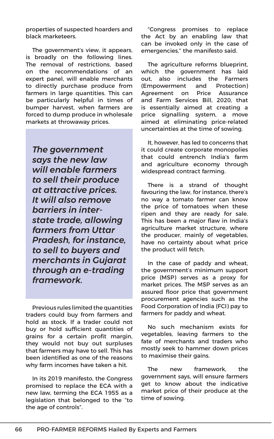properties of suspected hoarders and black marketeers.

The government's view, it appears, is broadly on the following lines. The removal of restrictions, based on the recommendations of an expert panel, will enable merchants to directly purchase produce from farmers in large quantities. This can be particularly helpful in times of bumper harvest, when farmers are forced to dump produce in wholesale markets at throwaway prices.

*The government says the new law will enable farmers to sell their produce at attractive prices. It will also remove barriers in interstate trade, allowing farmers from Uttar Pradesh, for instance, to sell to buyers and merchants in Gujarat through an e-trading framework.*

Previous rules limited the quantities traders could buy from farmers and hold as stock. If a trader could not buy or hold sufficient quantities of grains for a certain profit margin, they would not buy out surpluses that farmers may have to sell. This has been identified as one of the reasons why farm incomes have taken a hit.

In its 2019 manifesto, the Congress promised to replace the ECA with a new law, terming the ECA 1955 as a legislation that belonged to the "to the age of controls".

"Congress promises to replace the Act by an enabling law that can be invoked only in the case of emergencies," the manifesto said.

The agriculture reforms blueprint, which the government has laid out, also includes the Farmers (Empowerment and Protection) Agreement on Price Assurance and Farm Services Bill, 2020, that is essentially aimed at creating a price signalling system, a move aimed at eliminating price-related uncertainties at the time of sowing.

It, however, has led to concerns that it could create corporate monopolies that could entrench India's farm and agriculture economy through widespread contract farming.

There is a strand of thought favouring the law, for instance, there's no way a tomato farmer can know the price of tomatoes when these ripen and they are ready for sale. This has been a major flaw in India's agriculture market structure, where the producer, mainly of vegetables, have no certainty about what price the product will fetch.

In the case of paddy and wheat, the government's minimum support price (MSP) serves as a proxy for market prices. The MSP serves as an assured floor price that government procurement agencies such as the Food Corporation of India (FCI) pay to farmers for paddy and wheat.

No such mechanism exists for vegetables, leaving farmers to the fate of merchants and traders who mostly seek to hammer down prices to maximise their gains.

The new framework, the government says, will ensure farmers get to know about the indicative market price of their produce at the time of sowing.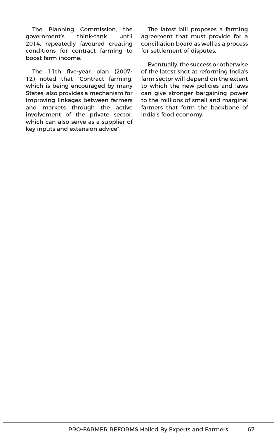The Planning Commission, the government's think-tank until 2014, repeatedly favoured creating conditions for contract farming to boost farm income.

The 11th five-year plan (2007- 12) noted that "Contract farming, which is being encouraged by many States, also provides a mechanism for improving linkages between farmers and markets through the active involvement of the private sector, which can also serve as a supplier of key inputs and extension advice".

The latest bill proposes a farming agreement that must provide for a conciliation board as well as a process for settlement of disputes.

Eventually, the success or otherwise of the latest shot at reforming India's farm sector will depend on the extent to which the new policies and laws can give stronger bargaining power to the millions of small and marginal farmers that form the backbone of India's food economy.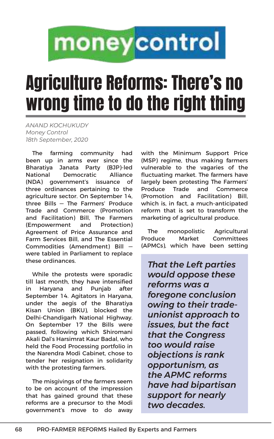# moneycontrol

## Agriculture Reforms: There's no wrong time to do the right thing

*ANAND KOCHUKUDY Money Control 18th September, 2020*

The farming community had been up in arms ever since the Bharatiya Janata Party (BJP)-led National Democratic Alliance (NDA) government's issuance of three ordinances pertaining to the agriculture sector. On September 14, three Bills — The Farmers' Produce Trade and Commerce (Promotion and Facilitation) Bill, The Farmers (Empowerment and Protection) Agreement of Price Assurance and Farm Services Bill, and The Essential Commodities (Amendment) Bill were tabled in Parliament to replace these ordinances.

While the protests were sporadic till last month, they have intensified in Haryana and Punjab after September 14. Agitators in Haryana, under the aegis of the Bharatiya Kisan Union (BKU), blocked the Delhi-Chandigarh National Highway. On September 17 the Bills were passed, following which Shiromani Akali Dal's Harsimrat Kaur Badal, who held the Food Processing portfolio in the Narendra Modi Cabinet, chose to tender her resignation in solidarity with the protesting farmers.

The misgivings of the farmers seem to be on account of the impression that has gained ground that these reforms are a precursor to the Modi government's move to do away with the Minimum Support Price (MSP) regime, thus making farmers vulnerable to the vagaries of the fluctuating market. The farmers have largely been protesting The Farmers' Produce Trade and Commerce (Promotion and Facilitation) Bill, which is, in fact, a much-anticipated reform that is set to transform the marketing of agricultural produce.

The monopolistic Agricultural Produce Market Committees (APMCs), which have been setting

*That the Left parties would oppose these reforms was a foregone conclusion owing to their tradeunionist approach to issues, but the fact that the Congress too would raise objections is rank opportunism, as the APMC reforms have had bipartisan support for nearly two decades.*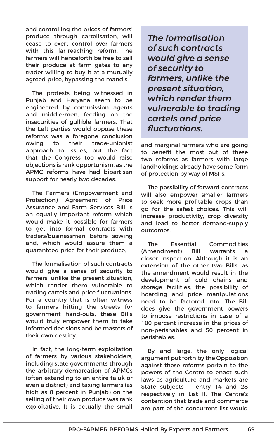and controlling the prices of farmers' produce through cartelisation, will cease to exert control over farmers with this far-reaching reform. The farmers will henceforth be free to sell their produce at farm gates to any trader willing to buy it at a mutually agreed price, bypassing the mandis.

The protests being witnessed in Punjab and Haryana seem to be engineered by commission agents and middle-men, feeding on the insecurities of gullible farmers. That the Left parties would oppose these reforms was a foregone conclusion owing to their trade-unionist approach to issues, but the fact that the Congress too would raise objections is rank opportunism, as the APMC reforms have had bipartisan support for nearly two decades.

The Farmers (Empowerment and Protection) Agreement of Price Assurance and Farm Services Bill is an equally important reform which would make it possible for farmers to get into formal contracts with traders/businessmen before sowing and, which would assure them a guaranteed price for their produce.

The formalisation of such contracts would give a sense of security to farmers, unlike the present situation, which render them vulnerable to trading cartels and price fluctuations. For a country that is often witness to farmers hitting the streets for government hand-outs, these Bills would truly empower them to take informed decisions and be masters of their own destiny.

In fact, the long-term exploitation of farmers by various stakeholders, including state governments through the arbitrary demarcation of APMCs (often extending to an entire taluk or even a district) and taxing farmers (as high as 8 percent in Punjab) on the selling of their own produce was rank exploitative. It is actually the small

*The formalisation of such contracts would give a sense of security to farmers, unlike the present situation, which render them vulnerable to trading cartels and price fluctuations.* 

and marginal farmers who are going to benefit the most out of these two reforms as farmers with large landholdings already have some form of protection by way of MSPs.

The possibility of forward contracts will also empower smaller farmers to seek more profitable crops than go for the safest choices. This will increase productivity, crop diversity and lead to better demand-supply outcomes.

The Essential Commodities (Amendment) Bill warrants a closer inspection. Although it is an extension of the other two Bills, as the amendment would result in the development of cold chains and storage facilities, the possibility of hoarding and price manipulations need to be factored into. The Bill does give the government powers to impose restrictions in case of a 100 percent increase in the prices of non-perishables and 50 percent in perishables.

By and large, the only logical argument put forth by the Opposition against these reforms pertain to the powers of the Centre to enact such laws as agriculture and markets are State subjects  $-$  entry 14 and 28 respectively in List II. The Centre's contention that trade and commerce are part of the concurrent list would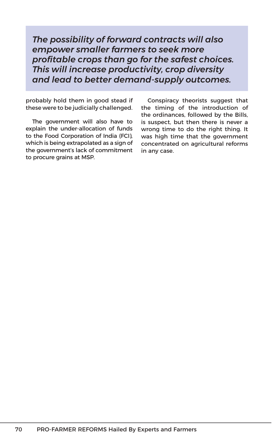*The possibility of forward contracts will also empower smaller farmers to seek more profitable crops than go for the safest choices. This will increase productivity, crop diversity and lead to better demand-supply outcomes.*

probably hold them in good stead if these were to be judicially challenged.

The government will also have to explain the under-allocation of funds to the Food Corporation of India (FCI), which is being extrapolated as a sign of the government's lack of commitment to procure grains at MSP.

Conspiracy theorists suggest that the timing of the introduction of the ordinances, followed by the Bills, is suspect, but then there is never a wrong time to do the right thing. It was high time that the government concentrated on agricultural reforms in any case.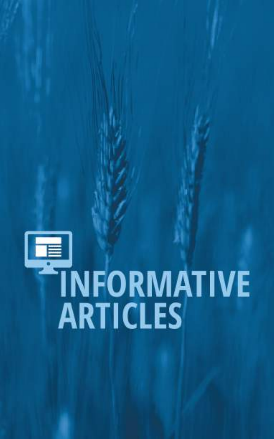# TNFORMATIVE<br>ARTICLES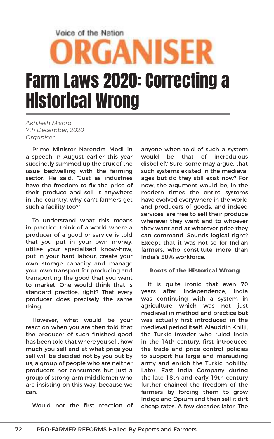#### Voice of the Nation

## **ORGANISER** Farm Laws 2020: Correcting a Historical Wrong

*Akhilesh Mishra 7th December, 2020 Organiser*

Prime Minister Narendra Modi in a speech in August earlier this year succinctly summed up the crux of the issue bedwelling with the farming sector. He said, "Just as industries have the freedom to fix the price of their produce and sell it anywhere in the country, why can't farmers get such a facility too?"

To understand what this means in practice, think of a world where a producer of a good or service is told that you put in your own money, utilise your specialised know-how, put in your hard labour, create your own storage capacity and manage your own transport for producing and transporting the good that you want to market. One would think that is standard practice, right? That every producer does precisely the same thing.

However, what would be your reaction when you are then told that the producer of such finished good has been told that where you sell, how much you sell and at what price you sell will be decided not by you but by us, a group of people who are neither producers nor consumers but just a group of strong-arm middlemen who are insisting on this way, because we can.

Would not the first reaction of

anyone when told of such a system would be that of incredulous disbelief? Sure, some may argue, that such systems existed in the medieval ages but do they still exist now? For now, the argument would be, in the modern times the entire systems have evolved everywhere in the world and producers of goods, and indeed services, are free to sell their produce wherever they want and to whoever they want and at whatever price they can command. Sounds logical right? Except that it was not so for Indian farmers, who constitute more than India's 50% workforce.

#### **Roots of the Historical Wrong**

It is quite ironic that even 70 years after Independence, India was continuing with a system in agriculture which was not just medieval in method and practice but was actually first introduced in the medieval period itself. Alauddin Khilji, the Turkic invader who ruled India in the 14th century, first introduced the trade and price control policies to support his large and marauding army and enrich the Turkic nobility. Later, East India Company during the late 18th and early 19th century further chained the freedom of the farmers by forcing them to grow Indigo and Opium and then sell it dirt cheap rates. A few decades later, The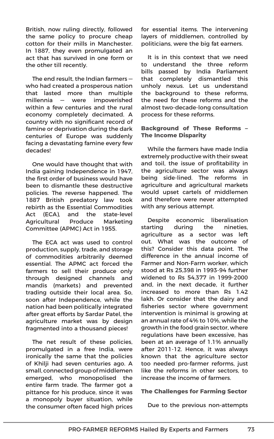British, now ruling directly, followed the same policy to procure cheap cotton for their mills in Manchester. In 1887, they even promulgated an act that has survived in one form or the other till recently.

The end result, the Indian farmers who had created a prosperous nation that lasted more than multiple millennia — were impoverished within a few centuries and the rural economy completely decimated. A country with no significant record of famine or deprivation during the dark centuries of Europe was suddenly facing a devastating famine every few decades!

One would have thought that with India gaining Independence in 1947, the first order of business would have been to dismantle these destructive policies. The reverse happened. The 1887 British predatory law took rebirth as the Essential Commodities Act (ECA), and the state-level Agricultural Produce Marketing Committee (APMC) Act in 1955.

The ECA act was used to control production, supply, trade, and storage of commodities arbitrarily deemed essential. The APMC act forced the farmers to sell their produce only through designed channels and mandis (markets) and prevented trading outside their local area. So, soon after Independence, while the nation had been politically integrated after great efforts by Sardar Patel, the agriculture market was by design fragmented into a thousand pieces!

The net result of these policies, promulgated in a free India, were ironically the same that the policies of Khilji had seven centuries ago. A small, connected group of middlemen emerged, who monopolised the entire farm trade. The farmer got a pittance for his produce, since it was a monopoly buyer situation, while the consumer often faced high prices for essential items. The intervening layers of middlemen, controlled by politicians, were the big fat earners.

It is in this context that we need to understand the three reform bills passed by India Parliament that completely dismantled this unholy nexus. Let us understand the background to these reforms, the need for these reforms and the almost two-decade-long consultation process for these reforms.

#### **Background of These Reforms – The Income Disparity**

While the farmers have made India extremely productive with their sweat and toil, the issue of profitability in the agriculture sector was always being side-lined. The reforms in agriculture and agricultural markets would upset cartels of middlemen and therefore were never attempted with any serious attempt.

Despite economic liberalisation starting during the nineties, agriculture as a sector was left out. What was the outcome of this? Consider this data point. The difference in the annual income of Farmer and Non-Farm worker, which stood at Rs 25,398 in 1993-94 further widened to Rs 54,377 in 1999-2000 and, in the next decade, it further increased to more than Rs 1.42 lakh. Or consider that the dairy and fisheries sector where government intervention is minimal is growing at an annual rate of 4% to 10%, while the growth in the food grain sector, where regulations have been excessive, has been at an average of 1.1% annually after 2011-12. Hence, it was always known that the agriculture sector too needed pro-farmer reforms, just like the reforms in other sectors, to increase the income of farmers.

#### **The Challenges for Farming Sector**

Due to the previous non-attempts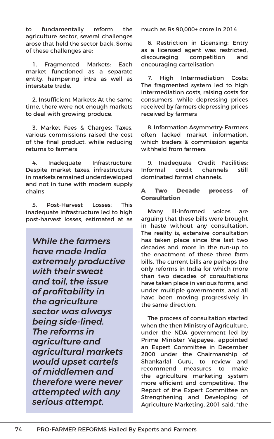to fundamentally reform the agriculture sector, several challenges arose that held the sector back. Some of these challenges are:

1. Fragmented Markets: Each market functioned as a separate entity, hampering intra as well as interstate trade.

2. Insufficient Markets: At the same time, there were not enough markets to deal with growing produce.

3. Market Fees & Charges: Taxes, various commissions raised the cost of the final product, while reducing returns to farmers

4. Inadequate Infrastructure: Despite market taxes, infrastructure in markets remained underdeveloped and not in tune with modern supply chains

5. Post-Harvest Losses: This inadequate infrastructure led to high post-harvest losses, estimated at as

*While the farmers have made India extremely productive with their sweat and toil, the issue of profitability in the agriculture sector was always being side-lined. The reforms in agriculture and agricultural markets would upset cartels of middlemen and therefore were never attempted with any serious attempt.*

much as Rs 90,000+ crore in 2014

6. Restriction in Licensing: Entry as a licensed agent was restricted, discouraging competition and encouraging cartelisation

7. High Intermediation Costs: The fragmented system led to high intermediation costs, raising costs for consumers, while depressing prices received by farmers depressing prices received by farmers

8. Information Asymmetry: Farmers often lacked market information, which traders & commission agents withheld from farmers

9. Inadequate Credit Facilities: Informal credit channels still dominated formal channels.

#### **A Two Decade process of Consultation**

Many ill-informed voices are arguing that these bills were brought in haste without any consultation. The reality is, extensive consultation has taken place since the last two decades and more in the run-up to the enactment of these three farm bills. The current bills are perhaps the only reforms in India for which more than two decades of consultations have taken place in various forms, and under multiple governments, and all have been moving progressively in the same direction.

The process of consultation started when the then Ministry of Agriculture, under the NDA government led by Prime Minister Vajpayee, appointed an Expert Committee in December 2000 under the Chairmanship of Shankarlal Guru, to review and recommend measures to make the agriculture marketing system more efficient and competitive. The Report of the Expert Committee on Strengthening and Developing of Agriculture Marketing, 2001 said, "the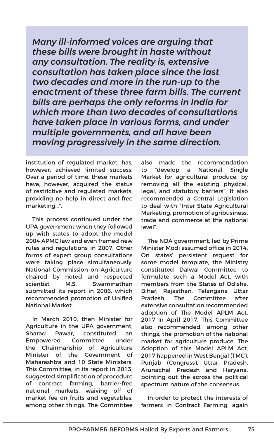*Many ill-informed voices are arguing that these bills were brought in haste without any consultation. The reality is, extensive consultation has taken place since the last two decades and more in the run-up to the enactment of these three farm bills. The current bills are perhaps the only reforms in India for which more than two decades of consultations have taken place in various forms, and under multiple governments, and all have been moving progressively in the same direction.*

institution of regulated market, has, however, achieved limited success. Over a period of time, these markets have, however, acquired the status of restrictive and regulated markets, providing no help in direct and free marketing…".

This process continued under the UPA government when they followed up with states to adopt the model 2004 APMC law and even framed new rules and regulations in 2007. Other forms of expert group consultations were taking place simultaneously. National Commission on Agriculture chaired by noted and respected scientist M.S. Swaminathan submitted its report in 2006, which recommended promotion of Unified National Market.

In March 2010, then Minister for Agriculture in the UPA government, Sharad Pawar, constituted an Empowered Committee under the Chairmanship of Agriculture Minister of the Government of Maharashtra and 10 State Ministers. This Committee, in its report in 2013, suggested simplification of procedure of contract farming, barrier-free national markets, waiving off of market fee on fruits and vegetables, among other things. The Committee also made the recommendation to "develop a National Single Market for agricultural produce, by removing all the existing physical, legal, and statutory barriers". It also recommended a Central Legislation to deal with "Inter-State Agricultural Marketing, promotion of agribusiness, trade and commerce at the national level".

The NDA government, led by Prime Minister Modi assumed office in 2014. On states' persistent request for some model template, the Ministry constituted Dalwai Committee to formulate such a Model Act, with members from the States of Odisha, Bihar, Rajasthan, Telangana Uttar Pradesh. The Committee after extensive consultation recommended adoption of The Model APLM Act, 2017 in April 2017. This Committee also recommended, among other things, the promotion of the national market for agriculture produce. The Adoption of this Model APLM Act, 2017 happened in West Bengal (TMC), Punjab (Congress), Uttar Pradesh, Arunachal Pradesh and Haryana, pointing out the across the political spectrum nature of the consensus.

In order to protect the interests of farmers in Contract Farming, again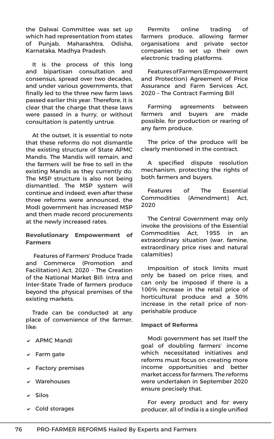the Dalwai Committee was set up which had representation from states of Punjab, Maharashtra, Odisha, Karnataka, Madhya Pradesh.

It is the process of this long and bipartisan consultation and consensus, spread over two decades, and under various governments, that finally led to the three new farm laws passed earlier this year. Therefore, it is clear that the charge that these laws were passed in a hurry, or without consultation is patently untrue.

At the outset, it is essential to note that these reforms do not dismantle the existing structure of State APMC Mandis. The Mandis will remain, and the farmers will be free to sell in the existing Mandis as they currently do. The MSP structure is also not being dismantled. The MSP system will continue and indeed, even after these three reforms were announced, the Modi government has increased MSP and then made record procurements at the newly increased rates.

#### **Revolutionary Empowerment of Farmers**

 Features of Farmers' Produce Trade and Commerce (Promotion and Facilitation) Act, 2020 - The Creation of the National Market Bill· Intra and Inter-State Trade of farmers produce beyond the physical premises of the existing markets.

Trade can be conducted at any place of convenience of the farmer, like:

- v APMC Mandi
- $\sqrt{ }$  Farm gate
- $\triangleright$  Factory premises
- $\vee$  Warehouses
- $\overline{v}$  Silos
- $\vee$  Cold storages

Permits online trading of farmers produce, allowing farmer organisations and private sector companies to set up their own electronic trading platforms.

Features of Farmers (Empowerment and Protection) Agreement of Price Assurance and Farm Services Act, 2020 – The Contract Farming Bill

Farming agreements between farmers and buyers are made possible, for production or rearing of any farm produce.

The price of the produce will be clearly mentioned in the contract.

A specified dispute resolution mechanism, protecting the rights of both farmers and buyers.

Features of The Essential Commodities (Amendment) Act, 2020

The Central Government may only invoke the provisions of the Essential Commodities Act, 1955 in an extraordinary situation (war, famine, extraordinary price rises and natural calamities)

Imposition of stock limits must only be based on price rises, and can only be imposed if there is a 100% increase in the retail price of horticultural produce and a 50% increase in the retail price of nonperishable produce

#### **Impact of Reforms**

Modi government has set itself the goal of doubling farmers' income which necessitated initiatives and reforms must focus on creating more income opportunities and better market access for farmers. The reforms were undertaken in September 2020 ensure precisely that.

For every product and for every producer, all of India is a single unified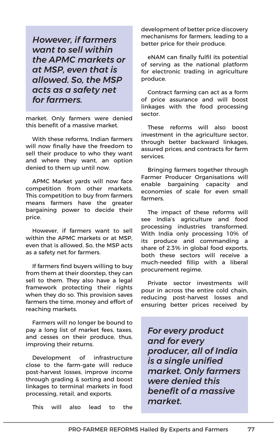*However, if farmers want to sell within the APMC markets or at MSP, even that is allowed. So, the MSP acts as a safety net for farmers.*

market. Only farmers were denied this benefit of a massive market.

With these reforms, Indian farmers will now finally have the freedom to sell their produce to who they want and where they want, an option denied to them up until now.

APMC Market yards will now face competition from other markets. This competition to buy from farmers means farmers have the greater bargaining power to decide their price.

However, if farmers want to sell within the APMC markets or at MSP, even that is allowed. So, the MSP acts as a safety net for farmers.

If farmers find buyers willing to buy from them at their doorstep, they can sell to them. They also have a legal framework protecting their rights when they do so. This provision saves farmers the time, money and effort of reaching markets.

Farmers will no longer be bound to pay a long list of market fees, taxes, and cesses on their produce, thus, improving their returns.

Development of infrastructure close to the farm-gate will reduce post-harvest losses, improve income through grading & sorting and boost linkages to terminal markets in food processing, retail, and exports.

This will also lead to the

development of better price discovery mechanisms for farmers, leading to a better price for their produce.

eNAM can finally fulfil its potential of serving as the national platform for electronic trading in agriculture produce.

Contract farming can act as a form of price assurance and will boost linkages with the food processing sector.

These reforms will also boost investment in the agriculture sector, through better backward linkages, assured prices, and contracts for farm services.

Bringing farmers together through Farmer Producer Organisations will enable bargaining capacity and economies of scale for even small farmers.

The impact of these reforms will see India's agriculture and food processing industries transformed. With India only processing 10% of its produce and commanding a share of 2.3% in global food exports, both these sectors will receive a much-needed fillip with a liberal procurement regime.

Private sector investments will pour in across the entire cold chain, reducing post-harvest losses and ensuring better prices received by

*For every product and for every producer, all of India is a single unified market. Only farmers were denied this benefit of a massive market.*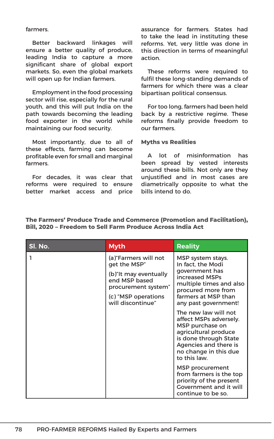farmers.

Better backward linkages will ensure a better quality of produce, leading India to capture a more significant share of global export markets. So, even the global markets will open up for Indian farmers.

Employment in the food processing sector will rise, especially for the rural youth, and this will put India on the path towards becoming the leading food exporter in the world while maintaining our food security.

Most importantly, due to all of these effects, farming can become profitable even for small and marginal farmers.

For decades, it was clear that reforms were required to ensure better market access and price

assurance for farmers. States had to take the lead in instituting these reforms. Yet, very little was done in this direction in terms of meaningful action.

These reforms were required to fulfil these long-standing demands of farmers for which there was a clear bipartisan political consensus.

For too long, farmers had been held back by a restrictive regime. These reforms finally provide freedom to our farmers.

#### **Myths vs Realities**

A lot of misinformation has been spread by vested interests around these bills. Not only are they unjustified and in most cases are diametrically opposite to what the bills intend to do.

**The Farmers' Produce Trade and Commerce (Promotion and Facilitation), Bill, 2020 – Freedom to Sell Farm Produce Across India Act**

| SI. No. | <b>Myth</b>                                                                                                                                        | <b>Reality</b>                                                                                                                                                                       |
|---------|----------------------------------------------------------------------------------------------------------------------------------------------------|--------------------------------------------------------------------------------------------------------------------------------------------------------------------------------------|
|         | (a)"Farmers will not<br>get the MSP"<br>(b) "It may eventually<br>end MSP based<br>procurement system"<br>(c) "MSP operations<br>will discontinue" | MSP system stays.<br>In fact, the Modi<br>government has<br>increased MSPs<br>multiple times and also<br>procured more from<br>farmers at MSP than<br>any past government!           |
|         |                                                                                                                                                    | The new law will not<br>affect MSPs adversely.<br>MSP purchase on<br>agricultural produce<br>is done through State<br>Agencies and there is<br>no change in this due<br>to this law. |
|         |                                                                                                                                                    | MSP procurement<br>from farmers is the top<br>priority of the present<br>Government and it will<br>continue to be so.                                                                |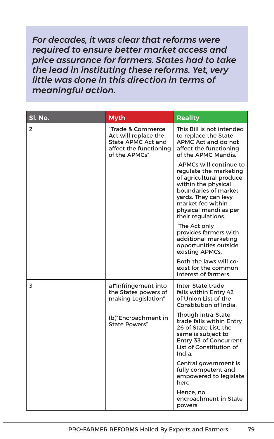*For decades, it was clear that reforms were required to ensure better market access and price assurance for farmers. States had to take the lead in instituting these reforms. Yet, very little was done in this direction in terms of meaningful action.*

| SI. No.        | <b>Myth</b>                                                                                                       | <b>Reality</b>                                                                                                                                                                                                         |
|----------------|-------------------------------------------------------------------------------------------------------------------|------------------------------------------------------------------------------------------------------------------------------------------------------------------------------------------------------------------------|
| $\overline{2}$ | "Trade & Commerce<br>Act will replace the<br><b>State APMC Act and</b><br>affect the functioning<br>of the APMCs" | This Bill is not intended<br>to replace the State<br>APMC Act and do not<br>affect the functioning<br>of the APMC Mandis.                                                                                              |
|                |                                                                                                                   | APMCs will continue to<br>regulate the marketing<br>of agricultural produce<br>within the physical<br>boundaries of market<br>yards. They can levy<br>market fee within<br>physical mandi as per<br>their regulations. |
|                |                                                                                                                   | The Act only<br>provides farmers with<br>additional marketing<br>opportunities outside<br>existing APMCs.                                                                                                              |
|                |                                                                                                                   | Both the laws will co-<br>exist for the common<br>interest of farmers.                                                                                                                                                 |
| 3              | a) "Infringement into<br>the States powers of<br>making Legislation"                                              | Inter-State trade<br>falls within Entry 42<br>of Union List of the<br>Constitution of India.                                                                                                                           |
|                | (b)"Encroachment in<br><b>State Powers"</b>                                                                       | Though intra-State<br>trade falls within Entry<br>26 of State List, the<br>same is subject to<br>Entry 33 of Concurrent<br>List of Constitution of<br>India.                                                           |
|                |                                                                                                                   | Central government is<br>fully competent and<br>empowered to legislate<br>here                                                                                                                                         |
|                |                                                                                                                   | Hence, no<br>encroachment in State<br>powers.                                                                                                                                                                          |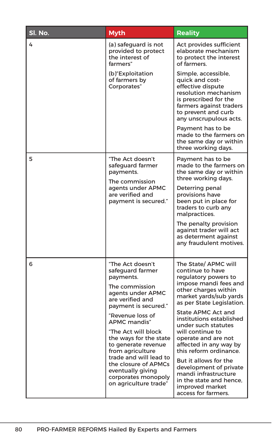| Sl. No. | <b>Myth</b>                                                                                                                                                                                                     | <b>Reality</b>                                                                                                                                                                           |
|---------|-----------------------------------------------------------------------------------------------------------------------------------------------------------------------------------------------------------------|------------------------------------------------------------------------------------------------------------------------------------------------------------------------------------------|
| 4       | (a) safeguard is not<br>provided to protect<br>the interest of<br>farmers"                                                                                                                                      | Act provides sufficient<br>elaborate mechanism<br>to protect the interest<br>of farmers.                                                                                                 |
|         | (b) Exploitation<br>of farmers by<br>Corporates"                                                                                                                                                                | Simple, accessible,<br>quick and cost-<br>effective dispute<br>resolution mechanism<br>is prescribed for the<br>farmers against traders<br>to prevent and curb<br>any unscrupulous acts. |
|         |                                                                                                                                                                                                                 | Payment has to be<br>made to the farmers on<br>the same day or within<br>three working days.                                                                                             |
| 5       | "The Act doesn't<br>safeguard farmer<br>payments.<br>The commission<br>agents under APMC<br>are verified and<br>payment is secured."                                                                            | Payment has to be<br>made to the farmers on<br>the same day or within<br>three working days.                                                                                             |
|         |                                                                                                                                                                                                                 | Deterring penal<br>provisions have<br>been put in place for<br>traders to curb any<br>malpractices.                                                                                      |
|         |                                                                                                                                                                                                                 | The penalty provision<br>against trader will act<br>as determent against<br>any fraudulent motives.                                                                                      |
| 6       | "The Act doesn't<br>safeguard farmer<br>payments.<br>The commission<br>agents under APMC<br>are verified and<br>payment is secured."                                                                            | The State/ APMC will<br>continue to have<br>regulatory powers to<br>impose mandi fees and<br>other charges within<br>market yards/sub yards<br>as per State Legislation.                 |
|         | "Revenue loss of<br>APMC mandis"                                                                                                                                                                                | <b>State APMC Act and</b><br>institutions established<br>under such statutes                                                                                                             |
|         | "The Act will block<br>the ways for the state<br>to generate revenue<br>from agriculture<br>trade and will lead to<br>the closure of APMCs<br>eventually giving<br>corporates monopoly<br>on agriculture trade" | will continue to<br>operate and are not<br>affected in any way by<br>this reform ordinance.                                                                                              |
|         |                                                                                                                                                                                                                 | But it allows for the<br>development of private<br>mandi infrastructure<br>in the state and hence.<br>improved market<br>access for farmers.                                             |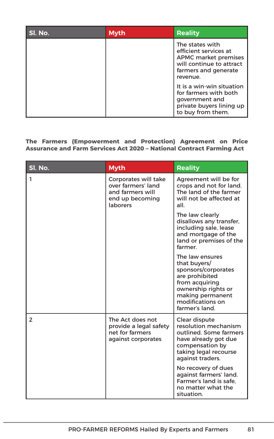| SI. No. | <b>Myth</b> | <b>Reality</b>                                                                                                                          |
|---------|-------------|-----------------------------------------------------------------------------------------------------------------------------------------|
|         |             | The states with<br>efficient services at<br><b>APMC market premises</b><br>will continue to attract<br>farmers and generate<br>revenue. |
|         |             | It is a win-win situation<br>for farmers with both<br>government and<br>private buyers lining up<br>to buy from them.                   |

#### **The Farmers (Empowerment and Protection) Agreement on Price Assurance and Farm Services Act 2020 – National Contract Farming Act**

| Sl. No. | <b>Myth</b>                                                                                   | Reality                                                                                                                                                                     |
|---------|-----------------------------------------------------------------------------------------------|-----------------------------------------------------------------------------------------------------------------------------------------------------------------------------|
| ı       | Corporates will take<br>over farmers' land<br>and farmers will<br>end up becoming<br>laborers | Agreement will be for<br>crops and not for land.<br>The land of the farmer<br>will not be affected at<br>all.                                                               |
|         |                                                                                               | The law clearly<br>disallows any transfer,<br>including sale, lease<br>and mortgage of the<br>land or premises of the<br>farmer.                                            |
|         |                                                                                               | The law ensures<br>that buyers/<br>sponsors/corporates<br>are prohibited<br>from acquiring<br>ownership rights or<br>making permanent<br>modifications on<br>farmer's land. |
| 2       | The Act does not<br>provide a legal safety<br>net for farmers<br>against corporates           | Clear dispute<br>resolution mechanism<br>outlined. Some farmers<br>have already got due<br>compensation by<br>taking legal recourse<br>against traders.                     |
|         |                                                                                               | No recovery of dues<br>against farmers' land.<br>Farmer's land is safe.<br>no matter what the<br>situation.                                                                 |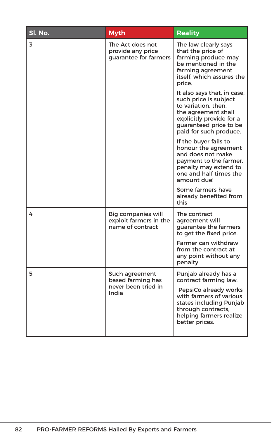| Sl. No. | <b>Myth</b>                                                          | <b>Reality</b>                                                                                                                                                                     |
|---------|----------------------------------------------------------------------|------------------------------------------------------------------------------------------------------------------------------------------------------------------------------------|
| 3       | The Act does not<br>provide any price<br>quarantee for farmers       | The law clearly says<br>that the price of<br>farming produce may<br>be mentioned in the<br>farming agreement<br>itself. which assures the<br>price.                                |
|         |                                                                      | It also says that, in case,<br>such price is subject<br>to variation, then.<br>the agreement shall<br>explicitly provide for a<br>guaranteed price to be<br>paid for such produce. |
|         |                                                                      | If the buyer fails to<br>honour the agreement<br>and does not make<br>payment to the farmer,<br>penalty may extend to<br>one and half times the<br>amount due!                     |
|         |                                                                      | Some farmers have<br>already benefited from<br>this                                                                                                                                |
| 4       | Big companies will<br>exploit farmers in the<br>name of contract     | The contract<br>agreement will<br>quarantee the farmers<br>to get the fixed price.                                                                                                 |
|         |                                                                      | Farmer can withdraw<br>from the contract at<br>any point without any<br>penalty                                                                                                    |
| 5       | Such agreement-<br>based farming has<br>never been tried in<br>India | Punjab already has a<br>contract farming law.                                                                                                                                      |
|         |                                                                      | PepsiCo already works<br>with farmers of various<br>states including Punjab<br>through contracts,<br>helping farmers realize<br>better prices.                                     |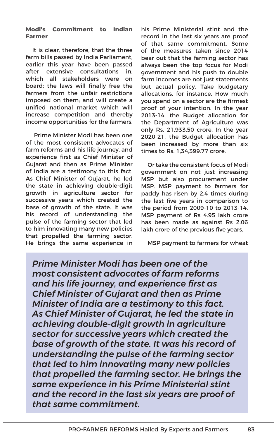#### **Modi's Commitment to Indian Farmer**

It is clear, therefore, that the three farm bills passed by India Parliament, earlier this year have been passed after extensive consultations in, which all stakeholders were on board; the laws will finally free the farmers from the unfair restrictions imposed on them; and will create a unified national market which will increase competition and thereby income opportunities for the farmers.

 Prime Minister Modi has been one of the most consistent advocates of farm reforms and his life journey, and experience first as Chief Minister of Gujarat and then as Prime Minister of India are a testimony to this fact. As Chief Minister of Gujarat, he led the state in achieving double-digit growth in agriculture sector for successive years which created the base of growth of the state. It was his record of understanding the pulse of the farming sector that led to him innovating many new policies that propelled the farming sector. He brings the same experience in his Prime Ministerial stint and the record in the last six years are proof of that same commitment. Some of the measures taken since 2014 bear out that the farming sector has always been the top focus for Modi government and his push to double farm incomes are not just statements but actual policy. Take budgetary allocations, for instance. How much you spend on a sector are the firmest proof of your intention. In the year 2013-14, the Budget allocation for the Department of Agriculture was only Rs. 21,933.50 crore. In the year 2020-21, the Budget allocation has been increased by more than six times to Rs. 1,34,399.77 crore.

Or take the consistent focus of Modi government on not just increasing MSP but also procurement under MSP. MSP payment to farmers for paddy has risen by 2.4 times during the last five years in comparison to the period from 2009-10 to 2013-14. MSP payment of Rs 4.95 lakh crore has been made as against Rs 2.06 lakh crore of the previous five years.

MSP payment to farmers for wheat

*Prime Minister Modi has been one of the most consistent advocates of farm reforms and his life journey, and experience first as Chief Minister of Gujarat and then as Prime Minister of India are a testimony to this fact. As Chief Minister of Gujarat, he led the state in achieving double-digit growth in agriculture sector for successive years which created the base of growth of the state. It was his record of understanding the pulse of the farming sector that led to him innovating many new policies that propelled the farming sector. He brings the same experience in his Prime Ministerial stint and the record in the last six years are proof of that same commitment.*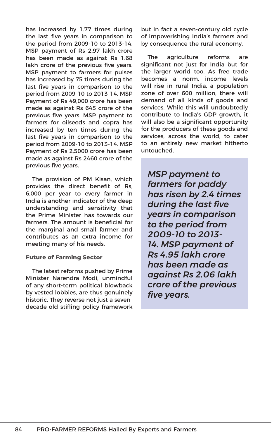has increased by 1.77 times during the last five years in comparison to the period from 2009-10 to 2013-14. MSP payment of Rs 2.97 lakh crore has been made as against Rs 1.68 lakh crore of the previous five years. MSP payment to farmers for pulses has increased by 75 times during the last five years in comparison to the period from 2009-10 to 2013-14. MSP Payment of Rs 49,000 crore has been made as against Rs 645 crore of the previous five years. MSP payment to farmers for oilseeds and copra has increased by ten times during the last five years in comparison to the period from 2009-10 to 2013-14. MSP Payment of Rs 2,5000 crore has been made as against Rs 2460 crore of the previous five years.

The provision of PM Kisan, which provides the direct benefit of Rs, 6,000 per year to every farmer in India is another indicator of the deep understanding and sensitivity that the Prime Minister has towards our farmers. The amount is beneficial for the marginal and small farmer and contributes as an extra income for meeting many of his needs.

#### **Future of Farming Sector**

The latest reforms pushed by Prime Minister Narendra Modi, unmindful of any short-term political blowback by vested lobbies, are thus genuinely historic. They reverse not just a sevendecade-old stifling policy framework

but in fact a seven-century old cycle of impoverishing India's farmers and by consequence the rural economy.

The agriculture reforms are significant not just for India but for the larger world too. As free trade becomes a norm, income levels will rise in rural India, a population zone of over 600 million, there will demand of all kinds of goods and services. While this will undoubtedly contribute to India's GDP growth, it will also be a significant opportunity for the producers of these goods and services, across the world, to cater to an entirely new market hitherto untouched.

*MSP payment to farmers for paddy has risen by 2.4 times during the last five years in comparison to the period from 2009-10 to 2013- 14. MSP payment of Rs 4.95 lakh crore has been made as against Rs 2.06 lakh crore of the previous five years.*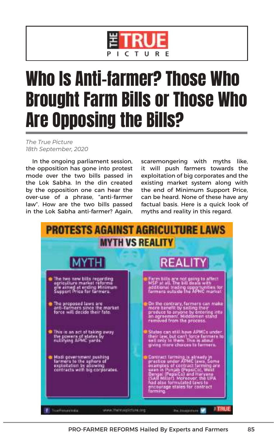

## Who Is Anti-farmer? Those Who Brought Farm Bills or Those Who Are Opposing the Bills?

*The True Picture 18th September, 2020*

In the ongoing parliament session, the opposition has gone into protest mode over the two bills passed in the Lok Sabha. In the din created by the opposition one can hear the over-use of a phrase, "anti-farmer law". How are the two bills passed in the Lok Sabha anti-farmer? Again, scaremongering with myths like, it will push farmers towards the exploitation of big corporates and the existing market system along with the end of Minimum Support Price, can be heard. None of these have any factual basis. Here is a quick look of myths and reality in this regard.

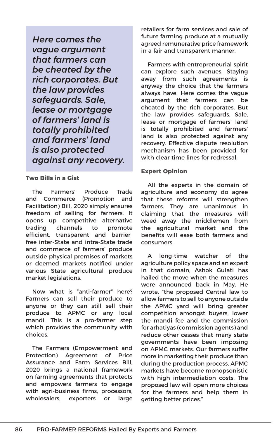*Here comes the vague argument that farmers can be cheated by the rich corporates. But the law provides safeguards. Sale, lease or mortgage of farmers' land is totally prohibited and farmers' land is also protected against any recovery.* 

#### **Two Bills in a Gist**

The Farmers' Produce Trade and Commerce (Promotion and Facilitation) Bill, 2020 simply ensures freedom of selling for farmers. It opens up competitive alternative trading channels to promote efficient, transparent and barrierfree inter-State and intra-State trade and commerce of farmers' produce outside physical premises of markets or deemed markets notified under various State agricultural produce market legislations.

Now what is "anti-farmer" here? Farmers can sell their produce to anyone or they can still sell their produce to APMC or any local mandi. This is a pro-farmer step which provides the community with choices.

The Farmers (Empowerment and Protection) Agreement of Price Assurance and Farm Services Bill, 2020 brings a national framework on farming agreements that protects and empowers farmers to engage with agri-business firms, processors, wholesalers, exporters or large

retailers for farm services and sale of future farming produce at a mutually agreed remunerative price framework in a fair and transparent manner.

Farmers with entrepreneurial spirit can explore such avenues. Staying away from such agreements is anyway the choice that the farmers always have. Here comes the vague argument that farmers can be cheated by the rich corporates. But the law provides safeguards. Sale, lease or mortgage of farmers' land is totally prohibited and farmers' land is also protected against any recovery. Effective dispute resolution mechanism has been provided for with clear time lines for redressal.

#### **Expert Opinion**

All the experts in the domain of agriculture and economy do agree that these reforms will strengthen farmers. They are unanimous in claiming that the measures will weed away the middlemen from the agricultural market and the benefits will ease both farmers and consumers.

A long-time watcher of the agriculture policy space and an expert in that domain, Ashok Gulati has hailed the move when the measures were announced back in May. He wrote, "the proposed Central law to allow farmers to sell to anyone outside the APMC yard will bring greater competition amongst buyers, lower the mandi fee and the commission for arhatiyas (commission agents) and reduce other cesses that many state governments have been imposing on APMC markets. Our farmers suffer more in marketing their produce than during the production process. APMC markets have become monopsonistic with high intermediation costs. The proposed law will open more choices for the farmers and help them in getting better prices."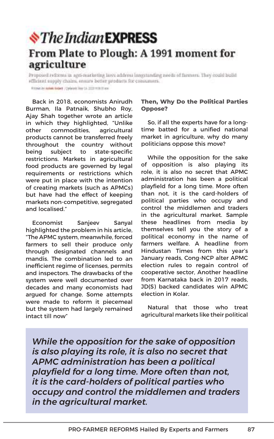#### **S**The Indian **EXPRESS** From Plate to Plough: A 1991 moment for agriculture

Proposed reforms in agri-marketing laws address longstanding needs of farmers. They could build efficient supply chains, snaurs better products for consumers. Altimation datable Gallery | Dynamic May 13, 2022 with thiese

Back in 2018, economists Anirudh Burman, Ila Patnaik, Shubho Roy, Ajay Shah together wrote an article in which they highlighted, "Unlike other commodities, agricultural products cannot be transferred freely throughout the country without being subject to state-specific restrictions. Markets in agricultural food products are governed by legal requirements or restrictions which were put in place with the intention of creating markets (such as APMCs) but have had the effect of keeping markets non-competitive, segregated and localised."

Economist Sanjeev Sanyal highlighted the problem in his article, "The APMC system, meanwhile, forced farmers to sell their produce only through designated channels and mandis. The combination led to an inefficient regime of licenses, permits and inspectors. The drawbacks of the system were well documented over decades and many economists had argued for change. Some attempts were made to reform it piecemeal but the system had largely remained intact till now"

#### **Then, Why Do the Political Parties Oppose?**

So, if all the experts have for a longtime batted for a unified national market in agriculture, why do many politicians oppose this move?

While the opposition for the sake of opposition is also playing its role, it is also no secret that APMC administration has been a political playfield for a long time. More often than not, it is the card-holders of political parties who occupy and control the middlemen and traders in the agricultural market. Sample these headlines from media by themselves tell you the story of a political economy in the name of farmers welfare. A headline from Hindustan Times from this year's January reads, Cong-NCP alter APMC election rules to regain control of cooperative sector, Another headline from Karnataka back in 2017 reads, JD(S) backed candidates win APMC election in Kolar.

Natural that those who treat agricultural markets like their political

*While the opposition for the sake of opposition is also playing its role, it is also no secret that APMC administration has been a political playfield for a long time. More often than not, it is the card-holders of political parties who occupy and control the middlemen and traders in the agricultural market.*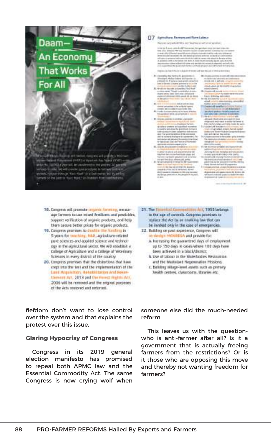

[]7 Aphalum famomant functions

Notes of two of the control of the con-

the top I years come the AP Cor

in her that missed it to see that the cold of the set

- the of the self-state product of the
- 
- 
- 
- 
- which the fall the permanental discharm
- 
- 
- 
- 
- 
- 
- 
- 
- 

- 18. Congress will promote organiz forming, excelaage farmers to use mixed fertilizers and predcicles. Support verification of organic products, and help there secure better prices for organic products.
- 19. Europeux promises to dealths the funding in-5 years for traviting, 880, agriculture-related pare sciences and applied science and technolegy in the agricultural sector. We will establish a Edilege of Agriculture and a College of Veterinary Sciences in every district of the country
- 20. Empress promises that the distortions that have crept into the test and the implementation of the Land Angeletten, Bakabilitation and Reset-Hamon Art, 2013 and the Forest Rights Art, 2006 will be removed and the priginal purposes of the Acts restored and exteriori-

fiefdom don't want to lose control over the system and that explains the protest over this issue.

#### **Glaring Hypocrisy of Congress**

Congress in its 2019 general election manifesto has promised to repeal both APMC law and the Essential Commodity Act. The same Congress is now crying wolf when 21. The Emeritial Commutities Art, 1955 belongs to the age of controls. Congress promises to restace the Act by an enabling line that can be invated only in the case of emergencies.

- 22. Building on past experience, Congress will re-riseige MOMEDA and pravide for:
	- A Increasing the guaranteed days of employment up to 150 days in cases where 100 days have been achieved in a black/district;
	- is the of labor in the Watertrables Requesting. and the Masteland Regeneration Missions:
	- r. Beliding rillage-level assets such as pressry health centers, classrooms, thracies etc.

someone else did the much-needed reform.

This leaves us with the questionwho is anti-farmer after all? Is it a government that is actually freeing farmers from the restrictions? Or is it those who are opposing this move and thereby not wanting freedom for farmers?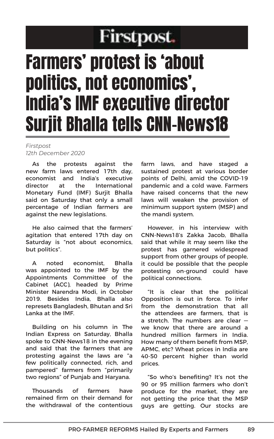### Firstpost.

## Farmers' protest is 'about politics, not economics', India's IMF executive director Surjit Bhalla tells CNN-News18

#### *Firstpost 12th December 2020*

As the protests against the new farm laws entered 17th day, economist and India's executive director at the International Monetary Fund (IMF) Surjit Bhalla said on Saturday that only a small percentage of Indian farmers are against the new legislations.

He also caimed that the farmers' agitation that entered 17th day on Saturday is "not about economics, but politics".

A noted economist, Bhalla was appointed to the IMF by the Appointments Committee of the Cabinet (ACC), headed by Prime Minister Narendra Modi, in October 2019. Besides India, Bhalla also represets Bangladesh, Bhutan and Sri Lanka at the IMF.

Building on his column in The Indian Express on Saturday, Bhalla spoke to CNN-News18 in the evening and said that the farmers that are protesting against the laws are "a few politically connected, rich, and pampered" farmers from "primarily two regions" of Punjab and Haryana.

Thousands of farmers have remained firm on their demand for the withdrawal of the contentious farm laws, and have staged a sustained protest at various border points of Delhi, amid the COVID-19 pandemic and a cold wave. Farmers have raised concerns that the new laws will weaken the provision of minimum support system (MSP) and the mandi system.

However, in his interview with CNN-News18's Zakka Jacob, Bhalla said that while it may seem like the protest has garnered widespread support from other groups of people, it could be possible that the people protesting on-ground could have political connections.

"It is clear that the political Opposition is out in force. To infer from the demonstration that all the attendees are farmers, that is a stretch. The numbers are clear we know that there are around a hundred million farmers in India. How many of them benefit from MSP, APMC, etc? Wheat prices in India are 40-50 percent higher than world prices.

"So who's benefiting? It's not the 90 or 95 million farmers who don't produce for the market, they are not getting the price that the MSP guys are getting. Our stocks are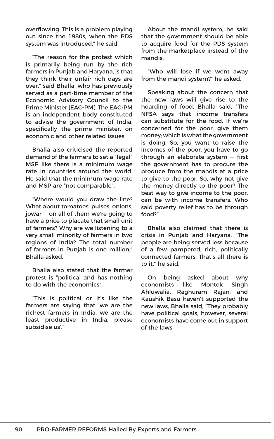overflowing. This is a problem playing out since the 1980s, when the PDS system was introduced," he said.

"The reason for the protest which is primarily being run by the rich farmers in Punjab and Haryana, is that they think their unfair rich days are over," said Bhalla, who has previously served as a part-time member of the Economic Advisory Council to the Prime Minister (EAC-PM). The EAC-PM is an independent body constituted to advise the government of India, specifically the prime minister, on economic and other related issues.

Bhalla also criticised the reported demand of the farmers to set a "legal" MSP like there is a minimum wage rate in countries around the world. He said that the minimum wage rate and MSP are "not comparable".

"Where would you draw the line? What about tomatoes, pulses, onions, jowar — on all of them we're going to have a price to placate that small unit of farmers? Why are we listening to a very small minority of farmers in two regions of India? The total number of farmers in Punjab is one million," Bhalla asked.

Bhalla also stated that the farmer protest is "political and has nothing to do with the economics".

"This is political or it's like the farmers are saying that 'we are the richest farmers in India, we are the least productive in India, please subsidise us'."

About the mandi system, he said that the government should be able to acquire food for the PDS system from the marketplace instead of the mandis.

"Who will lose if we went away from the mandi system?" he asked.

Speaking about the concern that the new laws will give rise to the hoarding of food, Bhalla said, "The NFSA says that income transfers can substitute for the food. If we're concerned for the poor, give them money; which is what the government is doing. So, you want to raise the incomes of the poor, you have to go through an elaborate system — first the government has to procure the produce from the mandis at a price to give to the poor. So, why not give the money directly to the poor? The best way to give income to the poor, can be with income transfers. Who said poverty relief has to be through food?"

Bhalla also claimed that there is crisis in Punjab and Haryana. "The people are being served less because of a few pampered, rich, politically connected farmers. That's all there is to it," he said.

On being asked about why economists like Montek Singh Ahluwalia, Raghuram Rajan, and Kaushik Basu haven't supported the new laws, Bhalla said, "They probably have political goals, however, several economists have come out in support of the laws."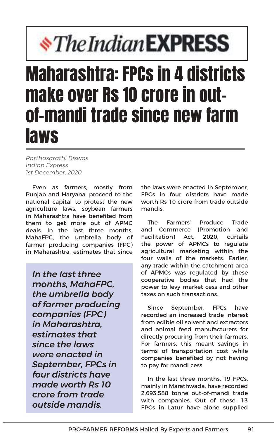# *<i><u><b>\*The Indian EXPRESS</u>*

## Maharashtra: FPCs in 4 districts make over Rs 10 crore in outof-mandi trade since new farm laws

*Parthasarathi Biswas Indian Express 1st December, 2020*

Even as farmers, mostly from Punjab and Haryana, proceed to the national capital to protest the new agriculture laws, soybean farmers in Maharashtra have benefited from them to get more out of APMC deals. In the last three months, MahaFPC, the umbrella body of farmer producing companies (FPC) in Maharashtra, estimates that since

*In the last three months, MahaFPC, the umbrella body of farmer producing companies (FPC) in Maharashtra, estimates that since the laws were enacted in September, FPCs in four districts have made worth Rs 10 crore from trade outside mandis.*

the laws were enacted in September, FPCs in four districts have made worth Rs 10 crore from trade outside mandis.

The Farmers' Produce Trade and Commerce (Promotion and Facilitation) Act, 2020, curtails the power of APMCs to regulate agricultural marketing within the four walls of the markets. Earlier, any trade within the catchment area of APMCs was regulated by these cooperative bodies that had the power to levy market cess and other taxes on such transactions.

Since September, FPCs have recorded an increased trade interest from edible oil solvent and extractors and animal feed manufacturers for directly procuring from their farmers. For farmers, this meant savings in terms of transportation cost while companies benefited by not having to pay for mandi cess.

In the last three months, 19 FPCs, mainly in Marathwada, have recorded 2,693.588 tonne out-of-mandi trade with companies. Out of these, 13 FPCs in Latur have alone supplied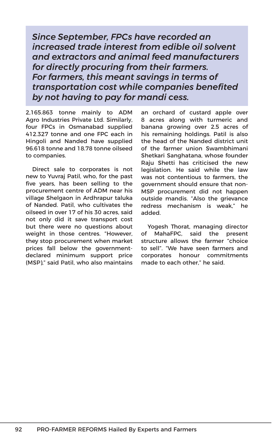*Since September, FPCs have recorded an increased trade interest from edible oil solvent and extractors and animal feed manufacturers for directly procuring from their farmers. For farmers, this meant savings in terms of transportation cost while companies benefited by not having to pay for mandi cess.*

2,165.863 tonne mainly to ADM Agro Industries Private Ltd. Similarly, four FPCs in Osmanabad supplied 412.327 tonne and one FPC each in Hingoli and Nanded have supplied 96.618 tonne and 18.78 tonne oilseed to companies.

Direct sale to corporates is not new to Yuvraj Patil, who, for the past five years, has been selling to the procurement centre of ADM near his village Shelgaon in Ardhrapur taluka of Nanded. Patil, who cultivates the oilseed in over 17 of his 30 acres, said not only did it save transport cost but there were no questions about weight in those centres. "However, they stop procurement when market prices fall below the governmentdeclared minimum support price (MSP)," said Patil, who also maintains

an orchard of custard apple over 8 acres along with turmeric and banana growing over 2.5 acres of his remaining holdings. Patil is also the head of the Nanded district unit of the farmer union Swambhimani Shetkari Sanghatana, whose founder Raju Shetti has criticised the new legislation. He said while the law was not contentious to farmers, the government should ensure that non-MSP procurement did not happen outside mandis. "Also the grievance redress mechanism is weak," he added.

Yogesh Thorat, managing director of MahaFPC, said the present structure allows the farmer "choice to sell". "We have seen farmers and corporates honour commitments made to each other," he said.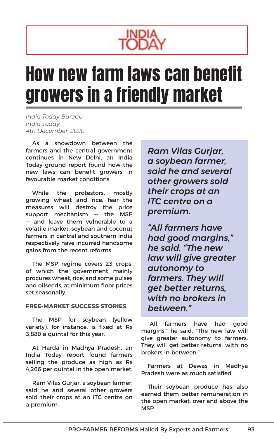

## How new farm laws can benefit growers in a friendly market

*India Today Bureau India Today 4th December, 2020*

As a showdown between the farmers and the central government continues in New Delhi, an India Today ground report found how the new laws can benefit growers in favourable market conditions.

While the protestors, mostly growing wheat and rice, fear the measures will destroy the price support mechanism -- the MSP -- and leave them vulnerable to a volatile market, soybean and coconut farmers in central and southern India respectively have incurred handsome gains from the recent reforms.

The MSP regime covers 23 crops, of which the government mainly procures wheat, rice, and some pulses and oilseeds, at minimum floor prices set seasonally.

#### **FREE-MARKET SUCCESS STORIES**

The MSP for soybean (yellow variety), for instance, is fixed at Rs 3,880 a quintal for this year.

At Harda in Madhya Pradesh, an India Today report found farmers selling the produce as high as Rs 4,266 per quintal in the open market.

Ram Vilas Gurjar, a soybean farmer, said he and several other growers sold their crops at an ITC centre on a premium.

*Ram Vilas Gurjar, a soybean farmer, said he and several other growers sold their crops at an ITC centre on a premium.*

*"All farmers have had good margins," he said. "The new law will give greater autonomy to farmers. They will get better returns, with no brokers in between."*

"All farmers have had good margins," he said. "The new law will give greater autonomy to farmers. They will get better returns, with no brokers in between."

Farmers at Dewas in Madhya Pradesh were as much satisfied.

Their soybean produce has also earned them better remuneration in the open market, over and above the MSP.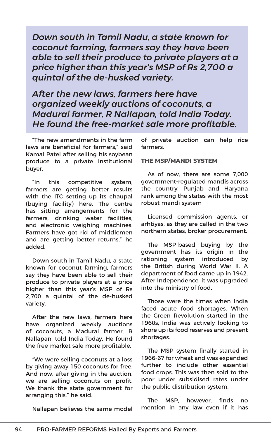*Down south in Tamil Nadu, a state known for coconut farming, farmers say they have been able to sell their produce to private players at a price higher than this year's MSP of Rs 2,700 a quintal of the de-husked variety.*

*After the new laws, farmers here have organized weekly auctions of coconuts, a Madurai farmer, R Nallapan, told India Today. He found the free-market sale more profitable.*

"The new amendments in the farm laws are beneficial for farmers," said Kamal Patel after selling his soybean produce to a private institutional buyer.

"In this competitive system, farmers are getting better results with the ITC setting up its chaupal (buying facility) here. The centre has sitting arrangements for the farmers, drinking water facilities, and electronic weighing machines. Farmers have got rid of middlemen and are getting better returns," he added.

Down south in Tamil Nadu, a state known for coconut farming, farmers say they have been able to sell their produce to private players at a price higher than this year's MSP of Rs 2,700 a quintal of the de-husked variety.

After the new laws, farmers here have organized weekly auctions of coconuts, a Madurai farmer, R Nallapan, told India Today. He found the free-market sale more profitable.

"We were selling coconuts at a loss by giving away 150 coconuts for free. And now, after giving in the auction, we are selling coconuts on profit. We thank the state government for arranging this," he said.

Nallapan believes the same model

of private auction can help rice farmers.

#### **THE MSP/MANDI SYSTEM**

As of now, there are some 7,000 government-regulated mandis across the country. Punjab and Haryana rank among the states with the most robust mandi system

Licensed commission agents, or arhtiyas, as they are called in the two northern states, broker procurement.

The MSP-based buying by the government has its origin in the rationing system introduced by the British during World War II. A department of food came up in 1942. After Independence, it was upgraded into the ministry of food.

Those were the times when India faced acute food shortages. When the Green Revolution started in the 1960s, India was actively looking to shore up its food reserves and prevent shortages.

The MSP system finally started in 1966-67 for wheat and was expanded further to include other essential food crops. This was then sold to the poor under subsidised rates under the public distribution system.

The MSP, however, finds no mention in any law even if it has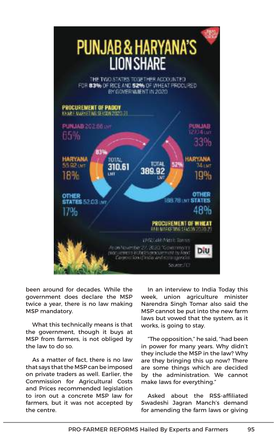

been around for decades. While the government does declare the MSP twice a year, there is no law making MSP mandatory.

What this technically means is that the government, though it buys at MSP from farmers, is not obliged by the law to do so.

As a matter of fact, there is no law that says that the MSP can be imposed on private traders as well. Earlier, the Commission for Agricultural Costs and Prices recommended legislation to iron out a concrete MSP law for farmers, but it was not accepted by the centre.

In an interview to India Today this week, union agriculture minister Narendra Singh Tomar also said the MSP cannot be put into the new farm laws but vowed that the system, as it works, is going to stay.

"The opposition," he said, "had been in power for many years. Why didn't they include the MSP in the law? Why are they bringing this up now? There are some things which are decided by the administration. We cannot make laws for everything."

Asked about the RSS-affiliated Swadeshi Jagran Manch's demand for amending the farm laws or giving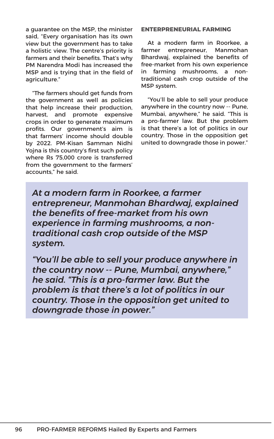a guarantee on the MSP, the minister said, "Every organisation has its own view but the government has to take a holistic view. The centre's priority is farmers and their benefits. That's why PM Narendra Modi has increased the MSP and is trying that in the field of agriculture."

"The farmers should get funds from the government as well as policies that help increase their production, harvest, and promote expensive crops in order to generate maximum profits. Our government's aim is that farmers' income should double by 2022. PM-Kisan Samman Nidhi Yojna is this country's first such policy where Rs 75,000 crore is transferred from the government to the farmers' accounts," he said.

#### **ENTERPRENEURIAL FARMING**

At a modern farm in Roorkee, a farmer entrepreneur, Manmohan Bhardwaj, explained the benefits of free-market from his own experience in farming mushrooms, a nontraditional cash crop outside of the MSP system.

"You'll be able to sell your produce anywhere in the country now -- Pune, Mumbai, anywhere," he said. "This is a pro-farmer law. But the problem is that there's a lot of politics in our country. Those in the opposition get united to downgrade those in power."

*At a modern farm in Roorkee, a farmer entrepreneur, Manmohan Bhardwaj, explained the benefits of free-market from his own experience in farming mushrooms, a nontraditional cash crop outside of the MSP system.*

*"You'll be able to sell your produce anywhere in the country now -- Pune, Mumbai, anywhere," he said. "This is a pro-farmer law. But the problem is that there's a lot of politics in our country. Those in the opposition get united to downgrade those in power."*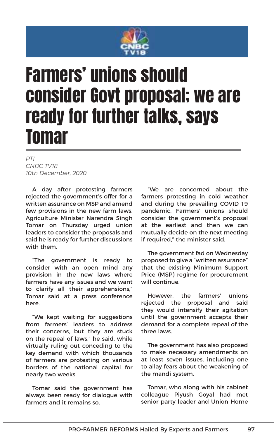

## Farmers' unions should consider Govt proposal; we are ready for further talks, says Tomar

*PTI CNBC TV18 10th December, 2020* 

A day after protesting farmers rejected the government's offer for a written assurance on MSP and amend few provisions in the new farm laws, Agriculture Minister Narendra Singh Tomar on Thursday urged union leaders to consider the proposals and said he is ready for further discussions with them.

"The government is ready to consider with an open mind any provision in the new laws where farmers have any issues and we want to clarify all their apprehensions," Tomar said at a press conference here.

"We kept waiting for suggestions from farmers' leaders to address their concerns, but they are stuck on the repeal of laws," he said, while virtually ruling out conceding to the key demand with which thousands of farmers are protesting on various borders of the national capital for nearly two weeks.

Tomar said the government has always been ready for dialogue with farmers and it remains so.

"We are concerned about the farmers protesting in cold weather and during the prevailing COVID-19 pandemic. Farmers' unions should consider the government's proposal at the earliest and then we can mutually decide on the next meeting if required," the minister said.

The government fad on Wednesday proposed to give a "written assurance" that the existing Minimum Support Price (MSP) regime for procurement will continue.

However, the farmers' unions rejected the proposal and said they would intensify their agitation until the government accepts their demand for a complete repeal of the three laws.

The government has also proposed to make necessary amendments on at least seven issues, including one to allay fears about the weakening of the mandi system.

Tomar, who along with his cabinet colleague Piyush Goyal had met senior party leader and Union Home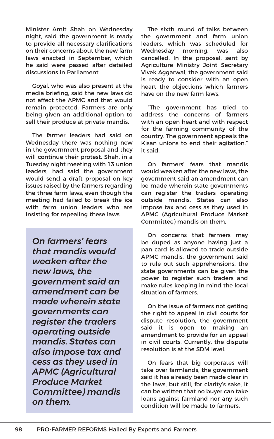Minister Amit Shah on Wednesday night, said the government is ready to provide all necessary clarifications on their concerns about the new farm laws enacted in September, which he said were passed after detailed discussions in Parliament.

Goyal, who was also present at the media briefing, said the new laws do not affect the APMC and that would remain protected. Farmers are only being given an additional option to sell their produce at private mandis.

The farmer leaders had said on Wednesday there was nothing new in the government proposal and they will continue their protest. Shah, in a Tuesday night meeting with 13 union leaders, had said the government would send a draft proposal on key issues raised by the farmers regarding the three farm laws, even though the meeting had failed to break the ice with farm union leaders who are insisting for repealing these laws.

*On farmers' fears that mandis would weaken after the new laws, the government said an amendment can be made wherein state governments can register the traders operating outside mandis. States can also impose tax and cess as they used in APMC (Agricultural Produce Market Committee) mandis on them.*

The sixth round of talks between the government and farm union leaders, which was scheduled for Wednesday morning, was also cancelled. In the proposal, sent by Agriculture Ministry Joint Secretary Vivek Aggarwal, the government said is ready to consider with an open heart the objections which farmers have on the new farm laws.

"The government has tried to address the concerns of farmers with an open heart and with respect for the farming community of the country. The government appeals the Kisan unions to end their agitation," it said.

On farmers' fears that mandis would weaken after the new laws, the government said an amendment can be made wherein state governments can register the traders operating outside mandis. States can also impose tax and cess as they used in APMC (Agricultural Produce Market Committee) mandis on them.

On concerns that farmers may be duped as anyone having just a pan card is allowed to trade outside APMC mandis, the government said to rule out such apprehensions, the state governments can be given the power to register such traders and make rules keeping in mind the local situation of farmers.

On the issue of farmers not getting the right to appeal in civil courts for dispute resolution, the government said it is open to making an amendment to provide for an appeal in civil courts. Currently, the dispute resolution is at the SDM level.

On fears that big corporates will take over farmlands, the government said it has already been made clear in the laws, but still, for clarity's sake, it can be written that no buyer can take loans against farmland nor any such condition will be made to farmers.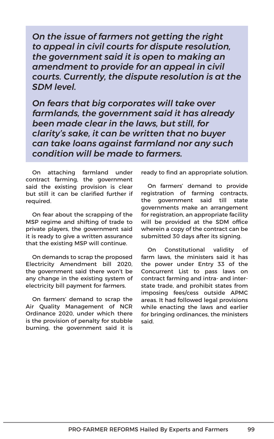*On the issue of farmers not getting the right to appeal in civil courts for dispute resolution, the government said it is open to making an amendment to provide for an appeal in civil courts. Currently, the dispute resolution is at the SDM level.*

*On fears that big corporates will take over farmlands, the government said it has already been made clear in the laws, but still, for clarity's sake, it can be written that no buyer can take loans against farmland nor any such condition will be made to farmers.*

On attaching farmland under contract farming, the government said the existing provision is clear but still it can be clarified further if required.

On fear about the scrapping of the MSP regime and shifting of trade to private players, the government said it is ready to give a written assurance that the existing MSP will continue.

On demands to scrap the proposed Electricity Amendment bill 2020, the government said there won't be any change in the existing system of electricity bill payment for farmers.

On farmers' demand to scrap the Air Quality Management of NCR Ordinance 2020, under which there is the provision of penalty for stubble burning, the government said it is ready to find an appropriate solution.

On farmers' demand to provide registration of farming contracts, the government said till state governments make an arrangement for registration, an appropriate facility will be provided at the SDM office wherein a copy of the contract can be submitted 30 days after its signing.

On Constitutional validity of farm laws, the ministers said it has the power under Entry 33 of the Concurrent List to pass laws on contract farming and intra- and interstate trade, and prohibit states from imposing fees/cess outside APMC areas. It had followed legal provisions while enacting the laws and earlier for bringing ordinances, the ministers said.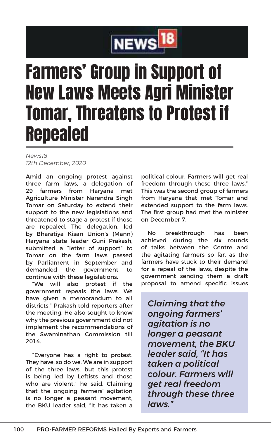

## Farmers' Group in Support of New Laws Meets Agri Minister Tomar, Threatens to Protest if Repealed

*News18 12th December, 2020*

Amid an ongoing protest against three farm laws, a delegation of 29 farmers from Haryana met Agriculture Minister Narendra Singh Tomar on Saturday to extend their support to the new legislations and threatened to stage a protest if those are repealed. The delegation, led by Bharatiya Kisan Union's (Mann) Haryana state leader Guni Prakash, submitted a "letter of support" to Tomar on the farm laws passed by Parliament in September and demanded the government to continue with these legislations.

"We will also protest if the government repeals the laws. We have given a memorandum to all districts," Prakash told reporters after the meeting. He also sought to know why the previous government did not implement the recommendations of the Swaminathan Commission till 2014.

"Everyone has a right to protest. They have, so do we. We are in support of the three laws, but this protest is being led by Leftists and those who are violent," he said. Claiming that the ongoing farmers' agitation is no longer a peasant movement, the BKU leader said, "It has taken a

political colour. Farmers will get real freedom through these three laws." This was the second group of farmers from Haryana that met Tomar and extended support to the farm laws. The first group had met the minister on December 7.

No breakthrough has been achieved during the six rounds of talks between the Centre and the agitating farmers so far, as the farmers have stuck to their demand for a repeal of the laws, despite the government sending them a draft proposal to amend specific issues

*Claiming that the ongoing farmers' agitation is no longer a peasant movement, the BKU leader said, "It has taken a political colour. Farmers will get real freedom through these three laws."*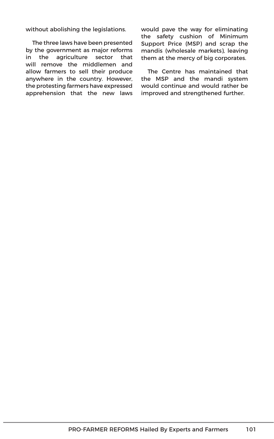without abolishing the legislations.

The three laws have been presented by the government as major reforms in the agriculture sector that will remove the middlemen and allow farmers to sell their produce anywhere in the country. However, the protesting farmers have expressed apprehension that the new laws would pave the way for eliminating the safety cushion of Minimum Support Price (MSP) and scrap the mandis (wholesale markets), leaving them at the mercy of big corporates.

The Centre has maintained that the MSP and the mandi system would continue and would rather be improved and strengthened further.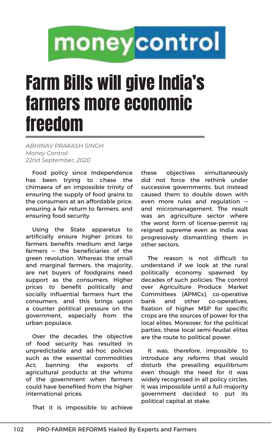# moneycontrol

# Farm Bills will give India's farmers more economic freedom

*ABHINAV PRAKASH SINGH Money Control 22nd September, 2020*

Food policy since Independence has been trying to chase the chimaera of an impossible trinity of ensuring the supply of food grains to the consumers at an affordable price, ensuring a fair return to farmers, and ensuring food security.

Using the State apparatus to artificially ensure higher prices to farmers benefits medium and large farmers — the beneficiaries of the green revolution. Whereas the small and marginal farmers, the majority, are net buyers of foodgrains need support as the consumers. Higher prices to benefit politically and socially influential farmers hurt the consumers, and this brings upon a counter political pressure on the government, especially from the urban populace.

Over the decades, the objective of food security has resulted in unpredictable and ad-hoc policies such as the essential commodities Act, banning the exports of agricultural products at the whims of the government when farmers could have benefited from the higher international prices.

That it is impossible to achieve

these objectives simultaneously did not force the rethink under successive governments, but instead caused them to double down with even more rules and regulation and micromanagement. The result was an agriculture sector where the worst form of license-permit raj reigned supreme even as India was progressively dismantling them in other sectors.

The reason is not difficult to understand if we look at the rural politically economy spawned by decades of such policies. The control over Agriculture Produce Market Committees (APMCs), co-operative bank and other co-operatives, fixation of higher MSP for specific crops are the sources of power for the local elites. Moreover, for the political parties, these local semi-feudal elites are the route to political power.

It was, therefore, impossible to introduce any reforms that would disturb the prevailing equilibrium even though the need for it was widely recognised in all policy circles. It was impossible until a full-majority government decided to put its political capital at stake.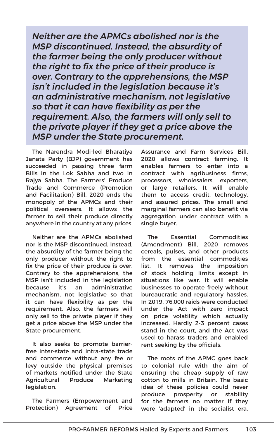*Neither are the APMCs abolished nor is the MSP discontinued. Instead, the absurdity of the farmer being the only producer without the right to fix the price of their produce is over. Contrary to the apprehensions, the MSP isn't included in the legislation because it's an administrative mechanism, not legislative so that it can have flexibility as per the requirement. Also, the farmers will only sell to the private player if they get a price above the MSP under the State procurement.*

The Narendra Modi-led Bharatiya Janata Party (BJP) government has succeeded in passing three farm Bills in the Lok Sabha and two in Rajya Sabha. The Farmers' Produce Trade and Commerce (Promotion and Facilitation) Bill, 2020 ends the monopoly of the APMCs and their political overseers. It allows the farmer to sell their produce directly anywhere in the country at any prices.

Neither are the APMCs abolished nor is the MSP discontinued. Instead, the absurdity of the farmer being the only producer without the right to fix the price of their produce is over. Contrary to the apprehensions, the MSP isn't included in the legislation because it's an administrative mechanism, not legislative so that it can have flexibility as per the requirement. Also, the farmers will only sell to the private player if they get a price above the MSP under the State procurement.

It also seeks to promote barrierfree inter-state and intra-state trade and commerce without any fee or levy outside the physical premises of markets notified under the State Agricultural Produce Marketing legislation.

The Farmers (Empowerment and Protection) Agreement of Price Assurance and Farm Services Bill, 2020 allows contract farming. It enables farmers to enter into a contract with agribusiness firms, processors, wholesalers, exporters, or large retailers. It will enable them to access credit, technology, and assured prices. The small and marginal farmers can also benefit via aggregation under contract with a single buyer.

The Essential Commodities (Amendment) Bill, 2020 removes cereals, pulses, and other products from the essential commodities list. It removes the imposition of stock holding limits except in situations like war. It will enable businesses to operate freely without bureaucratic and regulatory hassles. In 2019, 76,000 raids were conducted under the Act with zero impact on price volatility which actually increased. Hardly 2-3 percent cases stand in the court, and the Act was used to harass traders and enabled rent-seeking by the officials.

The roots of the APMC goes back to colonial rule with the aim of ensuring the cheap supply of raw cotton to mills in Britain. The basic idea of these policies could never produce prosperity or stability for the farmers no matter if they were 'adapted' in the socialist era.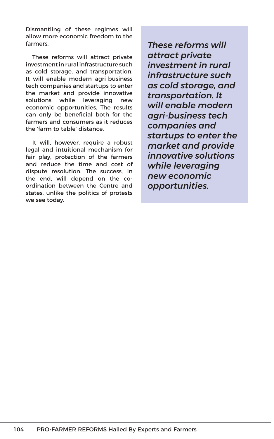Dismantling of these regimes will allow more economic freedom to the farmers.

These reforms will attract private investment in rural infrastructure such as cold storage, and transportation. It will enable modern agri-business tech companies and startups to enter the market and provide innovative solutions while leveraging new economic opportunities. The results can only be beneficial both for the farmers and consumers as it reduces the 'farm to table' distance.

It will, however, require a robust legal and intuitional mechanism for fair play, protection of the farmers and reduce the time and cost of dispute resolution. The success, in the end, will depend on the coordination between the Centre and states, unlike the politics of protests we see today.

*These reforms will attract private investment in rural infrastructure such as cold storage, and transportation. It will enable modern agri-business tech companies and startups to enter the market and provide innovative solutions while leveraging new economic opportunities.*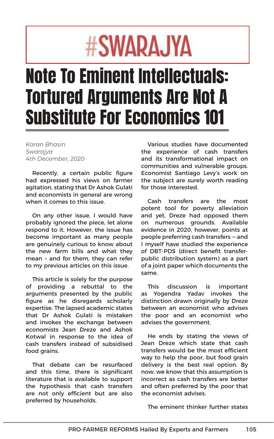# #SWARA.JYA

# Note To Eminent Intellectuals: Tortured Arguments Are Not A Substitute For Economics 101

*Karan Bhasin Swarajya 4th December, 2020*

Recently, a certain public figure had expressed his views on farmer agitation, stating that Dr Ashok Gulati and economists in general are wrong when it comes to this issue.

On any other issue, I would have probably ignored the piece, let alone respond to it. However, the issue has become important as many people are genuinely curious to know about the new farm bills and what they mean – and for them, they can refer to my previous articles on this issue.

This article is solely for the purpose of providing a rebuttal to the arguments presented by the public figure as he disregards scholarly expertise. The lapsed academic states that Dr Ashok Gulati is mistaken and invokes the exchange between economists Jean Dreze and Ashok Kotwal in response to the idea of cash transfers instead of subsidised food grains.

That debate can be resurfaced and this time, there is significant literature that is available to support the hypothesis that cash transfers are not only efficient but are also preferred by households.

Various studies have documented the experience of cash transfers and its transformational impact on communities and vulnerable groups. Economist Santiago Levy's work on the subject are surely worth reading for those interested.

Cash transfers are the most potent tool for poverty alleviation and yet, Dreze had opposed them on numerous grounds. Available evidence in 2020, however, points at people preferring cash transfers — and I myself have studied the experience of DBT-PDS (direct benefit transferpublic distribution system) as a part of a joint paper which documents the same.

This discussion is important as Yogendra Yadav invokes the distinction drawn originally by Dreze between an economist who advises the poor and an economist who advises the government.

He ends by stating the views of Jean Dreze which state that cash transfers would be the most efficient way to help the poor, but food grain delivery is the best real option. By now, we know that this assumption is incorrect as cash transfers are better and often preferred by the poor that the economist advises.

The eminent thinker further states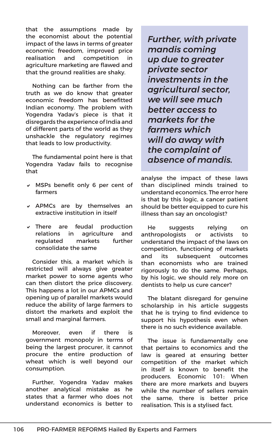that the assumptions made by the economist about the potential impact of the laws in terms of greater economic freedom, improved price realisation and competition in agriculture marketing are flawed and that the ground realities are shaky.

Nothing can be farther from the truth as we do know that greater economic freedom has benefitted Indian economy. The problem with Yogendra Yadav's piece is that it disregards the experience of India and of different parts of the world as they unshackle the regulatory regimes that leads to low productivity.

The fundamental point here is that Yogendra Yadav fails to recognise that

- $\vee$  MSPs benefit only 6 per cent of farmers
- $\times$  APMCs are by themselves an extractive institution in itself
- $\vee$  There are feudal production relations in agriculture and regulated markets further consolidate the same

Consider this, a market which is restricted will always give greater market power to some agents who can then distort the price discovery. This happens a lot in our APMCs and opening up of parallel markets would reduce the ability of large farmers to distort the markets and exploit the small and marginal farmers.

Moreover, even if there is government monopoly in terms of being the largest procurer, it cannot procure the entire production of wheat which is well beyond our consumption.

Further, Yogendra Yadav makes another analytical mistake as he states that a farmer who does not understand economics is better to *Further, with private mandis coming up due to greater private sector investments in the agricultural sector, we will see much better access to markets for the farmers which will do away with the complaint of absence of mandis.* 

analyse the impact of these laws than disciplined minds trained to understand economics. The error here is that by this logic, a cancer patient should be better equipped to cure his illness than say an oncologist?

He suggests relying on anthropologists or activists to understand the impact of the laws on competition, functioning of markets and its subsequent outcomes than economists who are trained rigorously to do the same. Perhaps, by his logic, we should rely more on dentists to help us cure cancer?

The blatant disregard for genuine scholarship in his article suggests that he is trying to find evidence to support his hypothesis even when there is no such evidence available.

The issue is fundamentally one that pertains to economics and the law is geared at ensuring better competition of the market which in itself is known to benefit the producers. Economic 101: When there are more markets and buyers while the number of sellers remain the same, there is better price realisation. This is a stylised fact.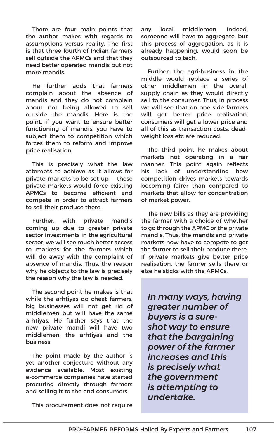There are four main points that the author makes with regards to assumptions versus reality. The first is that three-fourth of Indian farmers sell outside the APMCs and that they need better operated mandis but not more mandis.

He further adds that farmers complain about the absence of mandis and they do not complain about not being allowed to sell outside the mandis. Here is the point, if you want to ensure better functioning of mandis, you have to subject them to competition which forces them to reform and improve price realisation.

This is precisely what the law attempts to achieve as it allows for private markets to be set up — these private markets would force existing APMCs to become efficient and compete in order to attract farmers to sell their produce there.

Further, with private mandis coming up due to greater private sector investments in the agricultural sector, we will see much better access to markets for the farmers which will do away with the complaint of absence of mandis. Thus, the reason why he objects to the law is precisely the reason why the law is needed.

The second point he makes is that while the arhtiyas do cheat farmers, big businesses will not get rid of middlemen but will have the same arhtiyas. He further says that the new private mandi will have two middlemen, the arhtiyas and the business.

The point made by the author is yet another conjecture without any evidence available. Most existing e-commerce companies have started procuring directly through farmers and selling it to the end consumers.

This procurement does not require

any local middlemen. Indeed, someone will have to aggregate, but this process of aggregation, as it is already happening, would soon be outsourced to tech.

Further, the agri-business in the middle would replace a series of other middlemen in the overall supply chain as they would directly sell to the consumer. Thus, in process we will see that on one side farmers will get better price realisation, consumers will get a lower price and all of this as transaction costs, deadweight loss etc are reduced.

The third point he makes about markets not operating in a fair manner. This point again reflects his lack of understanding how competition drives markets towards becoming fairer than compared to markets that allow for concentration of market power.

The new bills as they are providing the farmer with a choice of whether to go through the APMC or the private mandis. Thus, the mandis and private markets now have to compete to get the farmer to sell their produce there. If private markets give better price realisation, the farmer sells there or else he sticks with the APMCs.

*In many ways, having greater number of buyers is a sureshot way to ensure that the bargaining power of the farmer increases and this is precisely what the government is attempting to undertake.*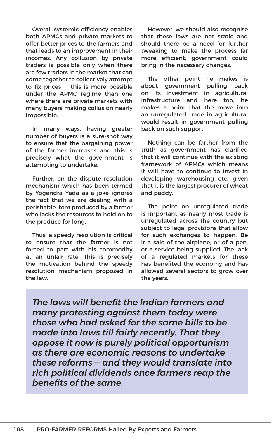Overall systemic efficiency enables both APMCs and private markets to offer better prices to the farmers and that leads to an improvement in their incomes. Any collusion by private traders is possible only when there are few traders in the market that can come together to collectively attempt to fix prices  $-$  this is more possible under the APMC regime than one where there are private markets with many buyers making collusion nearly impossible.

In many ways, having greater number of buyers is a sure-shot way to ensure that the bargaining power of the farmer increases and this is precisely what the government is attempting to undertake.

Further, on the dispute resolution mechanism which has been termed by Yogendra Yada as a joke ignores the fact that we are dealing with a perishable item produced by a farmer who lacks the resources to hold on to the produce for long.

Thus, a speedy resolution is critical to ensure that the farmer is not forced to part with his commodity at an unfair rate. This is precisely the motivation behind the speedy resolution mechanism proposed in the law.

However, we should also recognise that these laws are not static and should there be a need for further tweaking to make the process far more efficient, government could bring in the necessary changes.

The other point he makes is about government pulling back on its investment in agricultural infrastructure and here too, he makes a point that the move into an unregulated trade in agricultural would result in government pulling back on such support.

Nothing can be farther from the truth as government has clarified that it will continue with the existing framework of APMCs which means it will have to continue to invest in developing warehousing etc, given that it is the largest procurer of wheat and paddy.

The point on unregulated trade is important as nearly most trade is unregulated across the country but subject to legal provisions that allow for such exchanges to happen. Be it a sale of the airplane, or of a pen, or a service being supplied. The lack of a regulated markets for these has benefited the economy and has allowed several sectors to grow over the years.

*The laws will benefit the Indian farmers and many protesting against them today were those who had asked for the same bills to be made into laws till fairly recently. That they oppose it now is purely political opportunism as there are economic reasons to undertake these reforms — and they would translate into rich political dividends once farmers reap the benefits of the same.*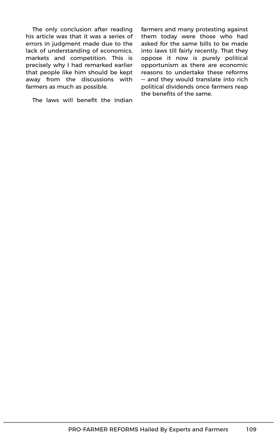The only conclusion after reading his article was that it was a series of errors in judgment made due to the lack of understanding of economics, markets and competition. This is precisely why I had remarked earlier that people like him should be kept away from the discussions with farmers as much as possible.

The laws will benefit the Indian

farmers and many protesting against them today were those who had asked for the same bills to be made into laws till fairly recently. That they oppose it now is purely political opportunism as there are economic reasons to undertake these reforms — and they would translate into rich political dividends once farmers reap the benefits of the same.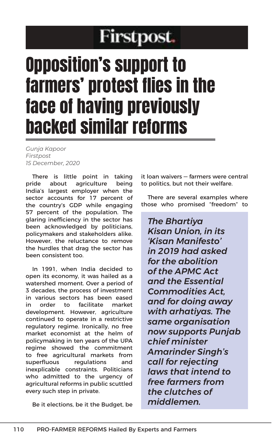# **Firstpost.**

# Opposition's support to farmers' protest flies in the face of having previously backed similar reforms

*Gunja Kapoor Firstpost 15 December, 2020*

There is little point in taking pride about agriculture being India's largest employer when the sector accounts for 17 percent of the country's GDP while engaging 57 percent of the population. The glaring inefficiency in the sector has been acknowledged by politicians, policymakers and stakeholders alike. However, the reluctance to remove the hurdles that drag the sector has been consistent too.

In 1991, when India decided to open its economy, it was hailed as a watershed moment. Over a period of 3 decades, the process of investment in various sectors has been eased in order to facilitate market development. However, agriculture continued to operate in a restrictive regulatory regime. Ironically, no free market economist at the helm of policymaking in ten years of the UPA regime showed the commitment to free agricultural markets from superfluous regulations and inexplicable constraints. Politicians who admitted to the urgency of agricultural reforms in public scuttled every such step in private.

Be it elections, be it the Budget, be

it loan waivers — farmers were central to politics, but not their welfare.

There are several examples where those who promised "freedom" to

*The Bhartiya Kisan Union, in its 'Kisan Manifesto' in 2019 had asked for the abolition of the APMC Act and the Essential Commodities Act, and for doing away with arhatiyas. The same organisation now supports Punjab chief minister Amarinder Singh's call for rejecting laws that intend to free farmers from the clutches of middlemen.*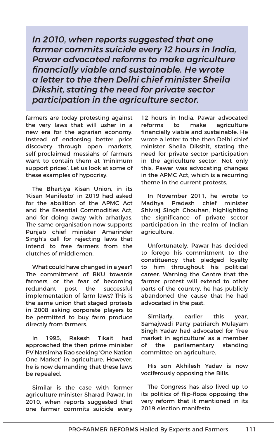*In 2010, when reports suggested that one farmer commits suicide every 12 hours in India, Pawar advocated reforms to make agriculture financially viable and sustainable. He wrote a letter to the then Delhi chief minister Sheila Dikshit, stating the need for private sector participation in the agriculture sector.*

farmers are today protesting against the very laws that will usher in a new era for the agrarian economy. Instead of endorsing better price discovery through open markets, self-proclaimed messiahs of farmers want to contain them at 'minimum support prices'. Let us look at some of these examples of hypocrisy:

The Bhartiya Kisan Union, in its 'Kisan Manifesto' in 2019 had asked for the abolition of the APMC Act and the Essential Commodities Act, and for doing away with arhatiyas. The same organisation now supports Punjab chief minister Amarinder Singh's call for rejecting laws that intend to free farmers from the clutches of middlemen.

What could have changed in a year? The commitment of BKU towards farmers, or the fear of becoming redundant post the successful implementation of farm laws? This is the same union that staged protests in 2008 asking corporate players to be permitted to buy farm produce directly from farmers.

In 1993, Rakesh Tikait had approached the then prime minister PV Narsimha Rao seeking 'One Nation One Market' in agriculture. However, he is now demanding that these laws be repealed.

Similar is the case with former agriculture minister Sharad Pawar. In 2010, when reports suggested that one farmer commits suicide every

12 hours in India, Pawar advocated reforms to make agriculture financially viable and sustainable. He wrote a letter to the then Delhi chief minister Sheila Dikshit, stating the need for private sector participation in the agriculture sector. Not only this, Pawar was advocating changes in the APMC Act, which is a recurring theme in the current protests.

In November 2011, he wrote to Madhya Pradesh chief minister Shivraj Singh Chouhan, highlighting the significance of private sector participation in the realm of Indian agriculture.

Unfortunately, Pawar has decided to forego his commitment to the constituency that pledged loyalty to him throughout his political career. Warning the Centre that the farmer protest will extend to other parts of the country, he has publicly abandoned the cause that he had advocated in the past.

Similarly, earlier this year, Samajwadi Party patriarch Mulayam Singh Yadav had advocated for 'free market in agriculture' as a member of the parliamentary standing committee on agriculture.

His son Akhilesh Yadav is now vociferously opposing the Bills.

The Congress has also lived up to its politics of flip-flops opposing the very reform that it mentioned in its 2019 election manifesto.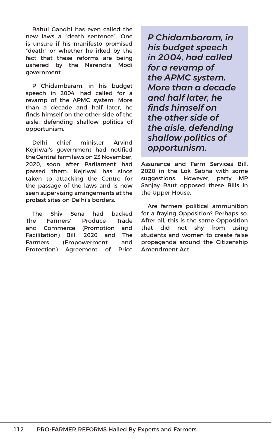Rahul Gandhi has even called the new laws a "death sentence". One is unsure if his manifesto promised "death" or whether he irked by the fact that these reforms are being ushered by the Narendra Modi government.

P Chidambaram, in his budget speech in 2004, had called for a revamp of the APMC system. More than a decade and half later, he finds himself on the other side of the aisle, defending shallow politics of opportunism.

Delhi chief minister Arvind Kejriwal's government had notified the Central farm laws on 23 November, 2020, soon after Parliament had passed them. Kejriwal has since taken to attacking the Centre for the passage of the laws and is now seen supervising arrangements at the protest sites on Delhi's borders.

The Shiv Sena had backed The Farmers' Produce Trade and Commerce (Promotion and Facilitation) Bill, 2020 and The Farmers (Empowerment and Protection) Agreement of Price *P Chidambaram, in his budget speech in 2004, had called for a revamp of the APMC system. More than a decade and half later, he finds himself on the other side of the aisle, defending shallow politics of opportunism.*

Assurance and Farm Services Bill, 2020 in the Lok Sabha with some suggestions. However, party MP Sanjay Raut opposed these Bills in the Upper House.

Are farmers political ammunition for a fraying Opposition? Perhaps so. After all, this is the same Opposition that did not shy from using students and women to create false propaganda around the Citizenship Amendment Act.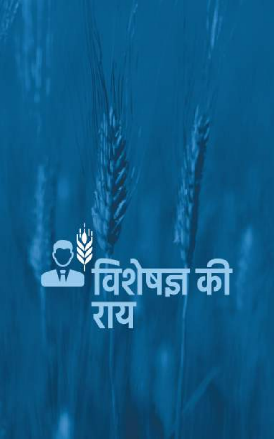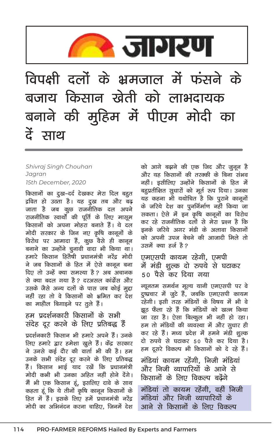

Shivraj Singh Chouhan Jaaran 15th December, 2020

किसानों का दुख-दर्द देखकर मेरा दिल बहुत द्रवित हो उठता है। यह दूख तब और बढ़ जाता है जब कूछ राजनीतिक दल अपने राजनीतिक स्वार्थो की पूर्ति के लिए मासूम किसानों को अपना मोहरा बनाते हैं। ये दल मोदी सरकार के जिन नए कृषि कानूनों के विरोध पर आमादा हैं, कूछ वैसे ही कानून .<br>बनाने का उन्होंने चूनावी वादा भी किया था। हमारे किसान हितैषी प्रधानमंत्री नरेंद्र मोदी ने जब किसानों के हित में ऐसे कानून बना दिए तो उन्हें क्या समस्या है ? अब अचानक से क्या बदल गया है ? दरअसल कांग्रेंस और उसके जैसे अन्य दलों के पास जब कोई मद्दा नहीं रहा तो वे किसानों को भ्रमित कर देश का माहौल बिगाइने पर तूले हैं।

#### हम प्रदर्शनकारी किसानों के सभी संदेह दूर करने के लिए प्रतिबद्ध हैं

प्रदर्शनकारी किसान भी हमारे अपने हैं। उनके लिए हमारे द्वार हमेशा खुले हैं। केंद्र सरकार ने उनसे कई दौर की वार्ता भी की है। हम उनके सभी संदेह दूर करने के लिए प्रतिबद्ध हैं। किसान भाई याद रखें कि प्रधानमंत्री मोदी कभी भी उनका अहित नहीं होने देंगे। मैं भी एक किसान हूं, इसलिए दावे के साथ कहता हूं कि ये तीनों कृषि कानून किसानों के हित में हैं। इसके लिए हमें प्रधानमंत्री नरेंद्र मोदी का अभिनंदन करना चाहिए, जिनमें देश को आगे बढ़ाने की एक जिद और जूनून है और यह किसानों की तरक्की के बिना संभव नहीं। इसीलिए उन्होंने किसानों के हित में बहुप्रतीक्षित सुधारों को मूर्त रूप दिया। उनका यह कहना भी यथोचित है कि पुराने कानूनों के जरिये देश का पुनर्निर्माण नहीं किया जा सकता। ऐसे में इन कृषि कानूनों का विरोध कर रहे राजनीतिक दलों से मेरा प्रश्न है कि डनके जरिये अगर मंडी के अलावा किसानों को अपनी उपज बेचने की आजादी मिले तो उसमें क्या हर्ज है ?

#### एमएसपी कायम रहेगी, एमपी में मंडी शुल्क दो रुपये से घटाकर 50 पैसे कर दिया गया

न्यूनतम समर्थन मूल्य यानी एमएसपी पर वे दूष्प्रचार में जूटे हैं, जबकि एमएसपी कायम रहेगी। इसी तरह मंडियों के विषय में भी वे झूठ फैला रहे हैं कि मंडियों को खत्म किया जा रहा है। ऐसा बिल्कूल भी नहीं हो रहा। हम तो मंडियों की व्यवस्था में और सुधार ही कर रहे हैं। मध्य प्रदेश में हमने मंडी शुल्क दो रुपये से घटाकर 50 पैसे कर दिया है। हम दूसरे विकल्प भी किसानों को दे रहे हैं।

मंडियां कायम रहेंगी. निजी मंडियां और निजी व्यापारियों के आने से किसानों के लिए विकल्प बढेंगे

मंडियां तो कायम रहेंगी. वहीं निजी मंडियां और निजी व्यापारियों के आने से किसानों के लिए विकल्प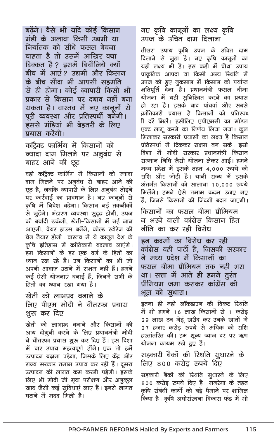बढेंगे। वैसे भी यदि कोई किसान मंडी के अलावा किसी उद्यमी या निर्यातक को सीधे फसल बेचना चाहता है तो उसमें आखिर क्या दिक्कत है ? इसमें बिचौलिये क्यों बीच में आएं? उद्यमी और किसान के बीच सौदा भी आपसी सहमति से ही होगा। कोई व्यापारी किसी भी प्रकार से किसान पर दबाव नहीं बना सकता है। वास्तव में नए कानूनों से पूरी व्यवस्था और प्रतिस्पर्धी बनेगी। इससे मंडियां भी बेहतरी के लिए प्रयास करेंगी।

कांट्रैक्ट फार्मिंग में किसानों को ज्यादा दाम मिलने पर अनुबंध से बाहर आने की छूट

वहीं काटैक्ट फार्मिंग में किसानों को ज्यादा दाम मिलने पर अनुबंध से बाहर आने की छूट है, जबकि व्यापारी के लिए अनूबंध तोड़ने पर कार्रवाई का प्रावधान है। नए कानूनों से कृषि में निवेश बढ़ेगा। किसान नई तकनीकों से जुड़ेंगे। भंडारण व्यवस्था सुदृढ़ होगी, उपज की बर्बादी रुकेगी, खेती-किसानी में नई जान आएगी, वेयर हाउस बनेंगे, कोल्ड स्टोरेज की चेन तैयार होगी। वास्तव में ये कानून देश के कृषि इतिहास में क्रांतिकारी बदलाव लाएंगे। हम किसानों के हर एक वर्ग के हितों का ध्यान रख रहे हैं। उन किसानों का भी जो अपनी आवाज उठाने में सक्षम नहीं हैं। हमने कई ऐसी योजनाएं बनाई हैं. जिनमें सभी के हितों का ध्यान रखा गया है।

खेती को लाभप्रद बनाने के लिए पीएम मोदी ने चौतरफा प्रयास शुरू कर दिए

खेती को लाभप्रद बनाने और किसानों की आय दोगूनी करने के लिए प्रधानमंत्री मोदी ने चौतरफा प्रयास शुरू कर दिए हैं। इस दिशा में चार उपाय महत्वपूर्ण होंगे। एक तो हमें उत्पादन बढ़ाना पड़ेगा, जिसके लिए केंद्र और राज्य सरकार तमाम उपाय कर रही हैं। दूसरा उत्पादन की लागत कम करनी पड़ेगी। इसके लिए भी मोदी जी मृदा परीक्षण और अनूकूल खाद जैसी कई सुविधाएं लाए हैं। इनसे लागत घटाने में मदद मिली है।

नए कृषि कानूनों का लक्ष्य कृषि उपज के उचित दाम दिलाना

तीसरा उपाय कृषि उपज के उचित दाम दिलाने से जुड़ा है। नए कृषि कानूनों का यही लक्ष्य भी है। इस कड़ी में चौथा उपाय प्राकृतिक आपदा या किसी अन्य स्थिति में उपज को हुए नुकसान में किसान को पर्याप्त क्षतिपूर्ति देना है। प्रधानमंत्री फसल बीमा योजना में यही सनिश्चित करने का प्रयास हो रहा है। इसके बाद पांचवां और सबसे क्रांतिकारी प्रयास है किसानों को प्रतिस्पध ी दिरें मिलें। इसीलिए एपीएमसी का मॉडल एक्ट लागू करने का निर्णय लिया गया। कूल मिलाकर सरकारी प्रयासों का लक्ष्य है किसान प्रतिस्पर्धा में टिककर सक्षम बन सकें। इसी दिशा में मोदी सरकार प्रधानमंत्री किसान सम्मान निधि जैसी योजना लेकर आई। हमने मध्य प्रदेश में इसके तहत 4,000 रुपये की राशि और जोड़ी है। यानी राज्य में इसके अंतर्गत किसानों को सालाना 10.000 रुपये मिलेंगे। हमने ऐसे तमाम कदम उठाए गए हैं. जिनसे किसानों की जिंदगी बदल जाएगी।

किसानों का फसल बीमा प्रीमियम न भरने वाली कांग्रेस किसान हित नीति का कर रही विरोध

डन कदमों का विरोध कर रही कांग्रेस वही पार्टी है, जिसकी सरकार ने मध्य प्रदेश में किसानों का फसल बीमा प्रीमियम तक नहीं भरा था। सत्ता में आते ही हमने तुरंत प्रीमियम जमा कराकर कांग्रेंस की भूल को सुधारा।

इतना ही नहीं लॉकडाउन की विकट स्थिति में भी हमने 16 लाख किसानों से 1 करोड 29 लाख टन गेहूं खरीद कर उनके खातों में 27 हजार करोड़ रुपये से अधिक की राशि हस्तांतरित की। हम शूल्य ब्याज दर पर ऋण योजना कायम रखे हुए हैं।

सहकारी बैकों की रिथति सुधारने के लिए ८०० करोड रुपये दिए

सहकारी बैकों की स्थिति सुधारने के लिए 800 करोड रुपये दिए हैं। मनरेगा के तहत कृषि संबंधी कार्यो को बड़े पैमाने पर शामिल किया है। कृषि अधोसंरचना विकास फंड में भी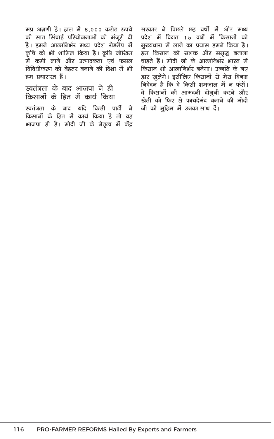मप्र अग्रणी है। हाल में 8,000 करोड़ रुपये की सात सिंचाई परियोजनाओं को मंजुरी दी है। हमने आत्मनिर्भर मध्य प्रदेश रोडमैप में कृषि को भी शामिल किया है। कृषि जोखिम .<br>में कमी लाने और उत्पादकता एवं फसल विविधीकरण को बेहतर बनाने की दिशा में भी हम प्रयासरत हैं।

#### स्वतंत्रता के बाद भाजपा ने ही किसानों के हित में कार्य किया

.<br>स्वतंत्रता के बाद यदि किसी पार्टी ने किसानों के हित में कार्य किया है तो वह भाजपा ही है। मोदी जी के नेतृत्व में केंद्र सरकार ने पिछले छह वर्षों में और मध्य प्रदेश में विगत 15 वर्षो में किसानों को मुख्यधारा में लाने का प्रयास हमने किया है। हम किसान को सशक्त और समृद्ध बनाना चाहते हैं। मोदी जी के आत्मनिर्भर भारत में किसान भी आत्मनिर्भर बनेगा। उन्नति के नए द्वार खुलेंगे। इसीलिए किसानों से मेरा विनम्र निवेदन है कि वे किसी भ्रमजाल में न फंसें। वे किसानों की आमदनी दोगूनी करने और खेती को फिर से फायदेमंद बनाने की मोदी जी की मुहिम में उनका साथ दें।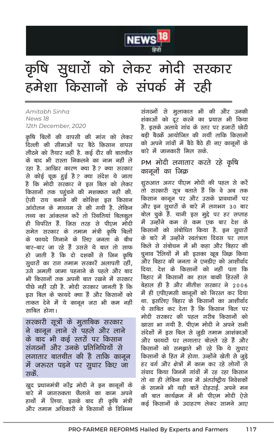

### कृषि सुधारों को लेकर मोदी सरकार हमेशा किसानों के संपर्क में रही

Amitabh Sinha News 18 12th December, 2020

कृषि बिलों की वापसी की मांग को लेकर दिल्ली की सीमाओं पर बैठे किसान वापस लौटने को तैयार नहीं है. कई दौर की बातचीत के बाद भी रास्ता निकलने का नाम नहीं ले रहा है. आखिर कारण क्या है ? क्या सरकार से कोई चूक हुई है ? क्या संदेश ये जाता है कि मोदी सरकार ने इस बिल को लेकर किसानों तक पहुंचने की मशक्कत नहीं की. ऐसी राय बनाने की कोशिश डस किसान आंदोलन के माध्यम से की गयी है. लेकिन तथ्य का आंकलन करें तो स्थितियां बिलकल ही विपरित हैं. जिस तरह से पीएम मोदी समेत सरकार के तमाम मंत्री कृषि बिलों के फायदे गिनाने के लिए जनता के बीच बार-बार जा रहे हैं उससे ये बात तो साफ हो जाती है कि दो दशकों से जिन कृषि सधारों का राग तमाम सरकारें अलापती रहीं. .<br>उसे अमली जामा पहनाने के पहले और बाद भी किसानों तक अपनी बात रखने में सरकार पीछे नहीं रही है. मोदी सरकार जानती है कि इस बिल के फायदे क्या हैं और किसानों को ताकत देने में ये कानून जरा भी कम नही<mark>ं</mark> साबित होगा।

सरकारी सूत्रों के मुताबिक सरकार ने कानून लाने से पहले और लाने के बाद भी कई स्तरों पर किसान संगठनों और उनके प्रतिनिधियों से लगातार बातचीत की है ताकि कानून में जरूरत पड़ने पर सुधार किए जा सकें.

खुद प्रधानमंत्री नरेंद्र मोदी ने इन कानूनों के बारे में जागरुकता फैलाने का काम अपने हाथों में लिया. इसके बाद ही कृषि मंत्री और तमाम अधिकारी ने किसानों के विभिन्न

संगठनों से मुलाकात भी की और उनकी शंकाओं को दूर करने का प्रयास भी किया है. इसके अलावे गांव के स्तर पर हजारों छोटी बड़ी बैठकें आयोजित की गयीं ताकि किसानों को अपने गांवों में बैठे बैठे ही नए कानूनों के बारे में जानकारी मिल सके

#### PM मोदी लगातार करते रहे कृषि कानूनों का जिक्र

शुरुआत अगर पीएम मोदी की पहल से करें तो सरकारी सूत्र बताते हैं कि वे अब तक किसान कानन पर और उसके प्रावधानों पर और इन सुधारों के बारे में लगभग 30 बार बोल चुके हैं. यानी इस मुद्दे पर हर सप्ताह में उन्होंने कम से कम एक बार देश के किसानों को संबोधित किया है. इन सुधारों के बारे में उन्होंने स्वतंत्रता दिवस पर लाल किले से संबोधन में भी कहा और बिहार की चुनाव रैलियों में भी इसका खूब जिक्र किया और बिहार की जनता ने एनडीए को आशीर्वाद दिया. देश के किसानों को नहीं पता कि बिहार में किसानों का हाल बाकी हिस्सों से बेहाल ही है और नीतीश सरकार ने 2006 में ही एपीएमसी कानूनों को निरस्त कर दिया था. इसलिए बिहार के किसानों का आशीर्वाद ये साबित कर देता है कि किसान बिल पर मोदी सरकार की पहल गरीब किसानों को खासा भा गयी है. पीएम मोदी ने अपने सभी संदेशों में इस बिल से जूडी तमाम आशंकाओं और फायदों पर लगातार बोलते रहे हैं और किसानों को समझाते भी रहे कि ये सुधार किसानों के हित में होगा. उन्होंने खेती से जुड़े हर वर्ग और क्षेत्रों में काम कर रहे लोगों से संवाद किया जिनमें गांवों में रह रहा किसान तो था ही लेकिन साथ में अंतर्राष्टीय निवेशकों के सामने भी यही बातें दोहराई. अपने मन की बात कार्यकम में भी पीएम मोदी ऐसे कई किसानों के उदाहरण लेकर सामने आए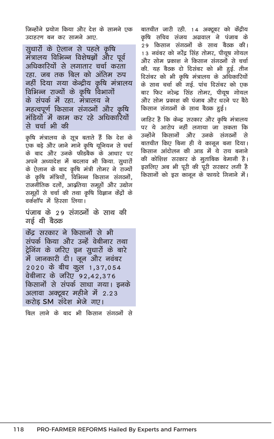जिन्होंने प्रयोग किया और देश के सामने एक उदाहरण बन कर सामने आए.

सूधारों के ऐलान से पहले कृषि मंत्रालय विभिन्न विशेषज्ञों और पूर्व अधिकारियों से लगातार चर्चा करता रहा जब तक बिल को अंतिम रुप नहीं दिया गया केन्द्रीय कृषि मंत्रालय विभिन्न राज्यों के कृषि विभागों के संपर्क में रहा. मंत्रालय ने महत्वपूर्ण किसान संगठनों और कृषि मंडियों में काम कर रहे अधिकारियों से चर्चा भी की

कृषि मंत्रालय के सूत्र बताते हैं कि देश के एक बड़े और जाने माने कृषि यूनियन से चर्चा के बाद और उनके फीडबैक के आधार पर अपने अध्यादेश में बदलाव भी किया. सुधारों के ऐलान के बाद कृषि मंत्री तोमर ने राज्यों के कृषि मंत्रियों, विभिन्न किसान संगठनों, राजनीतिक दलों, आदृतिया समूहों और उद्योग समूहों से चर्चा की तथा कृषि विज्ञान केंद्रों के तर्कशॉप में दिस्सा लिया।

पंजाब के २९ संगठनों के साथ की गर्ड थी बैठक

केंद सरकार ने किसानों से भी संपर्क किया और उन्हें वेबीनार तथा ट्रेनिंग के जरिए इन सूधारों के बारे में जानकारी दी। जून और नवंबर 2020 के बीच कूल 1,37,054 वेबीनार के जरिए 92,42,376 किसानों से संपर्क साधा गया। इनके अलावा अक्टूबर महीने में 2.23 करोड SM संदेश भेजे गए।

बिल लाने के बाद भी किसान संगठनों से

बातचीत जारी रही. 14 अक्टूबर को केंद्रीय कृषि सचिव संजय अग्रवाल ने पंजाब के 29 किसान संगठनों के साथ बैठक की। 13 नवंबर को नरेंद्र सिंह तोमर, पीयूष गोयल और सोम प्रकाश ने किसान संगठनों से चर्चा की. यह बैठक दो दिसंबर को भी हुई. तीन दिसंबर को भी कृषि मंत्रालय के अधिकारियों के साथ चर्चा की गई. पांच दिसंबर को एक बार फिर नरेन्द्र सिंह तोमर, पीयूष गोयल और सोम प्रकाश की पंजाब और धरने पर बैठे किसान संगठनों के साथ बैठक हुई।

जाहिर है कि केन्द्र सरकार और कृषि मंत्रालय पर ये आरोप नहीं लगाया जा सकता कि उन्होंने किसानों और उनके संगठनों से बातचीत किए बिना ही ये कानून बना दिया। किसान आंदोलन की आड में ये राय बनाने की कोशिश सरकार के मुताबिक बेमानी है। इसलिए अब भी पूरी की पूरी सरकार लगी है किसानों को इस कानून के फायदे गिनाने में।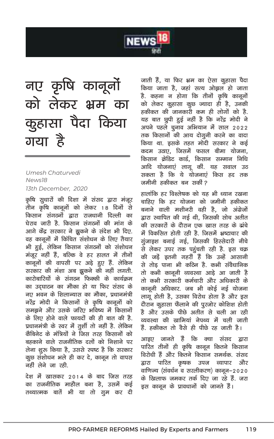

### नए कृषि कानूनों को लेकर भ्रम का कुहासा पैदा किया गया है

Umesh Chaturvedi News<sub>18</sub> 13th December, 2020

कृषि सुधारों की दिशा में संसद द्वारा मंजूर तीन कृषि कानूनों को लेकर 18 दिनों से किसान संगठनों द्वारा राजधानी दिल्ली का घेराव जारी है. किसान संगठनों की मांग के आगे केंद्र सरकार ने झुकने के संदेश भी दिए. वह कानूनों में किंचित संशोधन के लिए तैयार भी हुई, लेकिन किसान संगठनों को संशोधन मंजूर नहीं हैं, बल्कि वे हर हालत में तीनों कानूनों की वापसी पर अड़े हुए हैं. लेकिन सरकार की मंशा अब झुकने की नहीं लगती. कारोबारियों के संगठन फिक्की के कार्यक्रम का उदघाटन का मौका हो या फिर संसद के नए भवन के शिलान्यास का मौका, प्रधानमंत्री नरेंद्र मोदी ने किसानों से कृषि कानूनों को समझने और उसके जरिए भविष्य में किसानों के लिए होने वाले फायदों की ही बात की है. प्रधानमंत्री के स्वर में तुर्शी तो नहीं है. लेकिन कैबिनेट के मंत्रियों ने जिस तरह किसानों को बहकाने वाले राजनीतिक दलों को निशाने पर लेना शुरू किया है, उससे स्पष्ट है कि सरकार कूछ संशोधन भले ही कर दे, कानून तो वापस नहीं लेने जा रही.

देश में खासकर 2014 के बाद जिस तरह का राजनीतिक माहौल बना है, उसमें कई तथ्यात्मक बातें भी या तो ग्रुम कर दी जाती हैं, या फिर भ्रम का ऐसा कुहासा पैदा किया जाता है, जहां सत्य ओझल हो जाता है. कहना न होगा कि तीनों कृषि कानूनों को लेकर कुहासा कुछ ज्यादा ही है, उनकी हकीकत की जानकारी कम ही लोगों को है. यह बात छुपी हुई नहीं है कि नरेंद्र मोदी ने अपने पहले चूनाव अभियान में साल 2022 तक किसानों की आय दोगूनी करने का वादा किया था. इसके तहत मोदी सरकार ने कई कदम उठाए. जिसमें फसल बीमा योजना. किसान क्रेडिट कार्ड, किसान सम्मान निधि आदि योजनाएं लागू कीं. यह सवाल उठ सकता है कि ये योजनाएं किस हद तक जमीनी हकीकत बन सकीं ?

हालांकि हर विश्लेषक को राह भी ध्यान रखना चाहिए कि हर योजना को जमीनी हकीकत बनाने वाली मशीनरी वही है, जो अंग्रेजों द्वारा स्थापित की गई थी, जिसकी सोच अतीत की सरकारों के दौरान एक खास तरह के ढांचे में विकसित होती रही है. जिसमें भ्रष्टाचार की गुंजाइश बनाई गई. जिसकी हिस्सेदारी नीचे से लेकर उपर तक पहुंचती रही है. इस चक्र की जड़ें इतनी गहरी हैं कि उन्हें आसानी से तोड पाना भी कठिन है. कभी संवैधानिक तो कभी कानूनी व्यवस्था आड़े आ जाती है तो कभी सरकारी कर्मचारी और अधिकारी के कानूनी अधिकार. जब भी कोई नई योजना लागू होती है, उसका विरोध होता है और इस दौरान कुहासा फैलाने की पुरजोर कोशिश होती है और उसके पीछे अतीत से चली आ रही व्यवस्था की खामियां नेपथ्य में चली जाती हैं. हकीकत तो वैसे ही पीछे रह जाती है।

आइए जानते हैं कि क्या संसद द्वारा पारित तीनों ही कृषि कानून कितने किसान विरोधी हैं और कितने किसान समर्थक. संसद द्वारा पारित कृषक उपज व्यापार और वाणिज्य (संवर्धन व सरलीकरण) कानून–२०२० के खिलाफ जमकर तर्क दिए जा रहे हैं. जरा इस कानून के प्रावधानों को जानते हैं।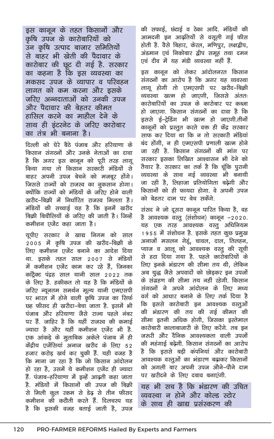इस कानून के तहत किसानों और कृषि उपज के कारोबारियों को उन कृषि उत्पाद बाजार समितियों से बाहर भी खेती की पैदावार के कारोबार की छूट दी गई है. सरकार का कहना है कि इस व्यवस्था का मकसद उपज के व्यापार व परिवहन लागत को कम करना और इसके जरिए अन्नदाताओं को उनकी उपज और पैदावार की बेहतर कीमत हासिल करने का माहौल देने के साथ ही इंटरनेट के जरिए कारोबार का तंत्र भी बनाना है।

दिल्ली को घेरे बैठे पंजाब और हरियाणा के किसान संगठनों और उनके नेताओं का दावा है कि अगर इस कानून को पूरी तरह लागू किया गया तो किसान सरकारी मंडियों से बाहर अपनी उपज बेचने को मजबूर होंगे। जिससे राज्यों को राजस्व का नूकसान होगा। क्योंकि राज्यों को मंडियों के जरिए होने वाली खरीद-बिक्री में निर्धारित राजस्व मिलता है। मंडियों की सच्चाई यह है कि इनमें खरीद बिकी बिचौलियों के जरिए की जाती है। जिन्हें कमीशन एजेंट कहा जाता है।

यूपीए सरकार ने खाद्य निगम को साल 2005 में कृषि उपज की खरीद–बिक्री के लिए कमीशन एजेंट बनाने का आदेश दिया था. इसके तहत साल 2007 से मंडियों में कमीशन एजेंट काम कर रहे हैं, जिनका कांट्रैक्ट पंद्रह साल यानी साल 2022 तक के लिए है. हकीकत तो यह है कि मंडियों के जरिए न्यूनतम समर्थन मूल्य यानी एमएसपी पर भारत में होने वाली कृषि उपज का सिर्फ छह फीसद ही खरीदा–बेचा जाता है. इसमें भी पंजाब और हरियाणा जैसे राज्य पहले नंबर पर हैं. जाहिर है कि यहीं राजस्व की कमाई ज्यादा है और यहीं कमीशन एजेंट भी है. एक आंकडे के मताबिक अकेले पंजाब में ही केंद्रीय एजेंसियां अनाज खरीद के लिए 52 हजार करोड़ खर्च कर चुकी हैं. यही वजह है कि माना जा रहा है कि जो किसान आंदोलन हो रहा है. उसमें ये कमीशन एजेंट ही ज्यादा हैं. पंजाब-हरियाणा में डन्हें आढती कहा जाता है. मंडियों में किसानों की उपज की बिक्री से मिली कूल रकम से डेढ़ से तीन फीसद कमीशन की कटौती करते हैं. दिलचस्प यह है कि इसकी वजह बताई जाती है. उपज की सफाई, छंटाई व टेका आदि. मंडियों की आमदनी इन आढ़तियों से वसुली गई फीस होती है. वैसे बिहार, केरल, मणिपूर, लक्षद्वीप, अंडमान एवं निकोबार द्वीप समूह तथा दमन एवं दीव में यह मंडी व्यवस्था नहीं हैं.

इस कानून को लेकर आंदोलनरत किसान संगठनों का आरोप है कि अगर यह व्यवस्था लागू होगी तो एमएसपी पर खरीद-बिक्री व्यवस्था खत्म हो जाएगी, जिससे अंततः कारोबारियों का उपज के कारोबार पर कब्जा हो जाएगा. किसान संगठनों का दावा है कि इससे ई-ट्रेडिंग भी खत्म हो जाएगी.तीनों कानूनों को प्रस्तुत करते वक्त ही केंद्र सरकार साफ कर दिया था कि न तो सरकारी मंडियां बंद होंगी. न ही एमएसपी प्रणाली खत्म होने जा रही है. किसान संगठनों की मांग पर सरकार इसका लिखित आश्वासन भी देने को तैयार है. सरकार का तर्क है कि चूंकि पूरानी व्यवस्था के साथ नई व्यवस्था भी बनायी जा रही है, लिहाजा प्रतियोगिता बढ़ेगी और किसानों को ही फायदा होगा. वे अपनी उपज को बेहतर दाम पर बेच सकेंगे.

संसद ने जो दूसरा कानून पारित किया है, वह है आवश्यक वस्तु (संशोधन) कानून -2020. यह एक तरह आवश्यक वस्तू अधिनियम 1955 में संशोधन है. इसके तहत कुछ प्रमुख अनाजों मसलन गेहूं, चावल, दाल, तिलहन, प्याज व आलू को आवश्यक वस्तू की सूची से हटा दिया गया है. पहले कारोबारियों के लिए इनके भंडारण की सीमा तय थी, लेकिन अब युद्ध जैसे अपवादों को छोड़कर इन उपजों के संग्रहण की सीमा तय नहीं रहेगी. किसान संगठनों ने अपने आंदोलन के लिए मध्य वर्ग को आधार बनाने के लिए तर्क दिया है कि इससे कारोबारी इन आवश्यक वस्तुओं की भंडारण की तय की गई कीमत की सीमा इतनी अधिक होगी. जिसका इस्तेमाल कारोबारी कालाबाजारी के लिए करेंगे. तब इन जरूरी और दैनिक आवश्यकता वाली उपजों की महंगाई बढेगी. किसान संगठनों का आरोप है कि इससे बडी कंपनियां और कारोबारी आवश्यक वस्तूओं का भंडारण बढ़ाकर किसानों को अगली बार अपनी उपज औने–पौने दाम पर खरीदने के लिए दबाव बनाएंगी.

यह भी सच है कि भंडारण की उचित व्यवस्था न होने और कोल्ड स्टोर के साथ ही खाद्य पसंस्करण की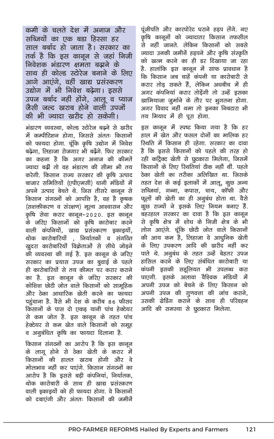कमी के चलते देश में अनाज और सब्जियों का एक बडा हिस्सा हर साल बर्बाद हो जाता है। सरकार का तर्क है कि इस कानून से जहां निजी निवेशक भंडारण क्षमता बढाने के साथ ही कोल्ड स्टोरेज बनाने के लिए आगे आएंगे, वहीं खाद्य प्रसंस्करण उद्योग में भी निवेश बढ़ेगा। इससे उपज बर्बाद नहीं होंगे, आलू व प्याज जैसी जल्द खराब होने वाली उपजो की भी ज्यादा खरीद हो सकेगी।

भंडारण व्यवस्था, कोल्ड स्टोरेज बढ़ने से खरीद में कम्पीटिशन होगा, जिससे अंततः किसानों को फायदा होगा. चूंकि कृषि उद्योग में निवेश बढेगा. लिहाजा रोजगार भी बढेंगे. फिर सरकार का कहना है कि अगर अनाज की कीमतें ज्यादा बढीं तो वह भंडारण की सीमा भी तय करेगी. किसान राज्य सरकार की कृषि उत्पाद बाजार समितियों (एपीएमसी) यानी मंडियों में अपने उत्पाद बेचते थे. जिस तीसरे कानून से किसान संगठनों को आपत्ति है, वह है कृषक (सशक्तीकरण व संरक्षण) मूल्य आश्वासन और कृषि सेवा करार कानून–2020. इस कानून के जरिए किसानों को कृषि कारोबार करने वाली कंपनियों, खाद्य प्रसंस्करण इकाइयों, थोक कारोबारियों निर्यातकों व संगठित खुदरा कारोबारियों विक्रेताओं से सीधे जोडने की व्यवस्था की गई है. इस कानून के जरिए सरकार का प्रयास उपज का बुवाई के पहले ही कारोबारियों से तय कीमत पर करार कराने का है. इस कानून के जरिए सरकार की कोशिश छोटी जोत वाले किसानों को सामहिक और देका आधारिक खेती करने का फायदा पहुंचाना है. वैसे भी देश के करीब 86 फीसद किसानों के पास दो एकड़ यानी पांच हेक्टेयर से कम जोत है. इस कानून के तहत पांच हेक्टेयर से कम खेत वाले किसानों को समूह व अनूबंधित कृषि का फायदा दिलाना है.

किसान संगठनों का आरोप है कि इस कानून के लागू होने से ठेका खेती के करार में किसानों की हालत खराब होगी और वे मोलभाव नहीं कर पाएंगे. किसान संगठनों का आरोप है कि इससे बड़ी कंपनियां, निर्यातक, थोक कारोबारी के साथ ही खाद्य प्रसंस्करण वाली इकाइयों को ही फायदा होगा. वे किसानों को दबाएंगी और अंततः किसानों की जमीनें

पूंजीपति और कारपोरेट घराने हड़प लेंगे. नए कृषि कानूनों को ज्यादातर किसान तफसील से नहीं जानते. लेकिन किसानों को सबसे ज्यादा उनकी जमीनें हड़पने और कृषि संस्कृति को खत्म करने का ही डर दिखाया जा रहा है. हालांकि इस कानून में साफ प्रावधान है कि किसान जब चाहें कंपनी या कारोबारी से करार तोड सकते हैं. लेकिन अधबीच में ही अगर कंपनियां करार तोड़ेंगी तो उन्हें इसका खामियाजा जुर्माने के तौर पर भूगतना होगा. अगर विवाद नहीं थमा तो इनका निबटारा भी तय मियाद में ही पूरा होगा.

इस कानून में स्पष्ट किया गया है कि हर हाल में खेत और फसल दोनों का मालिक हर रिथति में किसान ही रहेगा. सरकार का दावा है कि इससे किसानों को पहले की तरह हो रही कांट्रैक्ट खेती से छटकारा मिलेगा, जिसमें किसानों के लिए रिथतियां ठीक नहीं थीं. पहले ठेका खेती का तरीका अलिखित था. जिसके तहत देश के कई इलाकों में आलू, कुछ अन्य सब्जियां, गन्ना, कपास, चाय, कॉफी और फूलों की खेती का ही अनुबंध होता था. वैसे कुछ राज्यों ने इसके लिए नियम बनाए हैं. बहरहाल सरकार का दावा है कि इस कानून से कृषि क्षेत्र में शोध के निजी क्षेत्र के भी लोग आएंगे. चूंकि छोटी जोत वाले किसानों की आय कम है, लिहाजा वे आधूनिक खेती के लिए उपकरण आदि की खरीद नहीं कर पाते थे. अनुबंध के तहत उन्हें बेहतर उपज हासिल करने के लिए संबंधित कारोबारी या कंपनी इसकी सहूलियत भी उपलब्ध करा पाएगी. इसके अलावा वैश्विक मंडियों में अपनी उपज को बेचने के लिए किसान को अपनी उपज की गुणवत्ता की जांच कराने, उसकी ग्रेडिंग कराने के साथ ही परिवहन आदि की समस्या से छूटकारा मिलेगा.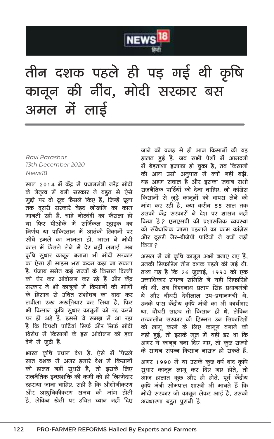

## तीन दशक पहले ही पड़ गई थी कृषि कानून की नींव, मोदी सरकार बस अमल में लाई

#### Ravi Parashar 13th December 2020 News<sub>18</sub>

साल 2014 में केंद्र में प्रधानमंत्री नरेंद्र मोदी के नेतृत्व में बनी सरकार ने बहुत से ऐसे मुद्दों पर दो ट्रक फैसले किए हैं, जिन्हें छूना तक दुसरी सरकारें बेहद जोखमि का काम मानती रही हैं. चाहे नोटबंदी का फैसला हो या फिर पीओके में सर्जिकल स्ट्राइक का निर्णय या पाकिस्तान में आतंकी ठिकानों पर सीधे हमले का मामला हो. भारत ने मोदी काल में फैसले लेने में देर नहीं लगाई. अब कृषि सुधार कानून बनाना भी मोदी सरकार का ऐसा ही साहस भरा कदम कहा जा सकता है. पंजाब समेत कई राज्यों के किसान दिल्ली को घेर कर आंदोलन कर रहे हैं और केंद सरकार ने भी काननों में किसानों की मांगों के हिसाब से उचित संशोधन का वादा कर लचीला रुख अखतियार कर लिया है, फिर भी किसान कृषि सूधार कानूनों को रद्द करने पर ही अड़े हैं. इससे ये समझ में आ रहा है कि विपक्षी पार्टियां सिर्फ और सिर्फ मोदी विरोध में किसानों के इस आंदोलन को हवा देने में जूटी हैं.

भारत कृषि प्रधान देश है. ऐसे में पिछले सात दशक में अगर हमारे देश में किसानों की हालत नहीं सूधरी है, तो इसके लिए राजनैतिक इच्छाशक्ति की कमी को ही जिम्मेदार ठहराया जाना चाहिए. सही है कि औद्योगीकरण और आधुनिकीकरण समय की मांग होती है. लेकिन खेती पर उचित ध्यान नहीं दिए जाने की वजह से ही आज किसानों की यह हालत हुई है. जब सभी पेशों में आमदनी में बेहताशा इजाफा हो चुका है, तब किसानों की आय उसी अनुपात में क्यों नहीं बढ़ी. यह अहम सवाल है और इसका जवाब सभी राजनैतिक पार्टियों को देना चाहिए. जो कांग्रेस किसानों से जुड़े कानूनों को वापस लेने की मांग कर रही है, क्या करीब 55 साल तक उसकी केंद्र सरकारों ने देश पर शासन नहीं किया है ? एमएसपी की प्रशासनिक व्यवस्था को संवैधानिक जामा पहनाने का काम कांग्रेस और दूसरी गैर-बीजेपी पार्टियों ने क्यों नहीं किया ?

असल में जो कृषि कानून अभी बनाए गए हैं, उनकी सिफारिश तीन दशक पहले की गई थी. तथ्य यह है कि 26 जुलाई, 1990 को एक उच्चाधिकार संपन्न समिति ने यही सिफारिशें की थीं. तब विश्वनाथ प्रताप सिंह प्रधानमंत्री थे और चौधरी देवीलाल उप–प्रधानमंत्री थे. उनके पास केंद्रीय कृषि मंत्री का भी कार्यभार था. चौधरी साहब तो किसान ही थे. लेकिन तत्कालीन सरकार की हिम्मत उन सिफारिशों को लागू करने के लिए कानून बनाने की नहीं हुई, तो इसके मूल में यही डर था कि अगर ये कानून बना दिए गए. तो कुछ राज्यों के साधन संपन्न किसान नाराज हो सकते हैं.

अगर 1990 में या उसके कूछ वर्ष बाद कृषि सुधार कानून लागू कर दिए गए होते. तो आज हालात कूछ और ही होते. पूर्व केंद्रीय कृषि मंत्री सोमपाल शास्त्री भी मानते हैं कि मोदी सरकार जो कानून लेकर आई है, उसकी अवधारणा बहुत पुरानी है.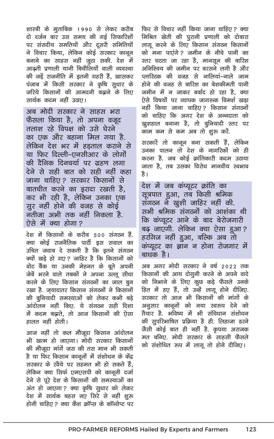शास्त्री के मूताबिक 1990 से लेकर करीब दो दर्जन बार उस समय की गई सिफारिशों पर संसदीय समतियों और दूसरी समितियों ने विचार किया, लेकिन कोई सरकार कानून बनाने का साहस नहीं जुटा सकी. देश में आढती प्रणाली यानी बिचौलियों वाली व्यवस्था की जड़ें राजनीति में इतनी गहरी हैं. खासकर पंजाब में किसी सरकार ने कृषि सूधार के जरिये किसानों की आमदनी बढ़ाने के लिए सार्थक कदम नहीं उठाए।

अब मोदी सरकार ने साहस भरा फैसला किया है, तो अपना वजूद तलाश रहे विपक्ष को उसे घेरने का एक और बहाना मिल गया है. लेकिन देश भर में हडताल कराने से या फिर दिल्ली–एनसीआर के लोगों की दैनिक दिनचर्या पर ग्रहण लगा देने से सही बात को सही नहीं कहा जाना चाहिए? सरकार किसानों से बातचीत करने का इरादा रखती है, कर भी रही है, लेकिन उनका एक सर नहीं होने की वजह से कोई नतीजा अभी तक नहीं निकला है. ऐसे में क्या होगा?

देश में किसानों के करीब 500 संगठन हैं. क्या कोई राजनैतिक पार्टी इस सवाल का उचित जवाब दे सकती है कि इतने संगठन क्यों खडे हो गए? जाहिर है कि किसानों को वोट बैंक या उनकी मेहनत के बूते अपनी जेबें भरने वाले तबकों ने अपना उल्लू सीधा करने के लिए किसान संगठनों का जाल बुन रखा है. जयादातर किसान संगठनों ने किसानों की बुनियादी समस्याओं को लेकर कभी बडे आंदोलन नहीं किए. ये संगठन सही दिशा में कदम बढ़ाते, तो आज किसानों की ऐसा हालत नहीं होती।

आज नहीं तो कल मौजूदा किसान आंदोलन भी खत्म हो जाएगा। मोदी सरकार किसानों की मौजूदा मांगें जस की तस मान भी सकती है या फिर किसान कानूनों में संशोधन के केंद्र सरकार के रवैये पर सहमत भी हो सकते हैं, लेकिन क्या सिर्फ एमएसपी को कानूनी दर्जा देने से पूरे देश के किसानों की समस्याओं का अंत हो जाएगा ? क्या कृषि सुधार को लेकर देश में सार्थक बहस नए सिरे से नहीं शुरू होनी चाहिए ? क्या कैश कॉप्स के कॉन्सेप्ट पर

फिर से विचार नहीं किया जाना चाहिए ? क्या मिश्रित खेती की पुरानी प्रणाली को दोबारा लागू करने के लिए किसान संगठन किसानों को मना पाएंगे? जमीन के नीचे पानी का स्तर घटता जा रहा है, मानसून की बारिश अनिश्चिय की जमीन पर बरसने लगी है और प्लास्टिक की वजह से नालियां-नाले जाम होने की वजह से बारिश का बेशकीमती पानी जमीन में न जाकर बर्बाद हो रहा है, क्या ऐसे विषयों पर व्यापक जागरूक विमर्श खड़ा नहीं किया जाना चाहिए? किसान संगठनों को चाहिए कि अगर देश के अन्नदाता को ख्रशहाल बनाना है, तो बुनियादी स्तर पर काम कम से कम अब तो शुरू करें.

सरकारें तो कानून बना सकती हैं, लेकिन उनका पालन तो देश के नागरिकों को ही करना है. जब कोई क्रांतिकारी कदम उठाया जाता है, तब उसका विरोध मानवीय स्वभाव है।

देश में जब कंप्यूटर क्रांति का सूत्रपात हुआ, तब किसी श्रमिक संगठन ने खुशी जाहिर नहीं की. सभी श्रमिक संगठनों को आशंका थी कि कंप्यूटर आने के बाद बेरोजगारी बढ जाएगी. लेकिन क्या ऐसा हुआ? हरगिज नहीं हुआ, बल्कि अब तो कंप्यूटर का ज्ञान न होना रोजगार में बाधक है।

अब अगर मोदी सरकार ने वर्ष 2022 तक किसानों की आय दोगूनी करने के अपने वादे को निभाने के लिए कूछ कड़े फैसले उनके हित में हए हैं, तो उन्हें लागू होने दीजिए. सरकार तो आज भी किसानों की मांगों के अनूसार कानूनों को नया स्वरूप देने को तैयार है. भविष्य में भी संविधान संशोधन की सूपरिभाषित प्रक्रिया है ही. लिहाजा डरने जैसी कोई बात ही नहीं है. कृपया अराजक मत बनिए. मोदी सरकार के साहसी फैसले को संशोधित रूप में लागू तो होने दीजिए।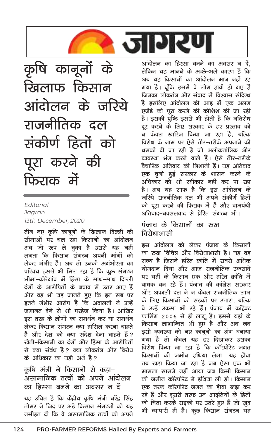

कृषि कानूनों के खिलाफ किसान आंदोलन के जरिये राजनीतिक दल संकीर्ण हितों को पूरा करने की फिराक में

#### Fditorial Jagran 13th December, 2020

तीन नए कृषि कानूनों के खिलाफ दिल्ली की सीमाओं पर चल रहा किसानों का आंदोलन अब जो रूप ले चुका है उससे यह नहीं लगता कि किसान संगठन अपनी मांगों को लेकर गंभीर हैं। अब तो उनकी अगंभीरता का परिचय इससे भी मिल रहा है कि कुछ संगठन भीमा-कोरेगांव में हिंसा के साथ-साथ दिल्ली दंगों के आरोपितों के बचाव में उतर आए हैं <u>और वह भी यह जानते हुए कि इन सब पर</u> इतने गंभीर आरोप हैं कि अदालतों ने उन्हें जमानत देने से भी परहेज किया है। आखिर इस तरह के लोगों का समर्थन कर या समर्थन लेकर किसान संगठन क्या हासिल करना चाहते हैं और देश को क्या संदेश देना चाहते हैं ? खेती-किसानी का दंगों और हिंसा के आरोपितों से क्या संबंध है? क्या लोकतंत्र और विरोध के अधिकार का यही अर्थ है?

#### कृषि मंत्री ने किसानों से कहा– असामाजिक तत्वों को अपने आंदोलन का हिस्सा बनने का अवसर न दें यह उचित है कि केंद्रीय कृषि मंत्री नरेंद्र सिंह तोमर ने जिद पर अडे किसान संगठनों को यह नसीहत दी कि वे असामाजिक तत्वों को अपने

आंदोलन का हिस्सा बनने का अवसर न दें, लेकिन यह मानने के अच्छे–भले कारण हैं कि अब यह किसानों का आंदोलन मात्र नहीं रह गया है। चूंकि इसमें वे लोग हावी हो गए हैं जिनका लोकतंत्र और संवाद में विश्वास संदिग्ध है इसलिए आंदोलन की आड में एक अलग एजेंडे को पूरा करने की कोशिश की जा रही है। इसकी पुष्टि इससे भी होती है कि गतिरोध दूर करने के लिए सरकार के हर प्रस्ताव को न केवल खारिज किया जा रहा है, बल्कि विरोध के नाम पर ऐसे तौर–तरीके अपनाने की धमकी दी जा रही है जो अलोकतांत्रिक और व्यवस्था भंग करने वाले हैं। ऐसे तौर-तरीके वैचारिक अतिवाद की निशानी हैं। यह अतिवाद एक चुनी हुई सरकार के शासन करने के अधिकार को भी स्वीकार नहीं कर पा रहा है। अब यह साफ है कि इस आंदोलन के जरिये राजनीतिक दल भी अपने संकीर्ण हितों को परा करने की फिराक में हैं और वामपंथी अतिवाद-नक्सलवाद से प्रेरित संगठन भी।

#### पंजाब के किसानों का रुख विरोधाभासी

इस आंदोलन को लेकर पंजाब के किसानों का रुख विचित्र और विरोधाभासी है। यह वह राज्य है जिसने हरित क्रांति में सबसे अधिक योगदान दिया और आज राजनीतिक उकसावे पर यहीं के किसान एक और हरित क्रांति में बाधक बन रहे हैं। पंजाब की कांग्रेस सरकार और अकाली दल ने न केवल राजनीतिक लाभ के लिए किसानों को सड़कों पर उतारा, बल्कि वे उन्हें उकसा भी रहे हैं। पंजाब में काट्रैक्ट फार्मिंग 2006 से ही लागू है। इससे यहां के किसान लाभान्वित भी हुए हैं और अब जब इसी व्यवस्था को नए कानूनों का अंग बनाया .<br>गया है तो केवल यह डर दिखाकर उसका विरोध किया जा रहा है कि कॉरपोरेट जगत किसानों की जमीन हथिया लेगा। यह हौवा तब खडा किया जा रहा है जब ऐसा एक भी मामला सामने नहीं आया जब किसी किसान की जमीन कॉरपोरेट ने हथिया ली हो। किसान एक तरफ कॉरपोरेट जगत का हौवा खड़ा कर रहे हैं और दूसरी तरफ उन आदृतियों के हितों की चिंता करके सड़कों पर उतरे हुए हैं जो खुद भी व्यापारी ही हैं। कूछ किसान संगठन यह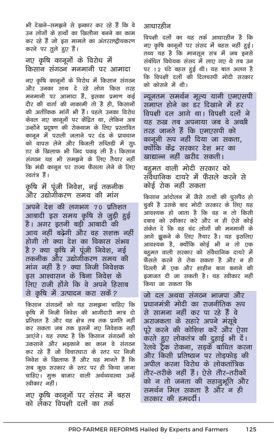भी देखने–समझने से इन्कार कर रहे हैं कि वे उन लोगों के हाथों का खिलौना बनने का काम कर रहे हैं जो इस मामले का अंतरराष्ट्रीयकरण करने पर तुले हुए हैं।

#### नए कृषि कानूनों के विरोध में किसान संगठन मनमानी पर आमादा

नए कृषि कानूनों के विरोध में किसान संगठन और उनका साथ दे रहे लोग किस तरह मनमानी पर आमादा हैं, इसका प्रमाण कई दौर की वार्ता की नाकामी तो है ही. किसानों की अर्तीकिक मांगें भी हैं। पहले उनका विरोध केवल नए कानूनों पर केंद्रित था, लेकिन अब उन्होंने प्रदूषण की रोकथाम के लिए प्रस्तावित कानून में पराली जलाने पर दंड के प्रावधान को वापस लेने और बिजली सब्सिडी में सूध ाार के खिलाफ भी जिद पकड ली है। किसान संगठन यह भी समझने के लिए तैयार नहीं कि मंडी कानून पर राज्य फैसला लेने के लिए स्वतंत्र हैं।

कृषि में पूंजी निवेश, नई तकनीक और उद्योगीकरण समय की मांग

अपने देश की लगभग 70 प्रतिशत आबादी इस समय कृषि से जूड़ी हुई है। अगर इतनी बडी आबादी की आय नहीं बढेगी और वह सशक्त नहीं होगी तो क्या देश का विकास संभव है ? क्या कृषि में पुंजी निवेश, नई तकनीक और उद्योगीकरण समय की मांग नहीं है ? क्या निजी निवेशक इस आश्वासन के बिना निवेश के लिए राजी होंगे कि वे अपने हिसाब से कृषि में उत्पादन करा सकें?

किसान संगठनों को यह समझना चाहिए कि कृषि में निजी निवेश की भागीदारी मात्र दो प्रतिशत है और यह क्षेत्र तब तक प्रगति नहीं कर सकता जब तक इसमें नए निवेशक नहीं आएंगे। यह स्पष्ट है कि किसान संगठनों को उकसाने और भडकाने का काम वे संगठन कर रहे हैं जो विचारधारा के स्तर पर निजी निवेश के खिलाफ हैं और यह मानते हैं कि सब कुछ सरकार के स्तर पर ही किया जाना चाहिए। मूक्त बाजार वाली अर्थव्यवस्था उन्हें स्वीकार नहीं।

नए कृषि कानूनों पर संसद में बहस को लेकर विपक्षी दलों का तर्क

#### आधारहीन

विपक्षी दलों का यह तर्क आधारहीन है कि नए कृषि कानूनों पर संसद में बहस नहीं हुई। तथ्य यह है कि मानसून सत्र में जब इनसे संबंधित विधेयक संसद में लाए गए थे तब उन पर 12 घंटे बहस हुई थी। यह बात अलग है कि विपक्षी दलों की दिलचस्पी मोदी सरकार को कोसने में थी।

न्यूनतम समर्थन मूल्य यानी एमएसपी समाप्त होने का डर दिखाने में हर विपक्षी दल आगे था। विपक्षी दलों ने यह रुख तब अपनाया जब वे अच्छी तरह जानते हैं कि एमएसपी को कानूनी रूप नहीं दिया जा सकता, क्योंकि केंद्र सरकार देश भर का खाद्यान्न नहीं खरीद सकती।

बहुमत वाली मोदी सरकार को संवेधानिक दायरे में फैसले करने से कोई रोक नहीं सकता

किसान आंदोलन में जैसे तत्वों की घुसपैठ हो चूकी है उसके बाद मोदी सरकार के लिए यह आवश्यक हो जाता है कि वह न तो किसी दबाव को स्वीकार करे और न ही ऐसे कोई संकेत दे कि वह चंद लोगों की मनमानी के आगे झुकने के लिए तैयार है। यह इसलिए आवश्यक है, क्योंकि कोई भी न तो एक बहुमत वाली सरकार को संवैधानिक दायरे में फैसले करने से रोक सकता है और न ही दिल्ली में एक और शाहीन बाग बनाने की डजाजत दी जा सकती है। यह स्वीकार नहीं किया जा सकता कि

जो दल अथवा संगठन भाजपा और प्रधानमंत्री मोदी का राजनीतिक रूप से सामना नहीं कर पा रहे हैं वे अराजकता के सहारे अपने मंसूबे पूरे करने की कोशिश करें और ऐसा करते हुए लोकतंत्र की दुहाई भी दें। रेलवे ट्रैक रोकना, सड़कें बाधित करना और किसी प्रतिष्ठान पर तोड़फोड़ की अपील करना विरोध के लोकतांत्रिक तौर–तरीके नहीं हैं। ऐसे तौर–तरीकों को न तो जनता की सहानुभूति और समर्थन मिल सकता है और न ही सरकार की हमदर्दी।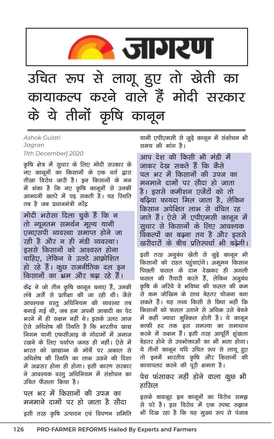

### उचित रूप से लागू हुए तो खेती का कायाकल्प करने वाले हैं मोदी सरकार के ये तीनों कृषि कानून

**Ashok Gulati** Jagran 11th December] 2020

कृषि क्षेत्र में सुधार के लिए मोदी सरकार के नए कानूनों का किसानों के एक वर्ग द्वारा तीखा विरोध जारी है। इन किसानों के मन में शंका है कि नए कृषि कानूनों से उनकी आमदनी खतरे में पड सकती है। यह स्थिति तब है जब पधानमंत्री नरेंद

मोदी भरोसा दिला चुके हैं कि न तो न्यूनतम समर्थन मूल्य यानी एमएसपी व्यवस्था समाप्त होने जा रही है और न ही मंडी व्यवस्था। इससे किसानों को आश्वस्त होना चाहिए. लेकिन वे उलटे आक्रोशित हो रहे हैं। कूछ राजनीतिक दल इन किसानों का भ्रम और बढ़ा रहे हैं।

केंद्र ने जो तीन कृषि कानून बनाए हैं, उनकी लंबे अर्से से प्रतीक्षा की जा रही थी। जैसे आवश्यक वस्तू अधिनियम की व्यवस्था तब बनाई गई थी. जब हम अपनी आबादी का पेट भरने में ही सक्षम नहीं थे। इसके उलट आज ऐसे अधिशेष की स्थिति है कि भारतीय खाद्य निगम यानी एफसीआइ के गोदामों में अनाज रखने के लिए पर्याप्त जगह ही नहीं। ऐसे में भारत को खाद्यान्न के मोर्चे पर अकाल से अधिशेष की स्थिति का लाभ उठाने की दिशा में अग्रसर होना ही होगा। इसी कारण सरकार ने आवश्यक वस्तु अधिनियम में संशोधन का उचित फैसला किया है।

पल भर में किसानों की उपज का मनमाने दामों पर हो जाता है सौदा इसी तरह कृषि उत्पादन एवं विपणन समिति यानी एपीएमसी से जुड़े कानून में संशोधन भी समय की मांग है।

आप देश की किसी भी मंडी में जाकर देख सकते हैं कि कैसे पल भर में किसानों की उपज का मनमाने दामों पर सौदा हो जाता है। इससे कमीशन एजेंटों को तो बढ़िया फायदा मिल जाता है. लेकिन किसान अपेक्षित लाभ से वंचित रह जाते हैं। ऐसे में एपीएमसी कानून में सूधार से किसानों के लिए आवश्यक विकल्पों का बढना तय है और इससे खरीदारों के बीच प्रतिस्पर्धा भी बढेगी।

इसी तरह अनुबंध खेती से जुड़े कानून भी किसानों को राहत पहुंचाएंगे। अमूमन किसान पिछली फसल के दाम देखकर ही अगली फसल की तैयारी करते हैं, लेकिन अनूबंध कृषि के जरिये वे भविष्य की फसल की कम .<br>से कम जोखिम के साथ बेहतर योजना बना सकते हैं। यह तथ्य किसी से छिपा नहीं कि किसानों को फसल उगाने से अधिक उसे बेचने में कहीं ज्यादा मुश्किल होती है। ये कानून काफी हद तक इस समस्या का समाधान करने में सक्षम हैं। इसी तरह आपूर्ति शुंखला बेहतर होने से उपभोक्ताओं का भी भला होगा। ये तीनों कानून यदि उचित रूप से लागू हुए तो इनमें भारतीय कृषि और किसानों की कायापलट करने की पूरी क्षमता है।

पेच फंसाकर नहीं होने वाला कूछ भी हासिल

इसके बावजूद इन कानूनों का विरोध समझ से परे है। इस विरोध में एक स्पष्ट रुझान भी दिख रहा है कि यह मुख्य रूप से पंजाब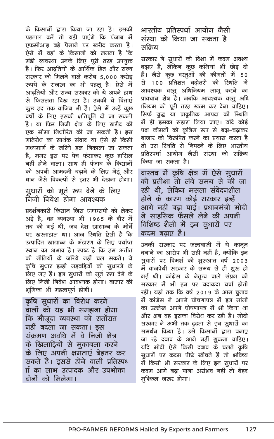के किसानों द्वारा किया जा रहा है। इसकी पडताल करें तो यही पाएंगे कि पंजाब में एफसीआइ बडे पैमाने पर खरीद करता है। ऐसे में वहां के किसानों को लगता है कि मंडी व्यवस्था उनके लिए पूरी तरह उपयुक्त है। फिर आढतियों के आर्थिक हित और राज्य सरकार को मिलने वाले करीब 5,000 करोड रुपये के राजस्व का भी पहलू है। ऐसे में आढतियों और राज्य सरकार को ये अपने हाथ से फिसलता दिख रहा है। उनकी ये चिंताएं कुछ हद तक वाजिब भी हैं। ऐसे में उन्हें कुछ वर्षो के लिए इसकी क्षतिपूर्ति दी जा सकती है। या फिर निजी क्षेत्र के लिए खरीद की एक सीमा निर्धारित की जा सकती है। इस गतिरोध का सार्थक संवाद या ऐसे ही किसी मध्यमार्ग के जरिये हल निकाला जा सकता है, मगर इस पर पेच फंसाकर कुछ हासिल नहीं होने वाला। साथ ही पंजाब के किसानों को अपनी आमदनी बढ़ाने के लिए गेहूं और धान जैसे विकल्पों से इतर भी देखना होगा।

#### सूधारों को मूर्त रूप देने के लिए निजी निवेश होगा आवश्यक

प्रदर्शनकारी किसान जिस एमएसपी को लेकर अड़े हैं, वह व्यवस्था भी 1965 के दौर में तब की गई थी. जब देश खाद्यान्न के मोर्चे पर खस्ताहाल था। आज स्थिति ऐसी है कि उत्पादित खाद्यान्न के भंडारण के लिए पर्याप्त स्थान का अभाव है। स्पष्ट है कि हम अतीत की नीतियों के जरिये नहीं चल सकते। ये कृषि सुधार इन्ही गड़बड़ियों को सुधारने के लिए गए हैं। इन सुधारों को मूर्त रूप देने के लिए निजी निवेश आवश्यक होगा। बाजार की भूमिका भी महत्वपूर्ण होगी।

कृषि सुधारों का विरोध करने वालों को यह भी समझना होगा कि मौजूदा व्यवस्था को रातोंरात नहीं बदला जा सकता। इस संक्रमण अवधि में वे निजी क्षेत्र के खिलाड़ियों से मूकाबला करने के लिए अपनी क्षमताएं बेहतर कर सकते हैं। इससे होने वाली प्रतिस्पध ाो का लाभ उत्पादक और उपभोक्ता दोनों को मिलेगा।

भारतीय प्रतिस्पर्धा आयोग जैसी संस्था को किया जा सकता है सकिय

सरकार ने सुधारों की दिशा में कदम अवश्य बढ़ाए हैं, लेकिन कूछ कमियां भी छोड़ दी हैं। जैसे कूछ वस्तूओं की कीमतों में 50 से 100 प्रतिशत बढोतरी की स्थिति में आवश्यक वस्तु अधिनियम लागू करने का प्रावधान शेष है। जबकि आवश्यक वस्तू अधि ानियम को पुरी तरह खत्म कर देना चाहिए। सिर्फ युद्ध या प्राकृतिक आपदा की स्थिति में ही इसका सहारा लिया जाए। यदि कोई पक्ष कीमतों को कृत्रिम रूप से बढ़ा-चढ़ाकर बाजार को विरुपित करने का प्रयास करता है तो उस स्थिति से निपटने के लिए भारतीय प्रतिस्पर्धा आयोग जैसी संस्था को सकिय किया जा सकता है।

वास्तव में कृषि क्षेत्र में ऐसे सूधारों की प्रतीक्षा तो लंबे समय से की जा रही थी, लेकिन मसला संवेदनशील होने के कारण कोई सरकार इन्हें आगे नहीं बढ़ा पाई। प्रधानमंत्री मोदी ने साहसिक फैसले लेने की अपनी विशिष्ट शैली में इन सुधारों पर कदम बढाए हैं।

उनकी सरकार पर जल्दबाजी में ये कानून बनाने का आरोप भी सही नहीं है, क्योंकि इन सुधारों पर विमर्श की शुरुआत वर्ष 2003 में वाजपेयी सरकार के समय से ही शुरू हो गई थी। कांग्रेस के नेतृत्व वाले संप्रग की सरकार में भी इन पर यदाकदा चर्चा होती रही। यहां तक कि वर्ष 2019 के आम चूनाव में कांग्रेस ने अपने घोषणापत्र में इन मांगों का उल्लेख अपने घोषणापत्र में भी किया था और अब वह इसका विरोध कर रही है। मोदी सरकार ने अभी तक दृढ़ता से इन सुधारों का समर्थन किया है। उसे किसानों द्वारा बनाए जा रहे दबाव के आगे नहीं झुकना चाहिए। यदि मोदी ऐसे किसी दबाव के चलते कृषि सूधारों पर कदम पीछे खींचते हैं तो भविष्य में किसी भी सरकार के लिए इन सुधारों पर कदम आगे बढ़ा पाना असंभव नहीं तो बेहद मुश्किल जरूर होगा।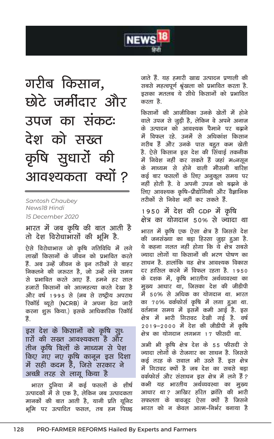

गरीब किसान, छोटे जर्मीदार और उपज का संकटः देश को सख्त कृषि सुधारों की आवश्यकता क्यों ?

Santosh Chaubey News18 Hindi 15 December 2020

भारत में जब कृषि की बात आती है तो देश विरोधाभासों की भूमि है.

ऐसे विरोधाभास जो कृषि गतिविधि में लगे लाखों किसानों के जीवन को प्रभावित करते हैं. अब उन्हें जीवन के इन तरीकों से बाहर निकलने की जरुरत है, जो उन्हें लंबे समय से प्रभावित करते आए हैं. हमने हर साल हजारों किसानों को आत्महत्या करते देखा है और वर्ष 1995 से (जब से राष्ट्रीय अपराध रिकॉर्ड ब्यूरो (NCRB) ने अपना डेटा जारी करना शुरू किया.) इसके आधिकारिक रिकॉर्ड हैं.

इस देश के किसानों को कृषि सुध <u>πरों की सख्त आवश्यकता है और</u> तीन कृषि बिलों के माध्यम से पेश किए गए नए कृषि कानून इस दिशा में सही कदम हैं, जिसे सरकार ने अच्छी तरह से लागू किया है

भारत दुनिया में कई फसलों के शीर्ष उत्पादकों में से एक है, लेकिन जब उत्पादकता मानकों की बात आती है, यानी प्रति यूनिट भूमि पर उत्पादित फसल, तब हम पिछड़ जाते हैं. यह हमारी खाद्य उत्पादन प्रणाली की सबसे महत्वपूर्ण श्रृंखला को प्रभावित करता है. इसका मतलब ये सीधे किसानों को प्रभावित करता है

किसानों की आजीविका उनके खेतों में होने वाले उपज से जूड़ी है, लेकिन वे अपने अनाज के उत्पादन को आवश्यक पैमाने पर बढ़ाने में विफल रहे. उनमें से अधिकांश किसान गरीब हैं और उनके पास बहुत कम खेती है. ऐसे किसान इस देश की सिंचाई तकनीक में निवेश नहीं कर सकते हैं जहां मoनसून के माध्यम से होने वाली मौसमी बारिश कई बार फसलों के लिए अनुकूल समय पर नहीं होती है. वे अपनी उपज को बढ़ाने के लिए आवश्यक कृषि-प्रौद्योगिकी और वैज्ञानिक तरीकों से निवेश नहीं कर सकते हैं.

1950 में देश की GDP में कृषि क्षेत्र का योगदान ५०% से ज्यादा था

भारत में कृषि एक ऐसा क्षेत्र है जिससे देश की जनसंख्या का बड़ा हिस्सा जुड़ा हुआ है. ये कहना गलत नहीं होगा कि ये क्षेत्र सबसे ज्यादा लोगों या किसानों की भरण पोषण का साधन है. हालांकि यह क्षेत्र आवश्यक विकास दर हासिल करने में विफल रहता है. 1950 के दशक में, कृषि भारतीय अर्थव्यवस्था का मुख्य आधार था, जिसका देश की जीडीपी में ५०% से अधिक का योगदान था. भारत का 70% वर्कफोर्स कृषि में लगा हुआ था. वर्तमान समय में इसमें कमी आई है. इस क्षेत्र में भारी गिरावट देखी गई है. वर्ष 2019-2000 में देश की जीडीपी में कृषि क्षेत्र का योगदान लगभग 17 फीसदी था.

अभी भी कृषि क्षेत्र देश के 55 फीसदी से ज्यादा लोगों के रोजगार का साधन है. जिससे कई तरह के सवाल भी उठते हैं. इस क्षेत्र में गिरावट क्यों है जब देश का सबसे बड़ा वर्कफोर्स और संसाधन इस क्षेत्र में लगे हैं? कभी यह भारतीय अर्थव्यवस्था का मुख्य आधार था ? आखिर हरित क्रांति की भारी सफलता के बावजूद ऐसा क्यों है जिसने भारत को न केवल आत्म–निर्भर बनाया है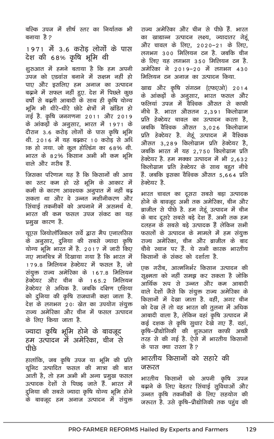बल्कि उपज में शीर्ष स्तर का निर्यातक भी बनाया है २

1971 में 3.6 करोड लोगों के पास देश की 68% कृषि भूमि थी

शूरुआत में हमने बताया है कि हम अपनी उपज को एडवांस बनाने में सक्षम नहीं हो पाए और इसलिए हम अनाज का उत्पादन बढ़ाने में सफल नहीं हुए. देश में पिछले कुछ वर्षो से बढ़ती आबादी के साथ ही कृषि योग्य भूमि भी धीरे-धीरे छोटे क्षेत्रों में खंडित हो गई है. कृषि जनगणना 2011 और 2019 के आंकड़ों के अनुसार, भारत में 1971 के दौरान ३.६ करोड लोगों के पास कृषि भूमि थी. 2016 में यह बढ़कर 10 करोड़ से अधि ाक हो गया. जो कूल होल्डिंग का 68% थी. भारत के 82% किसान अभी भी कम भूमि वाले और गरीब हैं.

जिसका परिणाम यह है कि किसानों की आय का स्तर कम हो रहे भूमि के आकार में कमी के कारण आवश्यक अनुपात में नहीं बढ़ सकता था और वे उन्नत मशीनीकरण और सिंचाई तकनीकों को अपनाने में असमर्थ थे. भारत की कम फसल उपज संकट का यह प्रमुख कारण है.

यूएस जियोलॉजिकल सर्वे द्वारा मैप एनालसिस के अनुसार, दुनिया की सबसे ज्यादा कृषि योग्य भूमि भारत में है. 2017 में जारी किए गाग मानचित्र में दिखाया गया है कि भारत में 179.8 मिलियन हेक्टेयर में फसल है, जो संयुक्त राज्य अमेरिका के 167.8 मिलियन हेक्टेयर और चीन के 165.2 मिलियन हेक्टेयर से अधिक है. जबकि दक्षिण एशिया को दुनिया की कृषि राजधानी कहा जाता है. देश के लगभग २०ः खेत का उपयोग संयुक्त राज्य अमेरिका और चीन में फसल उत्पादन के लिए किया जाता है.

#### ज्यादा कृषि भूमि होने के बावजूद हम उत्पादन में अमेरिका, चीन से पीछे

हालांकि, जब कृषि उपज या भूमि की प्रति यूनिट उत्पादित फसल की मात्रा की बात आती है, तो हम अभी भी अन्य प्रमुख फसल उत्पादक देशों से पिछड जाते हैं. भारत में दुनिया की सबसे ज्यादा कृषि योग्य भूमि होने के बावजूद हम अनाज उत्पादन में संयुक्त राज्य अमेरिका और चीन से पीछे हैं. भारत का खाद्यान्न उत्पादन लक्ष्य, ज्यादातर गेहं और चावल के लिए, 2020−21 के लिए, लगभग 300 मिलियन टन है. जबकि चीन के लिए यह लगभग 3.50 मिलियन टन है. अमेरिका ने 2019–20 में लगभग 430 मिलियन टन अनाज का उत्पादन किया.

खाद्य और कृषि संगठन (एफएओ) 2014 के आंकड़ों के अनूसार, भारत फसल और फलियां उपज में वैश्विक औसत से काफी नीचे है. भारत औसतन 2,391 किलोग्राम प्रति हेक्टेयर चावल का उत्पादन करता है, जबकि वैश्विक औसत 3,026 किलोग्राम प्रति हेक्टेयर है. गेहूं उत्पादन में वैश्विक औसत 3,289 किलोग्राम प्रति हेक्टेयर है, जबकि भारत में यह 2,750 किलोग्राम प्रति हेक्टेयर है. हम मक्का उत्पादन में भी 2,632 किलोग्राम प्रति हेक्टेयर के साथ बहुत नीचे हैं. जबकि इसका वैश्विक औसत 5.664 प्रति हेक्टेयर है.

भारत चावल का दूसरा सबसे बड़ा उत्पादक होने के बावजूद अभी तक अमेरिका, चीन और ब्राजील से पीछे है. हम गेहूं उत्पादन में चीन के बाद दूसरे सबसे बड़े देश हैं. अभी तक हम दलहन के सबसे बड़े उत्पादक हैं लेकिन सभी फसलों के उत्पादन के मामले में हम संयुक्त राज्य अमेरिका. चीन और ब्राजील के बाद चौथे स्थान पर हैं. ये सभी कारक भारतीय किसानों के संकट को दर्शाता है

एक गरीब, आत्मनिर्भर किसान उत्पादन की सूक्ष्मता को नहीं समझ कर सकता है जोकि आर्थिक रूप से उन्नत और कम आबादी वाले देशों जैसे कि संयुक्त राज्य अमेरिका के किसानों में देखा जाता है. वहीं, अगर चीन को देख लें तो वह भारत की तुलना में अधिक आबादी वाला है, लेकिन वहां कृषि उत्पादन में कई दशक से कृषि सुधार देखे गए हैं. वहां, कृषि–प्रौद्योगिकी की शुरुआत काफी अच्छी तरह से की गई है. ऐसे में भारतीय किसानों के पास क्या रास्ता है?

#### भारतीय किसानों को सहारे की जरूरत

भारतीय किसानों को अपनी कृषि उपज बढ़ाने के लिए बेहतर सिंचाई सुविधाओं और उन्नत कृषि तकनीकों के लिए सहयोग की जरुरत है. उसे कृषि-प्रौद्योगिकी तक पहुंच की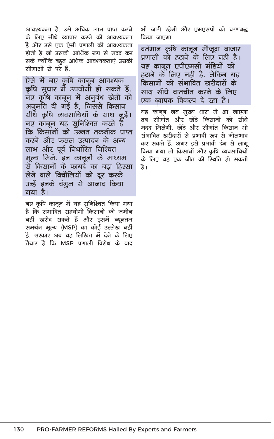आवश्यकता है. उसे अधिक लाभ प्राप्त करने के लिए सीधे व्यापार करने की आवश्यकता है और उसे एक ऐसी प्रणाली की आवश्यकता होती है जो उसकी आर्थिक रूप से मदद कर सके क्योंकि बहुत अधिक आवश्यकताएं उसकी सीमाओं से परे हैं.

ऐसे में नए कृषि कानून आवश्यक कृषि सुधार में उपयोगी हो सकते हैं. नए कृषि कानून में अनुबंध खेती को अनुमति दी गई है, जिससे किसान सीधे कृषि व्यवसायियों के साथ जुड़ें। नए कानून यह सुनिश्चित करते हैं कि किसानों को उन्नत तकनीक प्राप्त करने और फसल उत्पादन के अन्य लाभ और पूर्व निर्धारित निश्चित मूल्य मिले. इन कानूनों के माध्यम से किसानों के फायदे का बड़ा हिस्सा लेने वाले बिचौलियों को दूर करके उन्हें इनके चंगूल से आजाद किया गया है।

नए कृषि कानून में यह सुनिश्चित किया गया है कि संभावित सहयोगी किसानों की जमीन नहीं खरीद सकते हैं और इसमें न्यूनतम समर्थन मूल्य (MSP) का कोई उल्लेख नहीं है. सरकार अब यह लिखित में देने के लिए तैयार है कि MSP पणाली विरोध के बाद भी जारी रहेगी और एमएसपी को चरणबद्ध किया जाएगा

वर्तमान कृषि कानून मौजूदा बाजार प्रणाली को हटाने के लिए नहीं है। यह कानन एपीएमसी मंडियों को हटाने के लिए नहीं है. लेकिन यह किसानों को संभावित खरीदारों के साथ सीधे बातचीत करने के लिए एक व्यापक विकल्प दे रहा है।

यह कानून जब मुख्य धारा में आ जाएगा तब सीमांत और छोटे किसानों को सीधे मदद मिलेगी, छोटे और सीमांत किसान भी संभावित खरीदारों से प्रभावी रूप से मोलभाव कर सकते हैं. अगर इसे प्रभावी ढंग से लागू किया गया तो किसानों और कृषि व्यवसायियों के लिए यह एक जीत की स्थिति हो सकती है।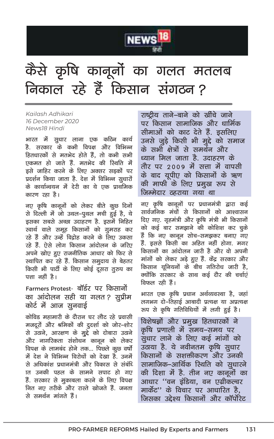

### केसे कृषि कानूनों का गलत मतलब <u>निकाल रहे हैं किसान संगठन?</u>

*Kailash Adhikari 16 December 2020 News18 Hindi* 

**भारत में सुधार लाना एक कठिन कार्य gS- ljdkj ds dHkh foi{k vkSj fofHkUu**  हितधारकों से मतभेद होते हैं, तो कभी सभी एकमत हो जाते हैं. मतभेद की स्थिति मे<mark>ं</mark> इसे जाहिर करने के लिए अक्सर सड़कों पर प्रदर्शन किया जाता है. देश में विभिन्न सुधारों <u>के कार्यान्वयन में देरी का ये एक प्राथमिक</u> कारण रहा है।

नए कृषि कानूनों को लेकर बीते कुछ दिनो<del>ं</del> से दिल्ली में जो उथल-पुथल मची हुई है, ये इसका सबसे अच्छा उदाहरण है. इसमें निहित स्वार्थ वाले समूह किसानों को गुमराह कर रहे हैं और उन्हें विदोह करने के लिए उकसा रहे हैं. ऐसे लोग किसान आंदोलन के जरिए अपने खोए हुए राजनीतिक आधार को फिर से स्थापित कर रहे हैं. किसान समुदाय से बेहतर किसी भी पार्टी के लिए कोई दूसरा <u>तु</u>रुप का पत्ता नहीं है।

Farmers Protest- बॉर्डर पर किसानों का आंदोलन सही या गलत*?* सूप्रीम कोर्ट में आज सुनवा<del>ई</del>

कोविड महामारी के दौरान घर लौट रहे प्रवासी मजदूरों और श्रमिकों की दूदर्शा को जोर–शोर से उठाने, आरक्षण के मुद्दे को दोबारा उठाने और नागरिकता संशोधन कानून को लेकर <u>विपक्ष के लामबंद होने तक... पिछले कुछ वर्षो</u> में देश ने विभिन्न विरोधों को देखा है. उनमें .<br>से अधिकांश प्रधानमंत्री और विकास से संबंधि **kand in the communism** in the search and in the search in the search in the search in the search in the search हैं. सरकार से मकाबला करने के लिए विपक्ष नित नाग तरीके और रास्ते खोजते हैं. जनता से समर्थन मांगते हैं।

राष्टीय ताने–बाने को खींचे जाने पर किसान सामाजिक और धार्मिक सीमाओं को काट देते हैं. इसलिए उनसे जुडे किसी भी मुद्दे को समाज <u>के सभी क्षेत्रों से समर्थन और</u> <u>ध्यान मिल जाता है. उदाहरण के </u> <u>तौर पर 2009 में सत्ता में वापसी</u> के बाद युपीए को किसानों के ऋण की माफी के लिए प्रमुख रूप से **जिम्मेदार ठहराया गया था** 

नए कृषि कानूनों पर प्रधानमंत्री द्वारा कई land **and and the search in the search of the search of the search of the search of the search of the search of** दिए गए. गृहमंत्री और कृषि मंत्री भी किसानों <u>को कई बार समझाने की कोशिश कर चुके</u> हैं कि नए कानून सोच–समझकर बनाए गए .<br>हैं, इससे किसी का अहित नहीं होगा, मगर किसानों का आंदोलन जारी है और वो अपनी मांगों को लेकर अड़े हुए हैं. केंद्र सरकार और .<br>किसान युनियनों के बीच गतिरोध जारी है. क्योंकि सरकार के साथ कई दौर की चर्चाएं **विफल रही हैं।** 

भारत एक कृषि प्रधान अर्थव्यवस्था है, जहां लगभग दो–तिहाई आबादी प्रत्यक्ष या अप्रत्यक्ष रुप से कृषि गतिविधियों में लगी हुई है।

<u>विशेषज्ञों और प्रमुख हितधारकों ने</u> कृषि प्रणाली में समय–समय पर सुधार लाने के लिए कई मांगों को उठाया है. ये नवीनतम कृषि <u>सु</u>धार किसानों के सशक्तीकरण और उनकी **सामाजिक–आर्थिक रिथति को सूधारने** <u>की दिशा में है. तीन नए कानूनों का</u> आधार ''वन इंडिया, वन एग्रीकल्चर मार्केट'' के विचार पर आधारित है. **जिसका उद्देश्य किसानों और कॉर्पोरेट**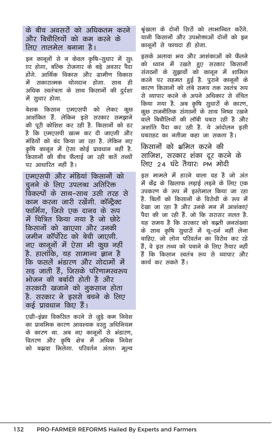के बीच अवसरों को अधिकतम करने और बिचौलियों को कम करने के लिए तालमेल बनाना है।

इन कानूनों से न केवल कृषि–सुधार में सुध <u>∏र होगा. बल्कि रोजगार के बडे अवसर पैदा</u> होंगे आर्थिक विकास और ग्रामीण विकास में सकारात्मक योगदान होगा. साथ ही अधिक स्वतंत्रता के साथ किसानों की दुर्दशा में सुधार होगा.

बेशक किसान एमएसपी को लेकर कुछ आशंकित हैं. लेकिन इसे सरकार समझाने की पूरी कोशिश कर रही है. किसानों को डर है कि एमएसपी खत्म कर दी जाएगी और मंडियों को बंद किया जा रहा है. लेकिन नए कषि कानन में ऐसा कोई प्रावधान नहीं है. किसानों की बीच फैलाई जा रही बातें तथ्यों पर आधारित नहीं है।

एमएसपी और मंडियां किसानों को चनने के लिए उपलब्ध अतिरिक्त विकल्पों के साथ–साथ उसी तरह से काम करना जारी रखेंगी. कॉन्टैक्ट फार्मिंग. जिसे एक दानव के रूप में चित्रित किया गया है जो छोटे किसानों को खाएगा और उनकी जमीन कॉर्पोरेट को बेची जाएगी. नए कानूनों में ऐसा भी कूछ नहीं है. हालांकि. यह सामान्य ज्ञान है कि फसलें भंडारण और गोदामों में सड जाती हैं. जिसके परिणामस्वरूप भोजन की बर्बादी होती है और सरकारी खजाने को नुकसान होता है. सरकार ने इससे बचने के लिए कई पावधान किए हैं।

एग्री–इंफ्रा विकसित करने से जुड़े कम निवेश का प्राथमिक कारण आवश्यक वस्तु अधिनियम के कारण था. अब नए कानूनों से भंडारण, वितरण और कृषि क्षेत्र में अधिक निवेश को बढ़ावा मिलेगा. परिवर्तन अंततः मूल्य श्रृंखला के दोनों सिरों को लाभान्वित करेंगे. यानी किसानों और उपभोक्ताओं दोनों को इन कानूनों से फायदा ही होगा.

इसके अलावा भय और आशंकाओं को फैलने .<br>को ध्यान में रखते हुए सरकार किसानों संगठनों के सुझावों को कानून में शामिल करने पर सहमत हुई है. पुराने कानूनों के कारण किसानों को लंबे समय तक स्वतंत्र रूप से व्यापार करने के अपने अधिकार से वंचित किया गया है. अब कृषि सुधारों के कारण, कुछ राजनीतिक संगठनों के साथ निष्ठा रखने वाले बिचौलियों की लॉबी घबरा रही है और अशांति पैदा कर रही है. ये आंदोलन इसी घबराहट का नतीजा कहा जा सकता है।

किसानों को भ्रमित करने की साजिश, सरकार शंका दूर करने के लिए 24 घंटे तैयार: PM मोदी

इस मामले में हारने वाला वह है जो अंत में केंद्र के खिलाफ लड़ाई लड़ने के लिए एक उपकरण के रूप में इस्तेमाल किया जा रहा है बिलों को किसानों के विरोधी के रूप में देखा जा रहा है और उनके मन में आशंकाएं पैदा की जा रही हैं. जो कि सरासर गलत है. यह समय है कि सरकार को बढ़ती जनसंख्या के साथ कृषि सुधारों में यू–टर्न नहीं लेना चाहिए. जो लोग परिवर्तन का विरोध कर रहे हैं, वे इस तथ्य को पचाने के लिए तैयार नहीं हैं कि किसान स्वतंत्र रूप से व्यापार और कार्य कर सकते हैं।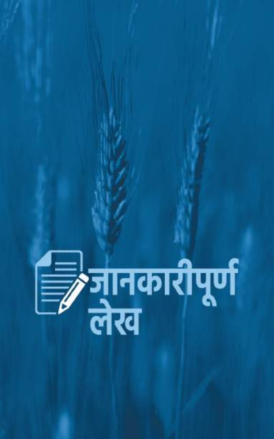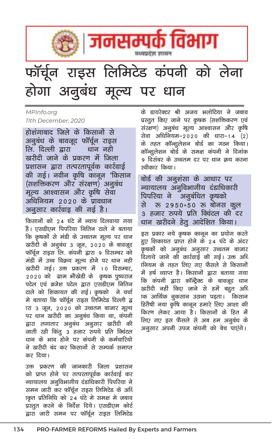

# फॉर्चून राइस लिमिटेड कंपनी को लेना होगा अनूबंध मूल्य पर धान

#### MPInfo.org 11th December, 2020

होशंगाबाद जिले के किसानों से अनुबंध के बावजूद फॉर्चून राइस लि. दिल्ली द्वारा धान नही खरीदी जाने के प्रकरण में जिला प्रशासन द्वारा तत्परतापूर्वक कार्रवाई की गई। नवीन कृषि कानून 'किसान (सशक्तिकरण और संरक्षण) अनुबंध मूल्य आश्वासन और कृषि सेवा अधिनियम २०२० के प्रावधान अनूसार कार्रवाइ की गई है।

किसानों को 24 घंटे में न्याय दिलवाया गया है। एसडीएम पिपरिया नितिन टाले ने बताया कि कृषकों से मंडी के उच्चतम मूल्य पर धान खरीदी के अनुबंध 3 जून, 2020 के बावजूद फॉर्चून राइस लि. कंपनी द्वारा 9 दिसम्बर को मंडी में उच्च विक्रय मूल्य होने पर धान नही खरीदी गई। उक्त प्रकरण में 10 दिसम्बर, 2020 को ग्राम भौखेडी के कृषक पुष्पराज पटेल एवं ब्रजेश पटेल द्वारा एसडीएम नितिन टाले को शिकायत की गई। कृषको वे चर्चा मे बताया कि फॉर्चून राइस लिमिटेड दिल्ली द्व ारा ३ जून, २०२० को उच्चतम बाजार मूल्य पर धान खरीदी का अनूबंध किया था, कंपनी द्वारा लगातार अनूबंध अनुसार खरीदी की जाती रही किंतू 3 हजार रुपये प्रति क्विंटल धान के भाव होने पर कंपनी के कर्मचारियो ने खरीदी बंद कर किसानों से सम्पर्क समाप्त कर दिया।

उक्त प्रकरण की जानकारी जिला प्रशासन को प्राप्त होने पर तत्परतापूर्वक कार्रवाई कर व्यायालय अनुविभागीय दंडाधिकारी पिपरिया ने समन जारी कर फॉर्चून राइस लिमिटेड के अधि ाकृत प्रतिनिधि को 24 घंटे मे समक्ष मे जबाव प्रस्तूत करने के निर्देश दिये। एसडीएम कोर्ट द्वारा जारी समन पर फॉर्चून राइस लिमिटेड के डायरेक्टर श्री अजय भलोटिया ने जबाव प्रस्तुत किए जाने पर कृषक (सशक्तिकरण एवं संरक्षण) अनुबंध मूल्य आश्वासन और कृषि सेवा अधिनियम–2020 की धारा–14 (2) के तहत कॉन्शूलेशन बोर्ड का गठन किया। कॉन्शूलेशन बोर्ड के समक्ष कंपनी ने दिनांक 9 दिसंबर के उच्चतम दर पर धान क्रय करना स्तीकार किया।

बोर्ड की अनूशंसा के आधार पर न्यायालय अनुविभागीय दंडाधिकारी अनुबंधित कृषको पिपरिया ने से ফ 2950+50 ফ बोनस कूल ३ हजार रुपये प्रति क्विंटल की दर धान खरीदने हेत आदेशित किया।

इस प्रकार नये कृषक कानून का प्रयोग करते हुए शिकायत प्राप्त होने के 24 घंटे के अंदर कृषको को अनुबंध अनुसार उच्चतम बाजार दिलाये जाने की कार्रवाई की गई। उक्त अधि ानियम के तहत लिए गए फैसले से किसानों में हर्ष व्याप्त है। किसानों द्वारा बताया गया कि कंपनी द्वारा कॉन्ट्रैक्ट के बावजूद धान खरीदी नहीं किए जाने से हमें बहुत अधि ाक आर्थिक नुकसान उठाना पडता। किसान हितैषी नया कृषि कानून हमारे लिए आशा की किरण लेकर आया है। किसानों के हित में लिए गए इस फैसले से अब हम अनुबंध के अनूसार अपनी उपज कंपनी को बेच पाएंगे।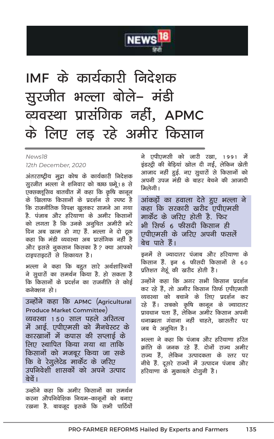

## IMF के कार्यकारी निदेशक सुरजीत भल्ला बोले- मंडी व्यवस्था प्रासंगिक नहीं, APMC के लिए लड़ रहे अमीर किसान

#### News<sub>18</sub> 12th December, 2020

अंतरराष्ट्रीय मुद्रा कोष के कार्यकारी निदेशक सूरजीत भल्ला ने शनिवार को व्छछ छन्रे 18 से एक्सक्लूसिव बातचीत में कहा कि कृषि कानून के खिलाफ किसानों के प्रदर्शन से स्पष्ट है कि राजनीतिक विपक्ष खुलकर सामने आ गया है. पंजाब और हरियाणा के अमीर किसानों को लगता है कि उनके अनुचित अमीरी भरे दिन अब खत्म हो गए हैं. भल्ला ने दो ट्रक कहा कि मंडी व्यवस्था अब प्रासंगिक नहीं है और इससे नुकसान किसका है ? क्या आपको टाइपराइटरों से शिकायत है।

भल्ला ने कहा कि बहुत सारे अर्थशास्त्रियों ने सुधारों का समर्थन किया है. हो सकता है कि किसानों के प्रदर्शन का राजनीति से कोई कनेक्शन हो।

उन्होंने कहा कि APMC (Agricultural Produce Market Committee) व्यवस्था १५० साल पहले अस्तित्व में आई. एपीएमसी को मैनचेस्टर के कारखानों में कपास की सप्लाई के लिए स्थापित किया गया था ताकि किसानों को मजबूर किया जा सके कि वे रेगूलेटेड मार्केट के जरिए उपनिवेशी शासकों को अपने उत्पाद ਕੇਜੇਂ ।

उन्होंने कहा कि अमीर किसानों का समर्थन करना औपनिवेशिक नियम–कानूनों को बनाए रखना है. बावजूद इसके कि सभी पार्टियों ने एपीएमसी को जारी रखा. 1991 में इंडस्टी की बेडियां खोल दी गई. लेकिन खेती आजाद नहीं हुई. नए सुधारों से किसानों को .<br>अपनी उपज मंडी के बाहर बेचने की आजादी क्रिलेगी।

आंकड़ों का हवाला देते हुए भल्ला ने कहा कि सरकारी खरीद एपीएमसी मार्केट के जरिए होती है. फिर भी सिर्फ 6 फीसदी किसान ही एपीएमसी के जरिए अपनी फसलें बेच पाते हैं।

इनमें से ज्यादातर पंजाब और हरियाणा के किसान हैं. इन 6 फीसदी किसानों से 60 प्रतिशत गेहूं की खरीद होती है।

उन्होंने कहा कि अगर सभी किसान प्रदर्शन कर रहे हैं. तो अमीर किसान सिर्फ एपीएमसी व्यवस्था को बचाने के लिए प्रदर्शन कर रहे हैं। सबको कृषि कानून के ज्यादातर प्रावधान पता हैं. लेकिन अमीर किसान अपनी धनाढ्यता गंवाना नहीं चाहते. खासतौर पर जब ये अनूचित है।

भल्ला ने कहा कि पंजाब और हरियाणा हरित क्रांति के जनक रहे हैं. दोनों राज्य अमीर राज्य हैं, लेकिन उत्पादकता के स्तर पर नीचे हैं. दूसरे राज्यों में उत्पादन पंजाब और हरियाणा के मूकाबले दोगूनी है।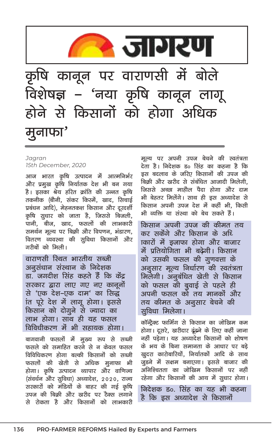

#### Jagran 15th December, 2020

आज भारत कृषि उत्पादन में आत्मनिर्भर और प्रमुख कृषि निर्यातक देश भी बन गया है। इसका श्रेय हरित क्रांति की उन्नत कृषि तकनीक (बौनी, संकर किस्में, खाद, सिचाई प्रबंधन आदि), मेहनतकश किसान और दुरदर्शी कृषि सूधार को जाता है, जिससे बिजली, पानी, बीज, खाद, फसलों की लाभकारी समर्थन मूल्य पर बिक्री और विपणन, भंडारण, वितरण व्यवस्था की सुविधा किसानों और गरीबों को मिली।

वाराणसी रिथत भारतीय सब्जी अनूसंधान संस्थान के निदेशक डा. जगदीश सिंह कहते हैं कि केंद्र सरकार द्वारा लाए गए नए कानूनों से 'एक देश–एक दाम' का सिद्ध ांत पूरे देश में लागू होगा। इससे किसान को दोगुने से ज्यादा का लाभ होगा। साथ ही यह फसल विविधीकरण में भी सहायक होगा।

बागवानी फसलों में मुख्य रूप से सब्जी फसले को समाहित करने से न केवल फसल विविधिकरण होगा बल्की किसानों को सब्जी फसलों की खेती से अधिक मुनाफा भी होगा। कृषि उत्पादन व्यापार और वाणिज्य (संवर्धन और सुविधा) अध्यादेश, 2020, राज्य सरकारों को मंडियों के बाहर की गई कृषि उपज की बिक्री और खरीद पर टैक्स लगाने से रोकता है और किसानों को लाभकारी

मूल्य पर अपनी उपज बेचने की स्वतंत्रता देता है। निदेशक ड० सिंह का कहना है कि इस बदलाव के जरिए किसानों की उपज की बिकी और खरीद से संबंधित आजादी मिलेगी, जिससे अच्छा माहौल पैदा होगा और दाम भी बेहतर मिलेंगे। साथ ही इस अध्यादेश से किसान अपनी उपज देश में कहीं भी. किसी भी व्यक्ति या संस्था को बेच सकते हैं।

किसान अपनी उपज की कीमत तय कर सकेंगे और किसान के अधि ाकारों में इजाफा होगा और बाजार में प्रतियोगिता भी बढेगी। किसान को उसकी फसल की गुणवत्ता के अनुसार मूल्य निर्धारण की स्वतंत्रता मिलेगी। अनुबंधित खेती से किसान को फसल की बुवाई से पहले ही अपनी फसल को तय मानकों और तय कीमत के अनूसार बेचने की ञ्चविधा मिलेगा।

कॉन्ट्रैक्ट फार्मिंग से किसान का जोखिम कम होगा। दूसरे, खरीदार दूंढने के लिए कहीं जाना नहीं पडेगा। यह अध्यादेश किसानों को शोषण के भय के बिना समानता के आधार पर बड़े खुदरा कारोबारियों, निर्यातकों आदि के साथ जुडने में सक्षम बनाएगा। इससे बाजार की अनिश्चितता का जोखिम किसानों पर नहीं रहेगा और किसानों की आय में सूधार होगा।

निदेशक ड०. सिंह का यह भी कहना है कि इस अध्यादेश से किसानों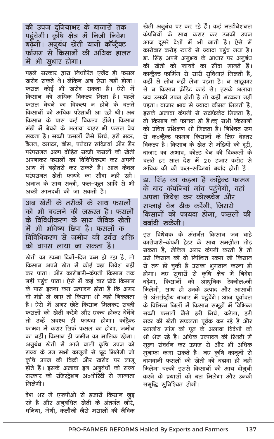की उपज दुनियाभर के बाजारों तक पहुंचेगी। कृषि क्षेत्र में निजी निवेश बढ़ेगी। अनूबंध खेती यानी कॉन्ट्रैक्ट र्फामग से किसानों की अथिक हालत में भी सुधार होगा।

पहले सरकार द्वारा निर्धारित एजेंट ही फसल खरीद सकते थे। लेकिन अब ऐसा नहीं होगा। फसल कोई भी खरीद सकता है। ऐसे में किसान को अधिक विकल्प मिला है। पहले फसल बेचने का विकल्प न होने के चलते किसानों को अधिक परेशानी आ रही थी। अब किसान के पास कई विकल्प होंगे। किसान मंडी में बेचने के अलावा बाहर भी फसल बेच सकता है। सब्जी फसलों जैसे मिर्च. हरी मटर. बैगन, टमाटर, बींस, पत्तेदार सब्जियां और गैर परंपरागत अल्प दोहित सब्जी फसलों की खेती अपनाकर फसलों का विविधिकरण कर अपनी आय में बढोतरी कर सकते हैं। आज केवल परंपरागत खेती फायदे का सौदा नहीं रही। अनाज के साथ सब्जी, फल–फूल आदि से भी अच्छी आमदनी की जा सकती है।

अब खेती के तरीकों के साथ फसलों को भी बदलने की जरूरत है। फसलों के विविधीकरण के साथ जैविक खेती में भी भविष्य छिपा है। फसलों क विविधिकरण से जमीन की उर्वरा शक्ति को वापस लाया जा सकता है।

खेती का रकबा दिनों-दिन कम हो रहा है, तो किसान अपने खेत में कोई बडा निवेश नहीं कर पाता। और कारोबारी–कंपनी किसान तक नहीं पहुंच पाता। ऐसे में कई बार छोटे किसान के पास इतना कम उत्पादन होता है कि अगर वो मंडी ले जाए तो किराया भी नहीं निकलता है। ऐसे में अगर छोटे किसान मिलकर सब्जी फसलों की खेती करेंगे और एकत्र होकर बेचेंगे तो उन्हें अवश्य ही फायदा होगा। काट्रैक्ट फामग में करार सिर्फ फसल का होगा, जमीन का नहीं। किसान ही जमीन का मालिक रहेगा। अनूबंध खेती में आने वाली कृषि उपज को राज्य के उन सभी कानूनों से छट मिलेगी जो कृषि उपज की बिक्री और खरीद पर लागू होते हैं। इसके अलावा इन अनुबंधों को राज्य सरकार की रजिस्ट्रेशन अ०थोरिटी से मान्यता क्रिलेगी।

देश भर में एफपीओ से हजारों किसान जुड़ रहे है और अनुबंधित खेती के अंतर्गत जीरे. धनिया, मेथी, कलौंजी जैसे मसालों की जैविक

खेती अनुबंध पर कर रहे हैं। कई मल्टीनेशनल कंपनियों के साथ करार कर उनकी उपज आज दसरे देशों में भी जाती है। ऐसे में कारोबार करोड़ रुपये से ज्यादा पहुंच गया है। डा. सिंह अपने अनुभव के आधार पर अनुबंध की खेती को फायदे का सौदा मानते हैं। कान्ट्रैक्ट फार्मिंग से सारी सूविधाएं मिलती हैं, कहीं से लोन नहीं लेना पड़ता है। न साह़कार से न किसान क्रेडिट कार्ड से। इसके अलावा जब उसकी उपज होती है तो कहीं भटकना नहीं पडता। बाजार भाव से ज्यादा कीमत मिलती है. इसके अलावा कंपनी से सटफिकेट मिलता है. तो किसान को फायदा ही है।च्च सभी किसानों को उचित प्रशिक्षण भी मिलता है। निश्चित रूप से क०न्ट्रैक्ट फामग किसानों के लिए बेहतर विकल्प है। किसान के खेत से मंडियों की दूरी, बाजार का अभाव, कोल्ड चेन की दिक्कतों के चलते हर साल देश में 20 हजार करोड से अधिक की की फल–सब्जियां बर्बाद होती हैं।

डा. सिंह का कहना है कांट्रैक्ट फामग के बाद कंपनियां गांव पहुंचेगी, वहां अपना निवेश कर कोल्डचेन और सप्लाई चेन ठीक करेंगी, जिससे किसानों को फायदा होगा. फसलों की बर्बादी रुकेगी।

इस विधेयक के अंतर्गत किसान जब चाहे कारोबारी-कंपनी ट्रेडर के साथ समझौता तोड़ सकता है, लेकिन अगर कंपनी करती है तो उसे किसान को वो निश्चित रकम जो किसान से तय हो चुकी है उसका भुगतान करना ही होगा। नए सूधारों से कृषि क्षेत्र में निवेश बढ़ेगा, किसानों को आधुनिक टेक्नोल०जी मिलेगी, साथ ही उनके उत्पाद और आसानी से अंतर्राष्ट्रीय बाजार में पहुंचेंगे। आज पूर्वांचल के विभिन्न जिलों में किसान समूहों में विभिन्न सब्जी फसलों जैसे हरी मिर्च, करेला, हरी मटर की खेती सफलता पूर्वक कर रहे है और स्थानीय मांग की पूत के अलावा विदेशों को भी भेज रहे है। अधिक उत्त्पादन की रिथती में मूल्य संवर्धन कर ऊपज से और भी अधिक मुनाफा कमा सकते है। नए कृषि कानूनों से बागवानी फसलों की खेती को बढावा ही नहीं मिलेगा बल्की डससे किसानों की आय दोगनी करने के प्रयासों को बल मिलेगा और उनकी समृद्धि सुनिश्चित होगी।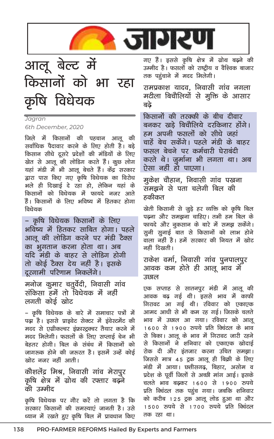



## Jagran

6th December, 2020

जिले में किसानों की पहचान आलू की सर्वाधिक पैदावार करने के लिए होती है। बड़े किसान सीधे दूसरे प्रदेशों की मंडियों के लिए खेत से आलू की लोडिंग करते हैं। कूछ लोग यहां मंडी में भी आलू बेचते हैं। केंद्र सरकार द्वारा पास किए गए कृषि विधेयक का विरोध भले ही दिखाई दे रहा हो, लेकिन यहां के किसानों को विधेयक में फायदे नजर आते हैं। किसानों के लिए भविष्य में हितकर होगा विधेयक

– कृषि विधेयक किसानों के लिए भविष्य में हितकर साबित होगा। पहले आलू की लोडिंग करने पर मंडी टैक्स का भ्रुगतान करना होता था। अब यदि मंडी के बाहर से लोडिग होगी तो कोई टैक्स देय नहीं है। इसके दूरगामी परिणाम निकलेंगे।

मनोज कुमार चतुर्वेदी, निवासी गांव संकिसा हमें तो विधेयक में नहीं लगती कोई खोट

– कृषि विधेयक के बारे में समाचार पत्रों में पढ़ा है। इससे प्राइवेट सेक्टर में इंवेस्टमेंट की मदद से एग्रीकल्चर इंफ्रास्ट्रक्चर तैयार करने में मदद मिलेगी। फसलों के लिए सप्लाई चेन भी बेहतर होगी। बिल के संबंध में किसानों को जागरुक होने की जरुरत है। इसमें उन्हें कोई खोट नजर नहीं आती।

## कौशलेंद्र मिश्र, निवासी गांव मेरापुर कृषि क्षेत्र में ग्रोथ की रफ्तार बढ़ने की उम्मीद

कृषि विधेयक पर गौर करें तो लगता है कि .<br>सरकार किसानों की समस्याएं जानती है। उसे ध्यान में रखते हुए कृषि बिल में प्रावधान किए गए हैं। इससे कृषि क्षेत्र में ग्रोथ बढ़ने की उम्मीद है। फसलों को राष्ट्रीय व वैश्विक बाजार तक पहुंचाने में मदद मिलेगी।

रामप्रकाश यादव, निवासी गांव नगला मटीला बिचौलियों से मूक्ति के आसार बढे

किसानों की तरक्की के बीच दीवार बनकर खडे बिचौलिये दरकिनार होंगे। हम अपनी फसलों को सीधे जहां चाहें बेच सकेंगे। पहले मंडी के बाहर फसल बेचने पर कर्मचारी घेराबंदी करते थे। जुर्माना भी लगता था। अब ऐसा नहीं हो पाएगा।

मूकेश चौहान, निवासी गांव पखना समझने से पता चलेगी बिल की हकीकत

खेती किसानी से जूड़े हर व्यक्ति को कृषि बिल पढ़ना और समझना चाहिए। तभी हम बिल के फायदे और नूकसान के बारे में समझ सकेंगे। सूनी सूनाई बात से किसानों को लाभ होने वाला नहीं है। हमें सरकार की नियत में खोट नहीं दिखती।

राकेश वर्मा, निवासी गांव पुनपालपुर आवक कम होते ही आलू भाव में उछाल

एक सप्ताह से सातनपूर मंडी में आलू की आवक बढ़ गई थी। इससे भाव में काफी गिरावट आ गई थी। रविवार को एकाएक आमद आधी से भी कम रह गई। जिसके चलते भाव में उछाल आ गया। रविवार को आल 1600 से 1900 रुपये प्रति क्विंटल के भाव से बिका। आलू के भाव में गिरावट जारी रहने से किसानों ने शनिवार को एकाएक खोदाई रोक दी और इंतजार करना उचित समझा। जिससे मात्र 45 ट्रक आलू ही बिक्री के लिए मंडी में आया। छत्तीसगढ़, बिहार, असोम व प्रदेश के पूर्वी जिलों से अच्छी मांग आई। इसके चलते भाव बढकर 1600 से 1900 रुपये प्रति क्विंटल तक पहुंच गया। जबकि शनिवार को करीब 125 ट्रक आलू लोड हुआ था और 1500 रुपये से 1700 रुपये प्रति क्विंटल तक रहा था।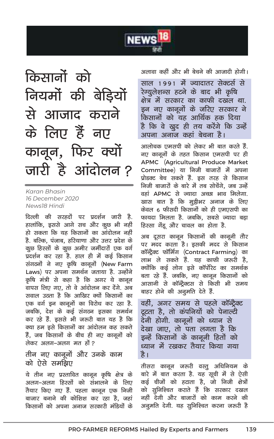

किसानों को नियमों की बेड़ियों से आजाद कराने के लिए हैं नए कानून, फिर क्यों जारी है आंदोलन?

Karan Bhasin 16 December 2020 News18 Hindi

दिल्ली की सरहदों पर प्रदर्शन जारी है. हालांकि, इससे आगे सच और कुछ भी नहीं हो सकता कि यह किसानों का आंदोलन नहीं है. बल्कि, पंजाब, हरियाणा और उत्तर प्रदेश के कूछ हिस्सों के कूछ अमीर जमींदारों एक वर्ग प्रदर्शन कर रहा है. हाल ही में कई किसान संगठनों ने नए कृषि कानूनों (New Farm Laws) पर अपना समर्थन जताया है. उन्होंने कृषि मंत्री से कहा है कि अगर ये कानून वापस लिए गए. तो वे आंदोलन कर देंगे. अब सवाल उठता है कि आखिर क्यों किसानों का एक वर्ग इन कानूनों का विरोध कर रहा है. जबकि, देश के कई संगठन इसका समर्थन कर रहे हैं. इससे भी जरूरी बात यह है कि क्या हम इसे किसानों का आंदोलन कह सकते हैं, जब किसानों के बीच ही नए कानूनों को लेकर अलग-अलग मत हों ?

## तीन नए कानूनों और उनके काम को ऐसे समझिए

ये तीन नए प्रस्तावित कानून कृषि क्षेत्र के अलग–अलग हिस्सों को संभालने के लिए तैयार किए गए हैं. पहला कानून एक निजी बाजार बनाने की कोशिश कर रहा है, जहां किसानों को अपना अनाज सरकारी मंडियों के अलावा कहीं और भी बेचने की आजादी होगी।

साल 1991 में ज्यादातर सेक्टर्स से रेग्युलेशन्स हटने के बाद भी कृषि क्षेत्र में सरकार का काफी दखल था. इन नए कानूनों के जरिए सरकार ने किसानों को यह आर्थिक हक दिया है कि वे खुद ही तय करेंगे कि उन्हें अपना अनाज कहां बेचना है।

आलोचक एमसपी को लेकर भी बात करते हैं. नए कानूनों के तहत किसान एमसपी पर ही APMC (Agricultural Produce Market Committee) या निजी बाजारों में अपना प्रोडक्ट बेच सकते हैं. इस तरह से किसान निजी बाजारों के बारे में तब सोचेंगे. जब उन्हें वहां APMC से ज्यादा अच्छा भाव मिलेगा. खास बात है कि मुझेभर अनाज के लिए केवल ६ फीसदी किसानों को ही एमएसपी का फायदा मिलता है. जबकि. सबसे ज्यादा बड़ा हिस्सा गेंदू और चावल का होता है.

अब दुसरा कानून किसानों की कानूनी तौर पर मदद करता है। इसकी मदद से किसान कॉन्ट्रैक्ट फॉर्मिंग (Contract Farming) का लाभ ले सकते हैं. यह काफी जरुरी है. क्योंकि कई लोग इसे कॉर्पोरेट का समर्थक बता रहे हैं. जबकि, नए कानून किसानों को आसानी से कॉन्ट्रैक्टस से किसी भी समय बाहर होने की अनुमति देते हैं.

वहीं, अगर समय से पहले कॉन्ट्रैक्ट टूटता है, तो कंपनियों को पेनाल्टी देनी होगी. कानूनों को ध्यान से देखा जाए, तो पता लगता है कि इन्हें किसानों के कानूनी हितों को ध्यान में रखकर तैयार किया गया है ।

तीसरा कानून जरूरी वस्तू अधिनियम के बारे में बात करता है. यह सूची में से ऐसी कई चीजों को हटाता है, जो निजी क्षेत्रों को सुनिश्चित कराते हैं कि सरकार दखल नहीं देगी और बाजारों को काम करने की अनूमति देगी. यह सुनिश्चित करना जरूरी है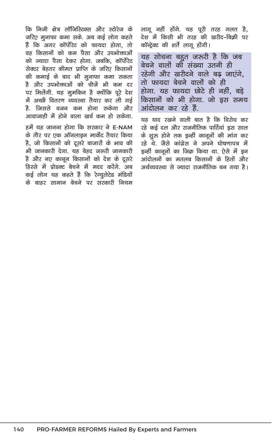कि निजी क्षेत्र लॉजिस्टिक्स और स्टोरेज के जरिए मुनाफा कमा सके. अब कई लोग कहते हैं कि अगर कॉर्पोरेट को फायदा होगा. तो वह किसानों को कम पैसा और उपभोक्ताओं को ज्यादा पैसा देकर होगा. जबकि. कॉर्पोरेट .<br>सेक्टर बेहतर कीमत पाप्ति के जरिए किसानों की कमाई के बाद भी मुनाफा कमा सकता .<br>है और उपभोक्ताओं को चीजें भी कम दर पर मिलेंगी. यह मुमकिन है क्योंकि पूरे देश में अच्छी वितरण व्यवस्था तैयार कर ली गई .<br>हे जिससे वजन कम होना रुकेगा और आवाजाही में होने वाला खर्च कम हो सकेगा.

हमें यह जानना होगा कि सरकार ने E-NAM के तौर पर एक ऑनलाइन मार्केट तैयार किया है, जो किसानों को दूसरे बाजारों के भाव की भी जानकारी देगा. यह बेहद जरुरी जानकारी है और नए कानून किसानों को देश के दूसरे हिस्से में प्रोडक्ट बेचने में मदद करेंगे. अब कई लोग यह कहते हैं कि रेग्यूलेटेड मंडियों के बाहर सामान बेचने पर सरकारी नियम लागू नहीं होंगे. यह पूरी तरह गलत है, देश में किसी भी तरह की खरीद-बिकी पर कॉन्ट्रेक्ट की शर्ते लागू होंगी।

यह सोचना बहत जरूरी है कि जब बेचने वालों की संख्या उतनी ही रहेगी और खरीदने वाले बढ़ जाएंगे. तो फायदा बेचने वालों को ही होगा. यह फायदा छोटे ही नहीं. बडे किसानों को भी होगा. जो इस समय आंदोलन कर रहे हैं.

यह याद रखने वाली बात है कि विरोध कर रहे कई दल और राजनीतिक पार्टियां इस साल के शुरू होने तक इन्हीं कानूनों की मांग कर रहे थे. जैसे कांग्रेस ने अपने घोषणापत्र में इन्हीं कानूनों का जिक्र किया था. ऐसे में इन आंदोलनों का मतलब किसानों के हितों और अर्थव्यवस्था से ज्यादा राजनीतिक बन गया है।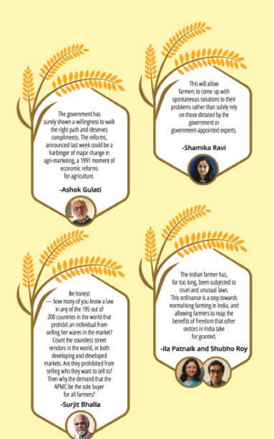The government has surely shown a willingness to walk the right path and deserves compliments. The reforms, announced last week could be a harbinger of major change in agri-marketing, a 1991 moment of economic reforms for agriculture.

-Ashok Gulati

This will allow farmers to come up with spontaneous solutions to their problems rather than solely rely on those dictated by the government or government-appointed experts.

-Shamika Ravi

Be honest how many of you know a law in any of the 195 out of 200 countries in the world that prohibit an individual from selling her wares in the market? Count the countless street vendors in the world, in both developing and developed markets. Are they prohibited from selling who they want to sell to? Then why the demand that the APMC be the sole buyer for all farmers? -Surjit Bhalla

The Indian farmer has, for too long, been subjected to cruel and unusual laws. This ordinance is a step towards normalising farming in India, and allowing farmers to reap the benefits of freedom that other sectors in India take for granted.

-Ila Patnaik and Shubho Roy